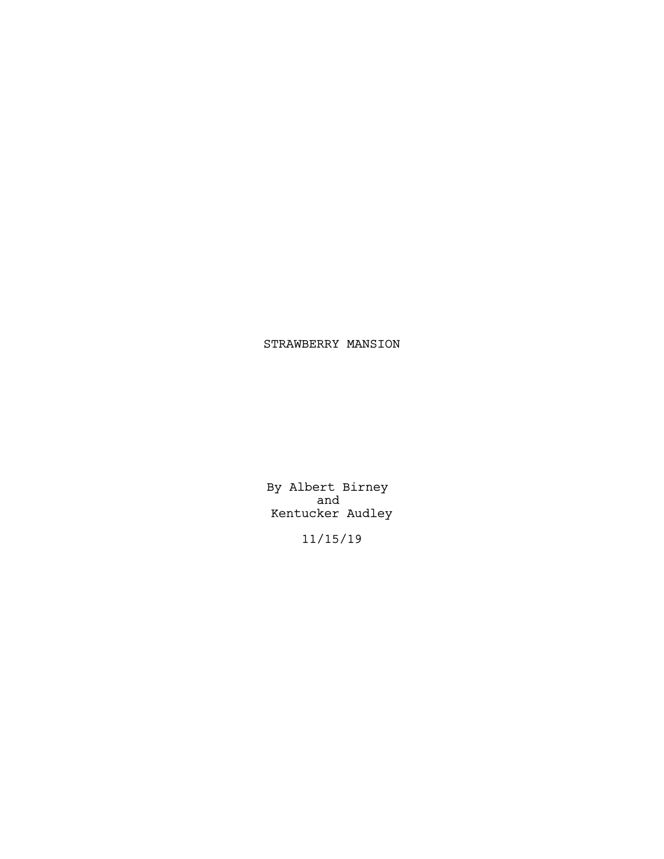# STRAWBERRY MANSION

By Albert Birney and Kentucker Audley

11/15/19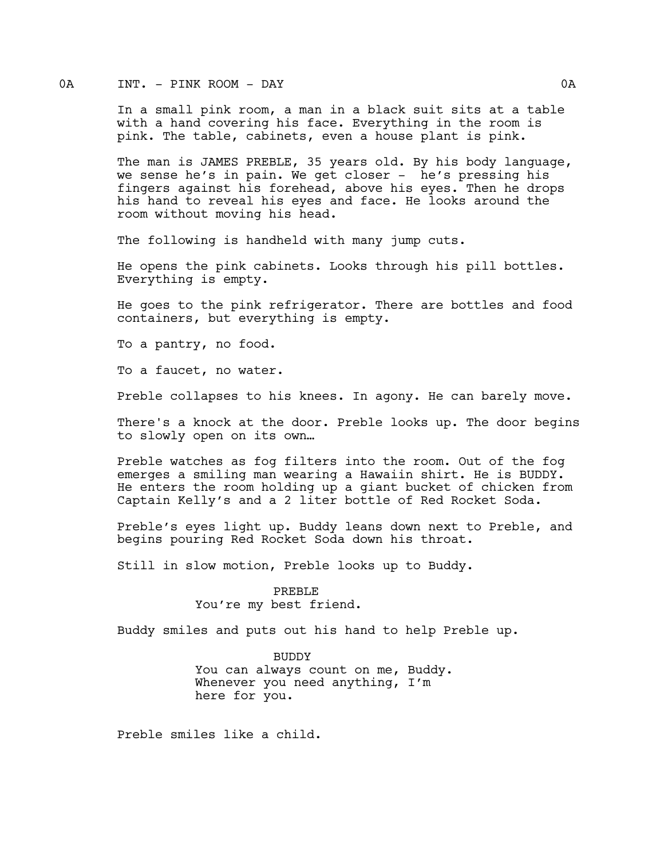## 0A INT. - PINK ROOM - DAY 0A

In a small pink room, a man in a black suit sits at a table with a hand covering his face. Everything in the room is pink. The table, cabinets, even a house plant is pink.

The man is JAMES PREBLE, 35 years old. By his body language, we sense he's in pain. We get closer - he's pressing his fingers against his forehead, above his eyes. Then he drops his hand to reveal his eyes and face. He looks around the room without moving his head.

The following is handheld with many jump cuts.

He opens the pink cabinets. Looks through his pill bottles. Everything is empty.

He goes to the pink refrigerator. There are bottles and food containers, but everything is empty.

To a pantry, no food.

To a faucet, no water.

Preble collapses to his knees. In agony. He can barely move.

There's a knock at the door. Preble looks up. The door begins to slowly open on its own…

Preble watches as fog filters into the room. Out of the fog emerges a smiling man wearing a Hawaiin shirt. He is BUDDY. He enters the room holding up a giant bucket of chicken from Captain Kelly's and a 2 liter bottle of Red Rocket Soda.

Preble's eyes light up. Buddy leans down next to Preble, and begins pouring Red Rocket Soda down his throat.

Still in slow motion, Preble looks up to Buddy.

PREBLE You're my best friend.

Buddy smiles and puts out his hand to help Preble up.

BUDDY You can always count on me, Buddy. Whenever you need anything, I'm here for you.

Preble smiles like a child.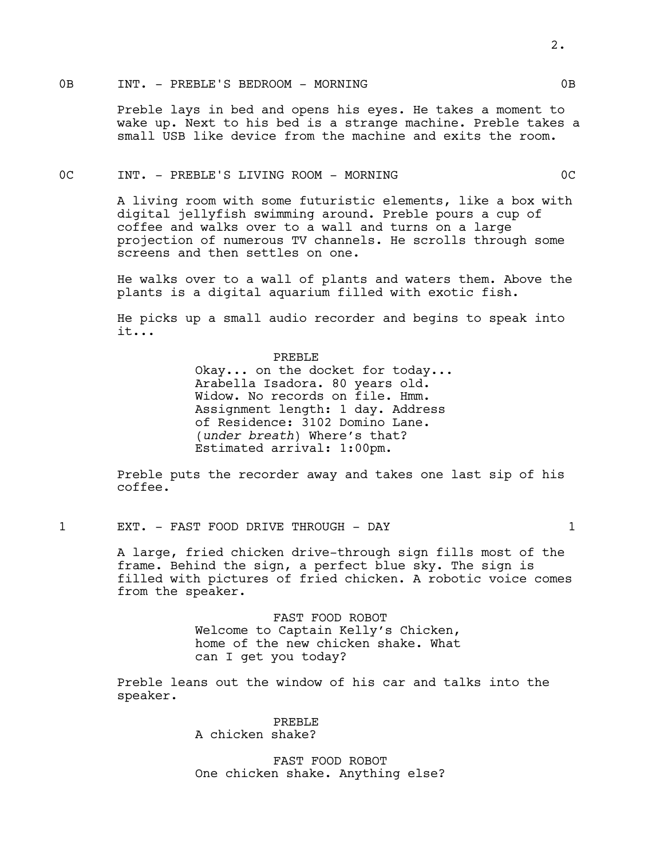# 0B INT. - PREBLE'S BEDROOM - MORNING CORNECTED OB

Preble lays in bed and opens his eyes. He takes a moment to wake up. Next to his bed is a strange machine. Preble takes a small USB like device from the machine and exits the room.

#### 0C INT. - PREBLE'S LIVING ROOM - MORNING 0C

A living room with some futuristic elements, like a box with digital jellyfish swimming around. Preble pours a cup of coffee and walks over to a wall and turns on a large projection of numerous TV channels. He scrolls through some screens and then settles on one.

He walks over to a wall of plants and waters them. Above the plants is a digital aquarium filled with exotic fish.

He picks up a small audio recorder and begins to speak into it...

> PREBLE Okay... on the docket for today... Arabella Isadora. 80 years old. Widow. No records on file. Hmm. Assignment length: 1 day. Address of Residence: 3102 Domino Lane. (*under breath*) Where's that? Estimated arrival: 1:00pm.

Preble puts the recorder away and takes one last sip of his coffee.

1 EXT. - FAST FOOD DRIVE THROUGH - DAY 1

A large, fried chicken drive-through sign fills most of the frame. Behind the sign, a perfect blue sky. The sign is filled with pictures of fried chicken. A robotic voice comes from the speaker.

> FAST FOOD ROBOT Welcome to Captain Kelly's Chicken, home of the new chicken shake. What can I get you today?

Preble leans out the window of his car and talks into the speaker.

> PREBLE A chicken shake?

FAST FOOD ROBOT One chicken shake. Anything else?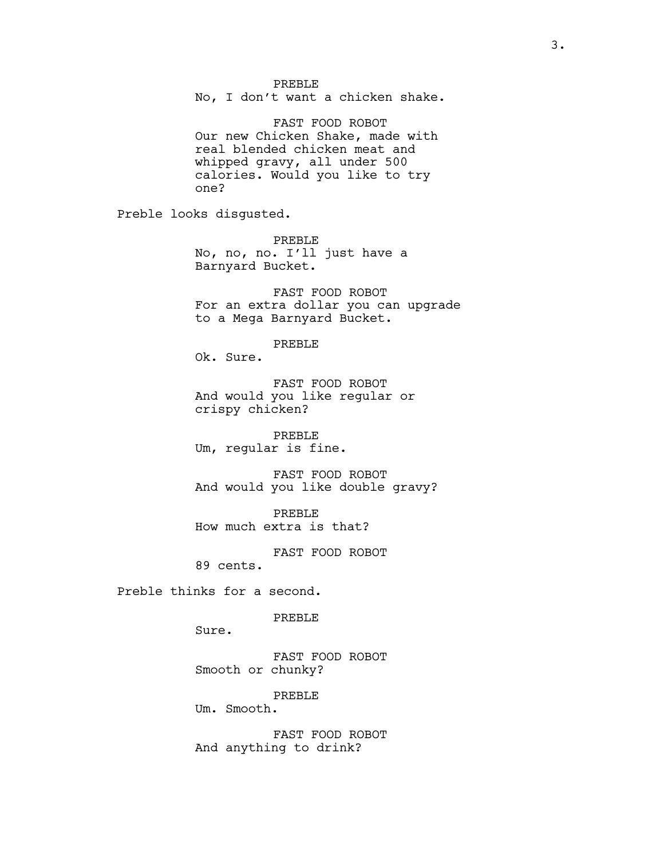#### PREBLE

No, I don't want a chicken shake.

FAST FOOD ROBOT Our new Chicken Shake, made with real blended chicken meat and whipped gravy, all under 500 calories. Would you like to try one?

Preble looks disgusted.

PREBLE No, no, no. I'll just have a Barnyard Bucket.

FAST FOOD ROBOT For an extra dollar you can upgrade to a Mega Barnyard Bucket.

PREBLE

Ok. Sure.

FAST FOOD ROBOT And would you like regular or crispy chicken?

PREBLE Um, regular is fine.

FAST FOOD ROBOT And would you like double gravy?

PREBLE How much extra is that?

FAST FOOD ROBOT

89 cents.

Preble thinks for a second.

PREBLE

Sure.

FAST FOOD ROBOT Smooth or chunky?

PREBLE

Um. Smooth.

FAST FOOD ROBOT And anything to drink?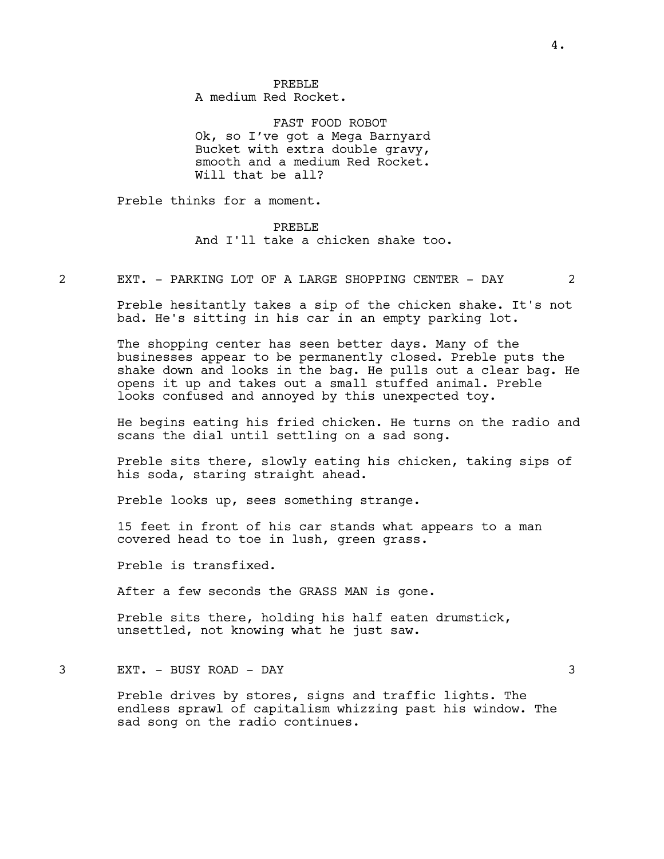PREBLE A medium Red Rocket.

FAST FOOD ROBOT Ok, so I've got a Mega Barnyard Bucket with extra double gravy, smooth and a medium Red Rocket. Will that be all?

Preble thinks for a moment.

#### PREBLE

And I'll take a chicken shake too.

2 EXT. - PARKING LOT OF A LARGE SHOPPING CENTER - DAY 2

Preble hesitantly takes a sip of the chicken shake. It's not bad. He's sitting in his car in an empty parking lot.

The shopping center has seen better days. Many of the businesses appear to be permanently closed. Preble puts the shake down and looks in the bag. He pulls out a clear bag. He opens it up and takes out a small stuffed animal. Preble looks confused and annoyed by this unexpected toy.

He begins eating his fried chicken. He turns on the radio and scans the dial until settling on a sad song.

Preble sits there, slowly eating his chicken, taking sips of his soda, staring straight ahead.

Preble looks up, sees something strange.

15 feet in front of his car stands what appears to a man covered head to toe in lush, green grass.

Preble is transfixed.

After a few seconds the GRASS MAN is gone.

Preble sits there, holding his half eaten drumstick, unsettled, not knowing what he just saw.

3 EXT. - BUSY ROAD - DAY 3

Preble drives by stores, signs and traffic lights. The endless sprawl of capitalism whizzing past his window. The sad song on the radio continues.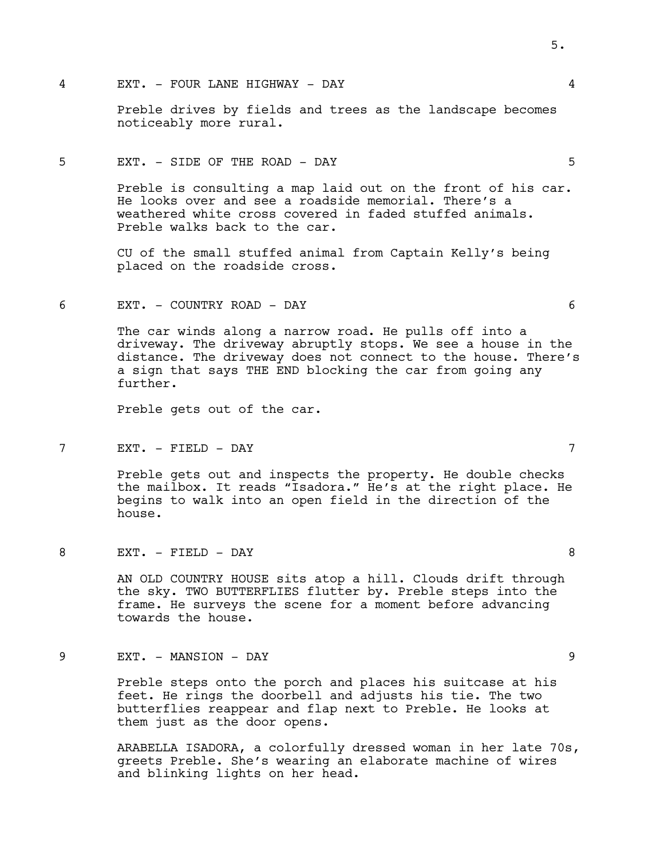4 EXT. - FOUR LANE HIGHWAY - DAY 4

Preble drives by fields and trees as the landscape becomes noticeably more rural.

# 5 EXT. - SIDE OF THE ROAD - DAY 5

Preble is consulting a map laid out on the front of his car. He looks over and see a roadside memorial. There's a weathered white cross covered in faded stuffed animals. Preble walks back to the car.

CU of the small stuffed animal from Captain Kelly's being placed on the roadside cross.

6 EXT. - COUNTRY ROAD - DAY 6

The car winds along a narrow road. He pulls off into a driveway. The driveway abruptly stops. We see a house in the distance. The driveway does not connect to the house. There's a sign that says THE END blocking the car from going any further.

Preble gets out of the car.

7 EXT. - FIELD - DAY 7

Preble gets out and inspects the property. He double checks the mailbox. It reads "Isadora." He's at the right place. He begins to walk into an open field in the direction of the house.

8 EXT. - FIELD - DAY 8

AN OLD COUNTRY HOUSE sits atop a hill. Clouds drift through the sky. TWO BUTTERFLIES flutter by. Preble steps into the frame. He surveys the scene for a moment before advancing towards the house.

9 EXT. - MANSION - DAY 9

Preble steps onto the porch and places his suitcase at his feet. He rings the doorbell and adjusts his tie. The two butterflies reappear and flap next to Preble. He looks at them just as the door opens.

ARABELLA ISADORA, a colorfully dressed woman in her late 70s, greets Preble. She's wearing an elaborate machine of wires and blinking lights on her head.

5.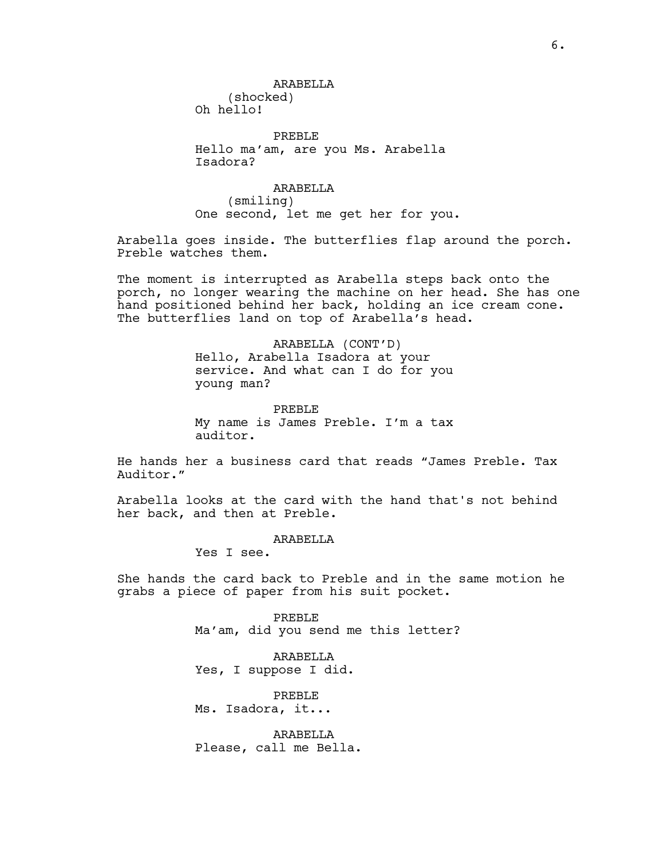(shocked) Oh hello!

PREBLE Hello ma'am, are you Ms. Arabella Isadora?

ARABELLA (smiling) One second, let me get her for you.

Arabella goes inside. The butterflies flap around the porch. Preble watches them.

The moment is interrupted as Arabella steps back onto the porch, no longer wearing the machine on her head. She has one hand positioned behind her back, holding an ice cream cone. The butterflies land on top of Arabella's head.

> ARABELLA (CONT'D) Hello, Arabella Isadora at your service. And what can I do for you young man?

PREBLE My name is James Preble. I'm a tax auditor.

He hands her a business card that reads "James Preble. Tax Auditor."

Arabella looks at the card with the hand that's not behind her back, and then at Preble.

ARABELLA

Yes I see.

She hands the card back to Preble and in the same motion he grabs a piece of paper from his suit pocket.

> PREBLE Ma'am, did you send me this letter?

ARABELLA Yes, I suppose I did.

PREBLE Ms. Isadora, it...

ARABELLA Please, call me Bella.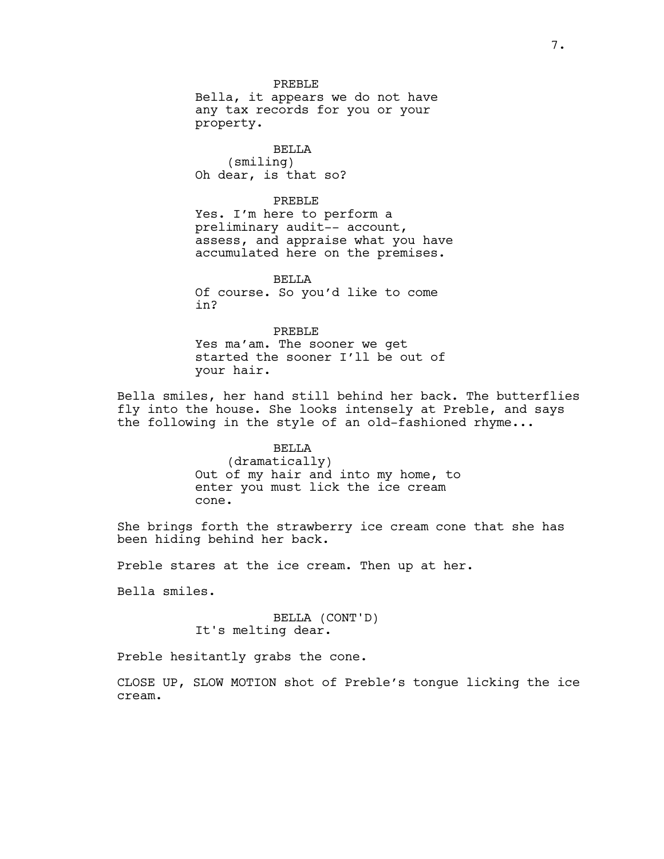PREBLE Bella, it appears we do not have any tax records for you or your property.

BELLA (smiling) Oh dear, is that so?

#### PREBLE

Yes. I'm here to perform a preliminary audit-- account, assess, and appraise what you have accumulated here on the premises.

BELLA Of course. So you'd like to come in?

PREBLE Yes ma'am. The sooner we get started the sooner I'll be out of your hair.

Bella smiles, her hand still behind her back. The butterflies fly into the house. She looks intensely at Preble, and says the following in the style of an old-fashioned rhyme...

# BELLA (dramatically) Out of my hair and into my home, to enter you must lick the ice cream cone.

She brings forth the strawberry ice cream cone that she has been hiding behind her back.

Preble stares at the ice cream. Then up at her.

Bella smiles.

# BELLA (CONT'D) It's melting dear.

Preble hesitantly grabs the cone.

CLOSE UP, SLOW MOTION shot of Preble's tongue licking the ice cream.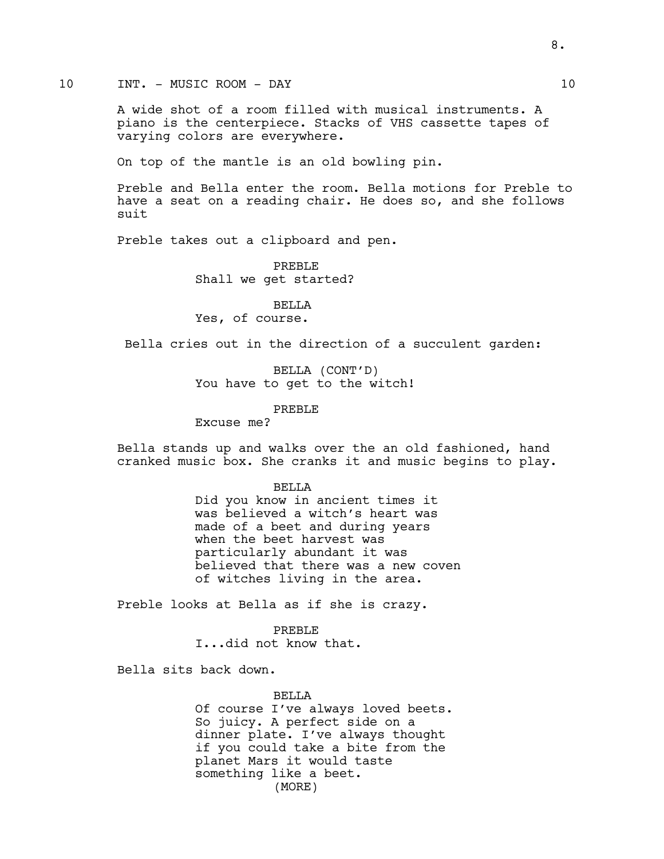# 10 INT. - MUSIC ROOM - DAY 10

A wide shot of a room filled with musical instruments. A piano is the centerpiece. Stacks of VHS cassette tapes of varying colors are everywhere.

On top of the mantle is an old bowling pin.

Preble and Bella enter the room. Bella motions for Preble to have a seat on a reading chair. He does so, and she follows suit

Preble takes out a clipboard and pen.

PREBLE Shall we get started?

BELLA Yes, of course.

Bella cries out in the direction of a succulent garden:

BELLA (CONT'D) You have to get to the witch!

PREBLE

Excuse me?

Bella stands up and walks over the an old fashioned, hand cranked music box. She cranks it and music begins to play.

### **BELLA**

Did you know in ancient times it was believed a witch's heart was made of a beet and during years when the beet harvest was particularly abundant it was believed that there was a new coven of witches living in the area.

Preble looks at Bella as if she is crazy.

PREBLE I...did not know that.

Bella sits back down.

#### BELLA

Of course I've always loved beets. So juicy. A perfect side on a dinner plate. I've always thought if you could take a bite from the planet Mars it would taste something like a beet. (MORE)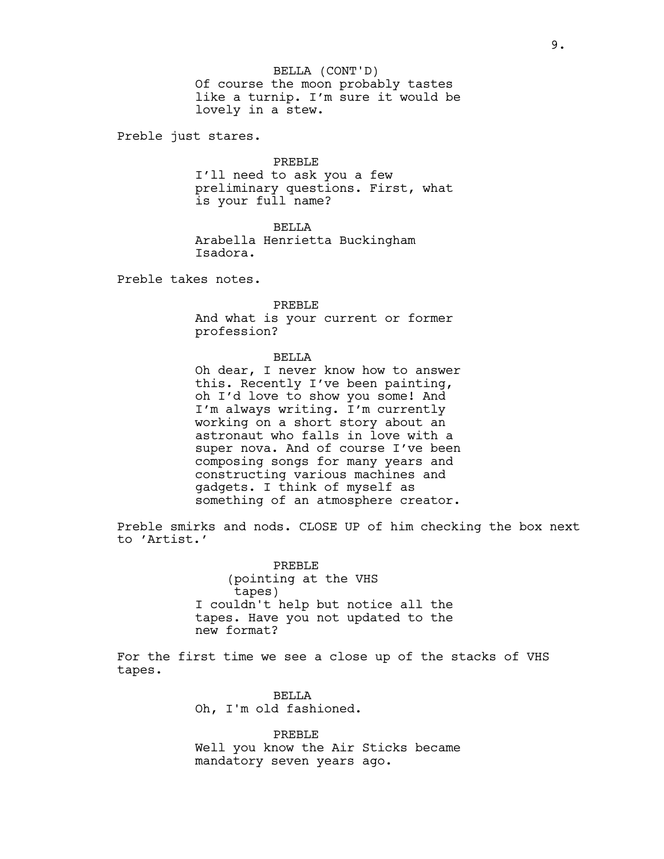Of course the moon probably tastes like a turnip. I'm sure it would be lovely in a stew. BELLA (CONT'D)

Preble just stares.

PREBLE

I'll need to ask you a few preliminary questions. First, what is your full name?

BELLA

Arabella Henrietta Buckingham Isadora.

Preble takes notes.

PREBLE

And what is your current or former profession?

BELLA

Oh dear, I never know how to answer this. Recently I've been painting, oh I'd love to show you some! And I'm always writing. I'm currently working on a short story about an astronaut who falls in love with a super nova. And of course I've been composing songs for many years and constructing various machines and gadgets. I think of myself as something of an atmosphere creator.

Preble smirks and nods. CLOSE UP of him checking the box next to 'Artist.'

> PREBLE (pointing at the VHS tapes) I couldn't help but notice all the tapes. Have you not updated to the new format?

For the first time we see a close up of the stacks of VHS tapes.

> BELLA Oh, I'm old fashioned.

PREBLE Well you know the Air Sticks became mandatory seven years ago.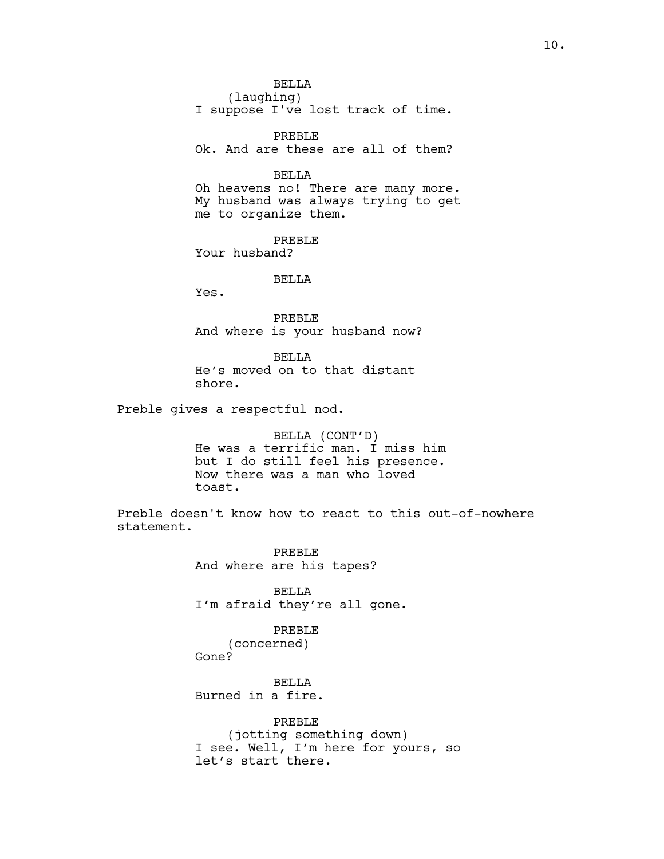BELLA (laughing) I suppose I've lost track of time.

PREBLE Ok. And are these are all of them?

### BELLA

Oh heavens no! There are many more. My husband was always trying to get me to organize them.

PREBLE Your husband?

BELLA

Yes.

PREBLE And where is your husband now?

BELLA He's moved on to that distant shore.

Preble gives a respectful nod.

BELLA (CONT'D) He was a terrific man. I miss him but I do still feel his presence. Now there was a man who loved toast.

Preble doesn't know how to react to this out-of-nowhere statement.

> PREBLE And where are his tapes?

BELLA I'm afraid they're all gone.

PREBLE (concerned) Gone?

**BELLA** 

Burned in a fire.

PREBLE (jotting something down) I see. Well, I'm here for yours, so let's start there.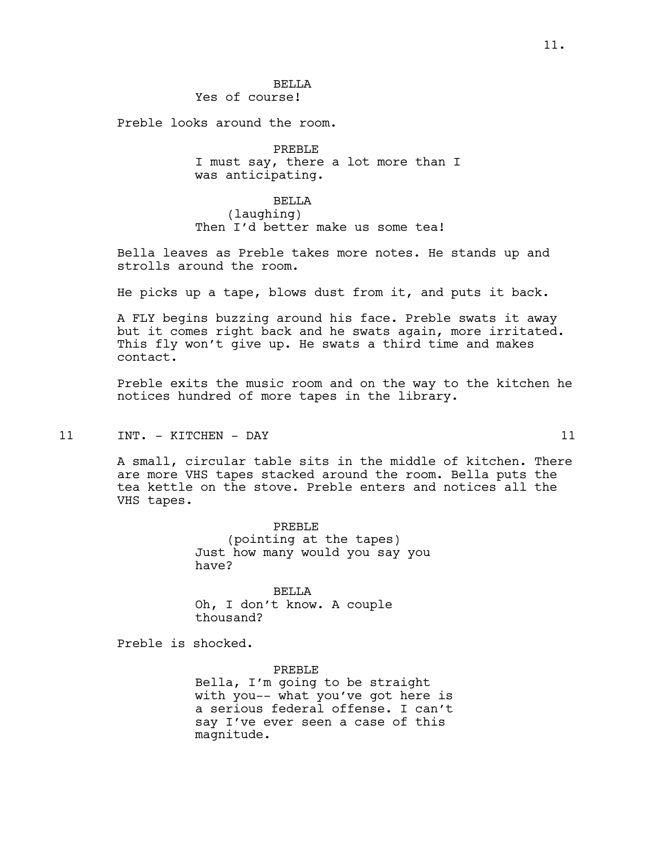# **BELLA**

Yes of course!

Preble looks around the room.

PREBLE I must say, there a lot more than I was anticipating.

#### BELLA

(laughing) Then I'd better make us some tea!

Bella leaves as Preble takes more notes. He stands up and strolls around the room.

He picks up a tape, blows dust from it, and puts it back.

A FLY begins buzzing around his face. Preble swats it away but it comes right back and he swats again, more irritated. This fly won't give up. He swats a third time and makes contact.

Preble exits the music room and on the way to the kitchen he notices hundred of more tapes in the library.

## 11 INT. - KITCHEN - DAY 11

A small, circular table sits in the middle of kitchen. There are more VHS tapes stacked around the room. Bella puts the tea kettle on the stove. Preble enters and notices all the VHS tapes.

> PREBLE (pointing at the tapes) Just how many would you say you have?

BELLA Oh, I don't know. A couple thousand?

Preble is shocked.

PREBLE Bella, I'm going to be straight with you-- what you've got here is a serious federal offense. I can't say I've ever seen a case of this magnitude.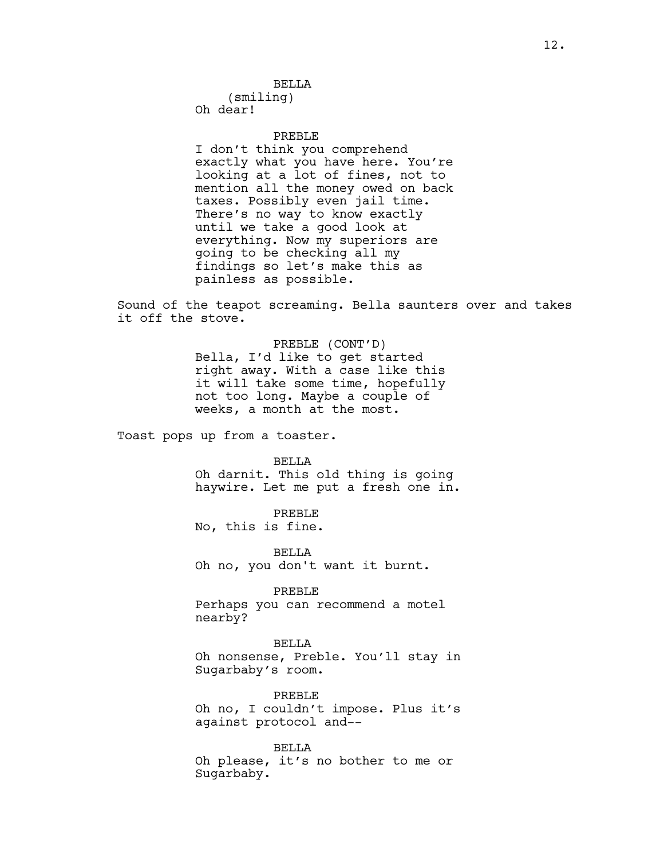(smiling) Oh dear!

#### PREBLE

I don't think you comprehend exactly what you have here. You're looking at a lot of fines, not to mention all the money owed on back taxes. Possibly even jail time. There's no way to know exactly until we take a good look at everything. Now my superiors are going to be checking all my findings so let's make this as painless as possible.

Sound of the teapot screaming. Bella saunters over and takes it off the stove.

> PREBLE (CONT'D) Bella, I'd like to get started right away. With a case like this it will take some time, hopefully not too long. Maybe a couple of weeks, a month at the most.

Toast pops up from a toaster.

BELLA

Oh darnit. This old thing is going haywire. Let me put a fresh one in.

PREBLE

No, this is fine.

BELLA Oh no, you don't want it burnt.

PREBLE Perhaps you can recommend a motel nearby?

BELLA Oh nonsense, Preble. You'll stay in Sugarbaby's room.

PREBLE Oh no, I couldn't impose. Plus it's against protocol and--

BELLA Oh please, it's no bother to me or Sugarbaby.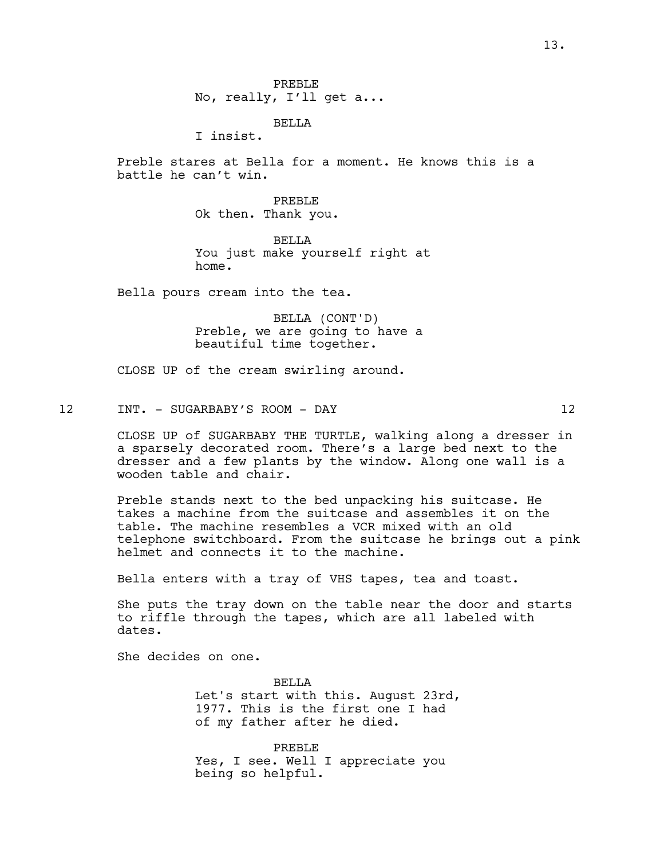BELLA

I insist.

Preble stares at Bella for a moment. He knows this is a battle he can't win.

> PREBLE Ok then. Thank you.

BELLA You just make yourself right at home.

Bella pours cream into the tea.

BELLA (CONT'D) Preble, we are going to have a beautiful time together.

CLOSE UP of the cream swirling around.

12 INT. - SUGARBABY'S ROOM - DAY 12

CLOSE UP of SUGARBABY THE TURTLE, walking along a dresser in a sparsely decorated room. There's a large bed next to the dresser and a few plants by the window. Along one wall is a wooden table and chair.

Preble stands next to the bed unpacking his suitcase. He takes a machine from the suitcase and assembles it on the table. The machine resembles a VCR mixed with an old telephone switchboard. From the suitcase he brings out a pink helmet and connects it to the machine.

Bella enters with a tray of VHS tapes, tea and toast.

She puts the tray down on the table near the door and starts to riffle through the tapes, which are all labeled with dates.

She decides on one.

**BELLA** Let's start with this. August 23rd, 1977. This is the first one I had of my father after he died.

PREBLE Yes, I see. Well I appreciate you being so helpful.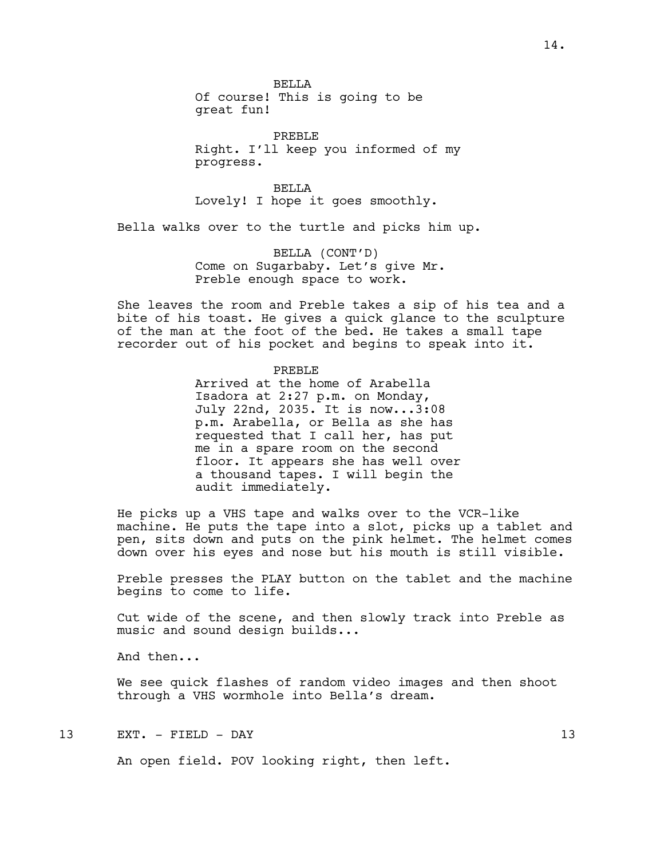**BELLA** 

Of course! This is going to be great fun!

PREBLE Right. I'll keep you informed of my progress.

BELLA Lovely! I hope it goes smoothly.

Bella walks over to the turtle and picks him up.

BELLA (CONT'D) Come on Sugarbaby. Let's give Mr. Preble enough space to work.

She leaves the room and Preble takes a sip of his tea and a bite of his toast. He gives a quick glance to the sculpture of the man at the foot of the bed. He takes a small tape recorder out of his pocket and begins to speak into it.

PREBLE

Arrived at the home of Arabella Isadora at 2:27 p.m. on Monday, July 22nd, 2035. It is now...3:08 p.m. Arabella, or Bella as she has requested that I call her, has put me in a spare room on the second floor. It appears she has well over a thousand tapes. I will begin the audit immediately.

He picks up a VHS tape and walks over to the VCR-like machine. He puts the tape into a slot, picks up a tablet and pen, sits down and puts on the pink helmet. The helmet comes down over his eyes and nose but his mouth is still visible.

Preble presses the PLAY button on the tablet and the machine begins to come to life.

Cut wide of the scene, and then slowly track into Preble as music and sound design builds...

And then...

We see quick flashes of random video images and then shoot through a VHS wormhole into Bella's dream.

13 EXT. - FIELD - DAY 13

An open field. POV looking right, then left.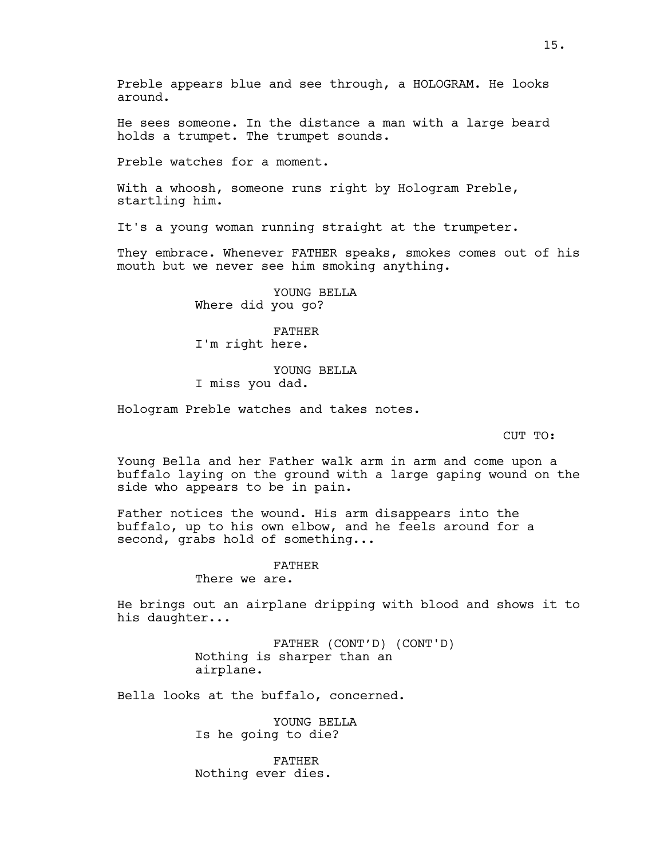Preble appears blue and see through, a HOLOGRAM. He looks around.

He sees someone. In the distance a man with a large beard holds a trumpet. The trumpet sounds.

Preble watches for a moment.

With a whoosh, someone runs right by Hologram Preble, startling him.

It's a young woman running straight at the trumpeter.

They embrace. Whenever FATHER speaks, smokes comes out of his mouth but we never see him smoking anything.

> YOUNG BELLA Where did you go?

FATHER I'm right here.

YOUNG BELLA I miss you dad.

Hologram Preble watches and takes notes.

CUT TO:

Young Bella and her Father walk arm in arm and come upon a buffalo laying on the ground with a large gaping wound on the side who appears to be in pain.

Father notices the wound. His arm disappears into the buffalo, up to his own elbow, and he feels around for a second, grabs hold of something...

# FATHER

There we are.

He brings out an airplane dripping with blood and shows it to his daughter...

> FATHER (CONT'D) (CONT'D) Nothing is sharper than an airplane.

Bella looks at the buffalo, concerned.

YOUNG BELLA Is he going to die?

FATHER Nothing ever dies.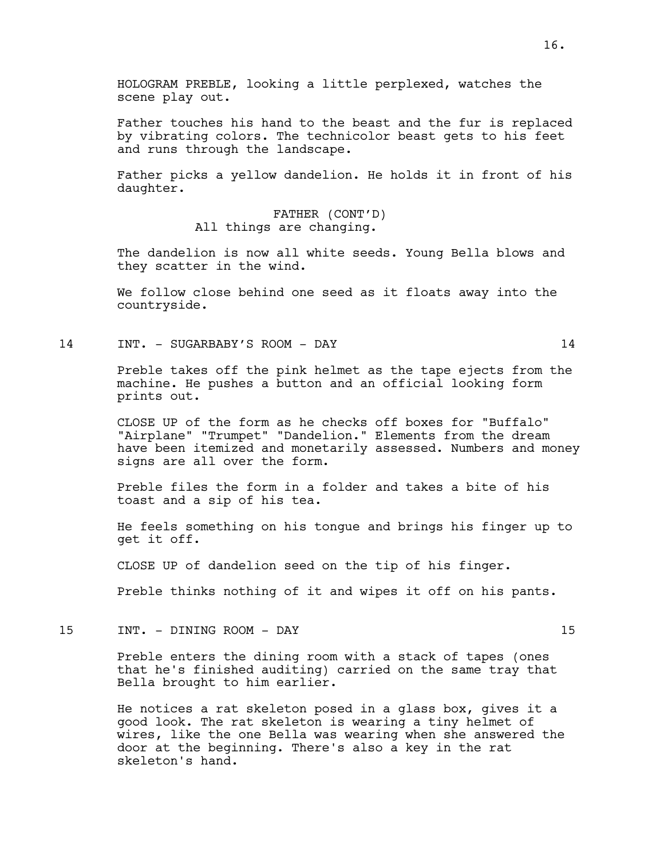Father touches his hand to the beast and the fur is replaced by vibrating colors. The technicolor beast gets to his feet and runs through the landscape.

Father picks a yellow dandelion. He holds it in front of his daughter.

> FATHER (CONT'D) All things are changing.

The dandelion is now all white seeds. Young Bella blows and they scatter in the wind.

We follow close behind one seed as it floats away into the countryside.

14 INT. - SUGARBABY'S ROOM - DAY 14

Preble takes off the pink helmet as the tape ejects from the machine. He pushes a button and an official looking form prints out.

CLOSE UP of the form as he checks off boxes for "Buffalo" "Airplane" "Trumpet" "Dandelion." Elements from the dream have been itemized and monetarily assessed. Numbers and money signs are all over the form.

Preble files the form in a folder and takes a bite of his toast and a sip of his tea.

He feels something on his tongue and brings his finger up to get it off.

CLOSE UP of dandelion seed on the tip of his finger.

Preble thinks nothing of it and wipes it off on his pants.

15 INT. - DINING ROOM - DAY 15

Preble enters the dining room with a stack of tapes (ones that he's finished auditing) carried on the same tray that Bella brought to him earlier.

He notices a rat skeleton posed in a glass box, gives it a good look. The rat skeleton is wearing a tiny helmet of wires, like the one Bella was wearing when she answered the door at the beginning. There's also a key in the rat skeleton's hand.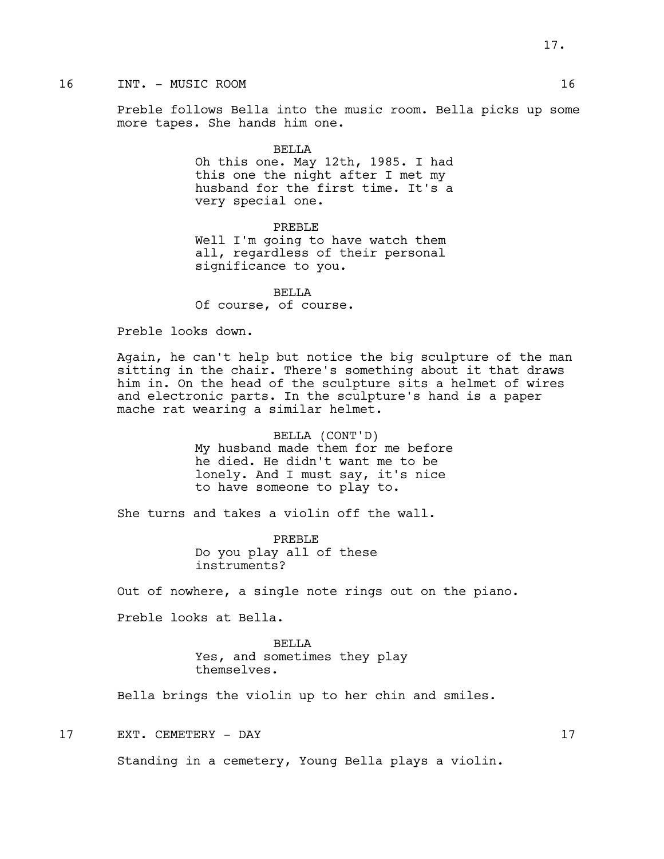# 16 INT. - MUSIC ROOM 16

Preble follows Bella into the music room. Bella picks up some more tapes. She hands him one.

#### BELLA

Oh this one. May 12th, 1985. I had this one the night after I met my husband for the first time. It's a very special one.

## PREBLE

Well I'm going to have watch them all, regardless of their personal significance to you.

BELLA Of course, of course.

Preble looks down.

Again, he can't help but notice the big sculpture of the man sitting in the chair. There's something about it that draws him in. On the head of the sculpture sits a helmet of wires and electronic parts. In the sculpture's hand is a paper mache rat wearing a similar helmet.

> BELLA (CONT'D) My husband made them for me before he died. He didn't want me to be lonely. And I must say, it's nice to have someone to play to.

She turns and takes a violin off the wall.

PREBLE Do you play all of these instruments?

Out of nowhere, a single note rings out on the piano.

Preble looks at Bella.

BELLA Yes, and sometimes they play themselves.

Bella brings the violin up to her chin and smiles.

17 EXT. CEMETERY - DAY 17

Standing in a cemetery, Young Bella plays a violin.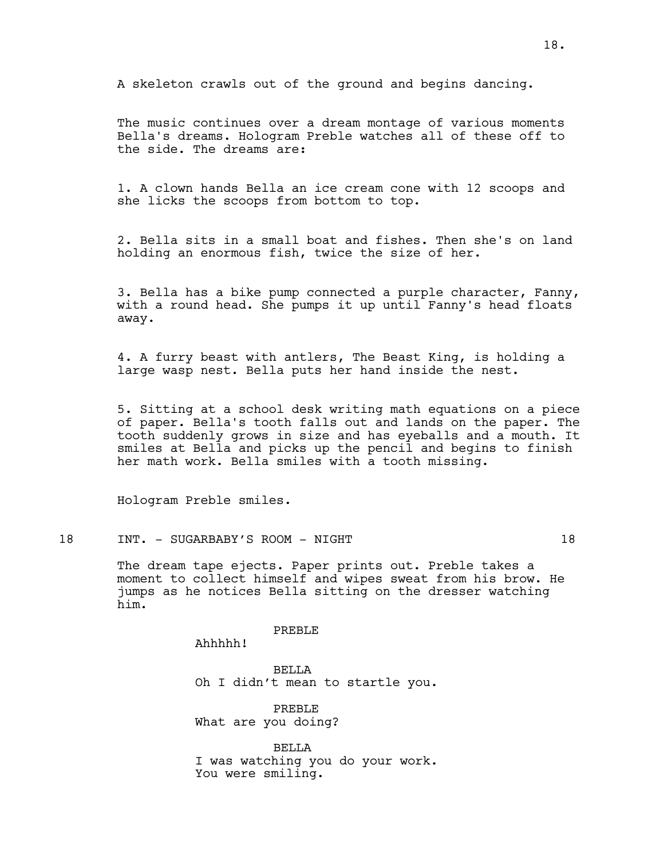A skeleton crawls out of the ground and begins dancing.

The music continues over a dream montage of various moments Bella's dreams. Hologram Preble watches all of these off to the side. The dreams are:

1. A clown hands Bella an ice cream cone with 12 scoops and she licks the scoops from bottom to top.

2. Bella sits in a small boat and fishes. Then she's on land holding an enormous fish, twice the size of her.

3. Bella has a bike pump connected a purple character, Fanny, with a round head. She pumps it up until Fanny's head floats away.

4. A furry beast with antlers, The Beast King, is holding a large wasp nest. Bella puts her hand inside the nest.

5. Sitting at a school desk writing math equations on a piece of paper. Bella's tooth falls out and lands on the paper. The tooth suddenly grows in size and has eyeballs and a mouth. It smiles at Bella and picks up the pencil and begins to finish her math work. Bella smiles with a tooth missing.

Hologram Preble smiles.

#### 18 INT. - SUGARBABY'S ROOM - NIGHT 18

The dream tape ejects. Paper prints out. Preble takes a moment to collect himself and wipes sweat from his brow. He jumps as he notices Bella sitting on the dresser watching him.

PREBLE

Ahhhhh!

BELLA Oh I didn't mean to startle you.

PREBLE What are you doing?

BELLA I was watching you do your work. You were smiling.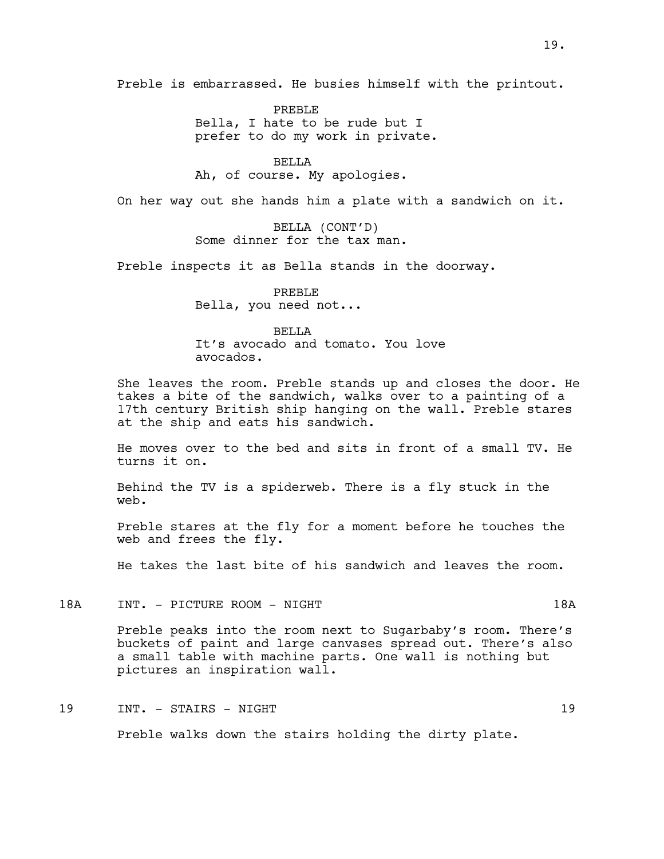Preble is embarrassed. He busies himself with the printout.

PREBLE Bella, I hate to be rude but I prefer to do my work in private.

BELLA Ah, of course. My apologies.

On her way out she hands him a plate with a sandwich on it.

BELLA (CONT'D) Some dinner for the tax man.

Preble inspects it as Bella stands in the doorway.

PREBLE Bella, you need not...

## BELLA

It's avocado and tomato. You love avocados.

She leaves the room. Preble stands up and closes the door. He takes a bite of the sandwich, walks over to a painting of a 17th century British ship hanging on the wall. Preble stares at the ship and eats his sandwich.

He moves over to the bed and sits in front of a small TV. He turns it on.

Behind the TV is a spiderweb. There is a fly stuck in the web.

Preble stares at the fly for a moment before he touches the web and frees the fly.

He takes the last bite of his sandwich and leaves the room.

18A INT. - PICTURE ROOM - NIGHT 18A

Preble peaks into the room next to Sugarbaby's room. There's buckets of paint and large canvases spread out. There's also a small table with machine parts. One wall is nothing but pictures an inspiration wall.

# 19 INT. - STAIRS - NIGHT 19

Preble walks down the stairs holding the dirty plate.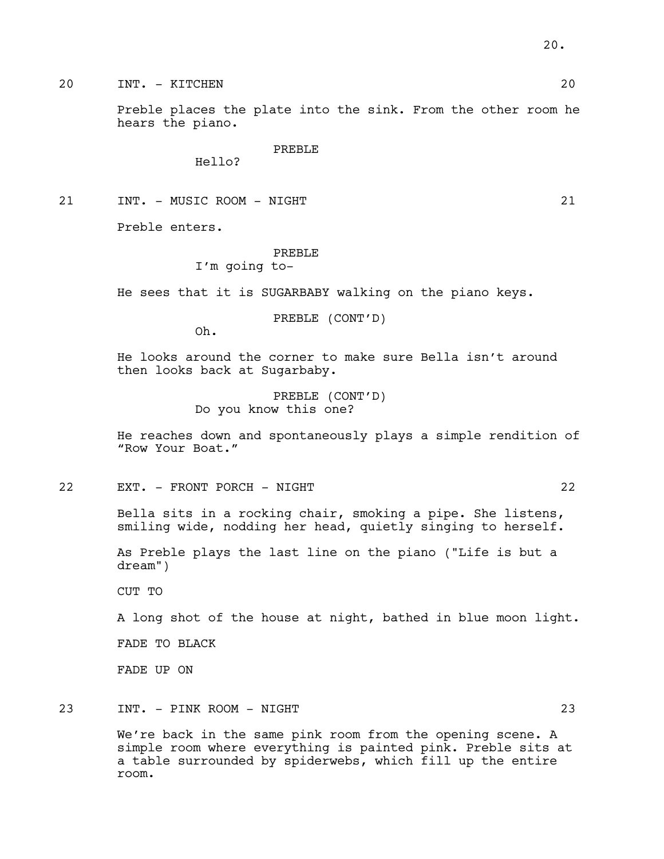20 INT. - KITCHEN 20

Preble places the plate into the sink. From the other room he hears the piano.

PREBLE

Hello?

21 INT. - MUSIC ROOM - NIGHT 21

Preble enters.

# PREBLE

I'm going to-

He sees that it is SUGARBABY walking on the piano keys.

PREBLE (CONT'D)

Oh.

He looks around the corner to make sure Bella isn't around then looks back at Sugarbaby.

> PREBLE (CONT'D) Do you know this one?

He reaches down and spontaneously plays a simple rendition of "Row Your Boat."

22 EXT. - FRONT PORCH - NIGHT 22

Bella sits in a rocking chair, smoking a pipe. She listens, smiling wide, nodding her head, quietly singing to herself.

As Preble plays the last line on the piano ("Life is but a dream")

CUT TO

A long shot of the house at night, bathed in blue moon light.

FADE TO BLACK

FADE UP ON

23 INT. - PINK ROOM - NIGHT 23

We're back in the same pink room from the opening scene. A simple room where everything is painted pink. Preble sits at a table surrounded by spiderwebs, which fill up the entire room.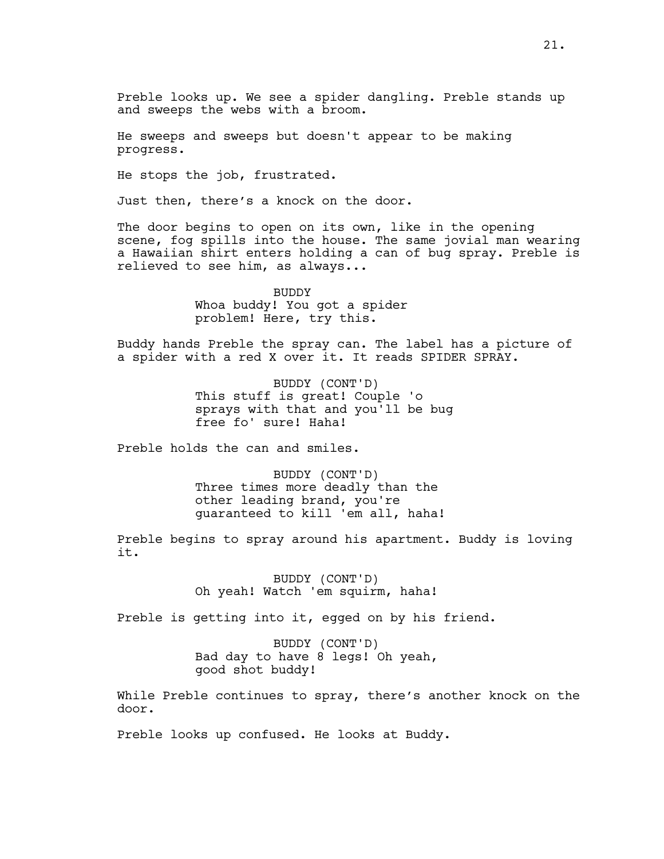Preble looks up. We see a spider dangling. Preble stands up and sweeps the webs with a broom.

He sweeps and sweeps but doesn't appear to be making progress.

He stops the job, frustrated.

Just then, there's a knock on the door.

The door begins to open on its own, like in the opening scene, fog spills into the house. The same jovial man wearing a Hawaiian shirt enters holding a can of bug spray. Preble is relieved to see him, as always...

> BUDDY Whoa buddy! You got a spider problem! Here, try this.

Buddy hands Preble the spray can. The label has a picture of a spider with a red X over it. It reads SPIDER SPRAY.

> BUDDY (CONT'D) This stuff is great! Couple 'o sprays with that and you'll be bug free fo' sure! Haha!

Preble holds the can and smiles.

BUDDY (CONT'D) Three times more deadly than the other leading brand, you're guaranteed to kill 'em all, haha!

Preble begins to spray around his apartment. Buddy is loving it.

> BUDDY (CONT'D) Oh yeah! Watch 'em squirm, haha!

Preble is getting into it, egged on by his friend.

BUDDY (CONT'D) Bad day to have 8 legs! Oh yeah, good shot buddy!

While Preble continues to spray, there's another knock on the door.

Preble looks up confused. He looks at Buddy.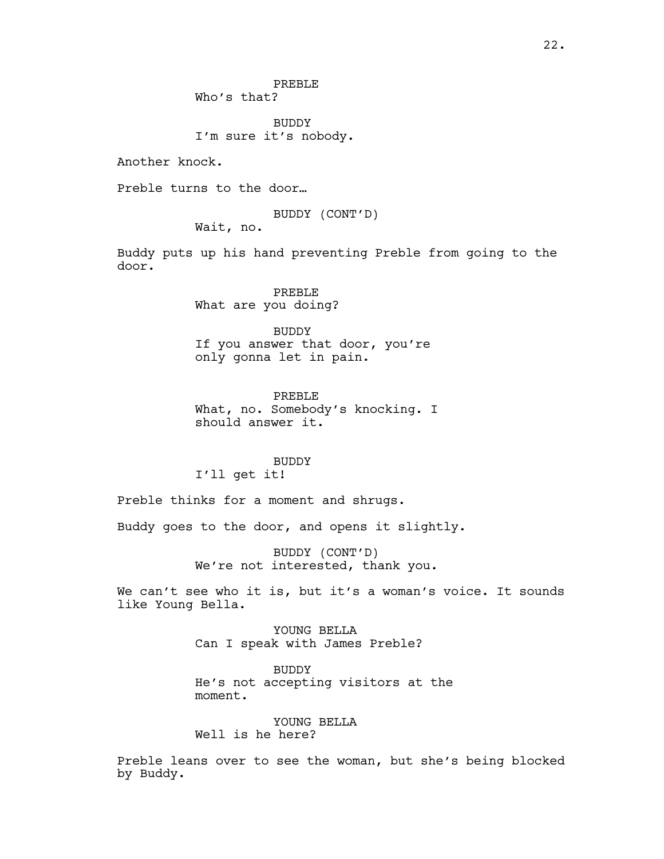BUDDY I'm sure it's nobody.

Another knock.

Preble turns to the door…

BUDDY (CONT'D)

Wait, no.

Buddy puts up his hand preventing Preble from going to the door.

> PREBLE What are you doing?

BUDDY If you answer that door, you're only gonna let in pain.

PREBLE What, no. Somebody's knocking. I should answer it.

#### BUDDY

I'll get it!

Preble thinks for a moment and shrugs.

Buddy goes to the door, and opens it slightly.

BUDDY (CONT'D) We're not interested, thank you.

We can't see who it is, but it's a woman's voice. It sounds like Young Bella.

> YOUNG BELLA Can I speak with James Preble?

BUDDY He's not accepting visitors at the moment.

YOUNG BELLA Well is he here?

Preble leans over to see the woman, but she's being blocked by Buddy.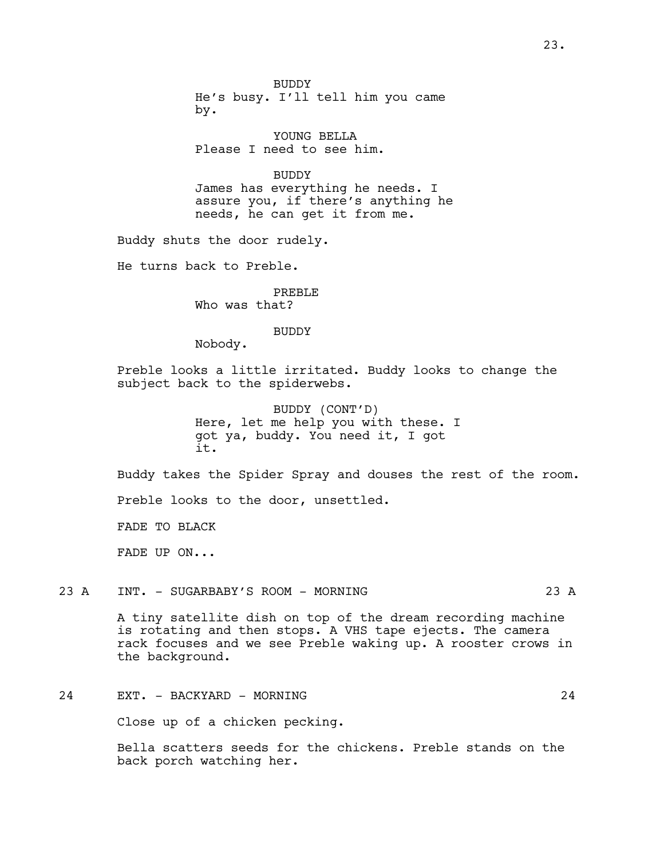BUDDY He's busy. I'll tell him you came by.

YOUNG BELLA Please I need to see him.

BUDDY James has everything he needs. I assure you, if there's anything he needs, he can get it from me.

Buddy shuts the door rudely.

He turns back to Preble.

PREBLE Who was that?

BUDDY

Nobody.

Preble looks a little irritated. Buddy looks to change the subject back to the spiderwebs.

> BUDDY (CONT'D) Here, let me help you with these. I got ya, buddy. You need it, I got it.

Buddy takes the Spider Spray and douses the rest of the room.

Preble looks to the door, unsettled.

FADE TO BLACK

FADE UP ON...

23 A INT. - SUGARBABY'S ROOM - MORNING 23 A 23 A

A tiny satellite dish on top of the dream recording machine is rotating and then stops. A VHS tape ejects. The camera rack focuses and we see Preble waking up. A rooster crows in the background.

24 EXT. - BACKYARD - MORNING 24

Close up of a chicken pecking.

Bella scatters seeds for the chickens. Preble stands on the back porch watching her.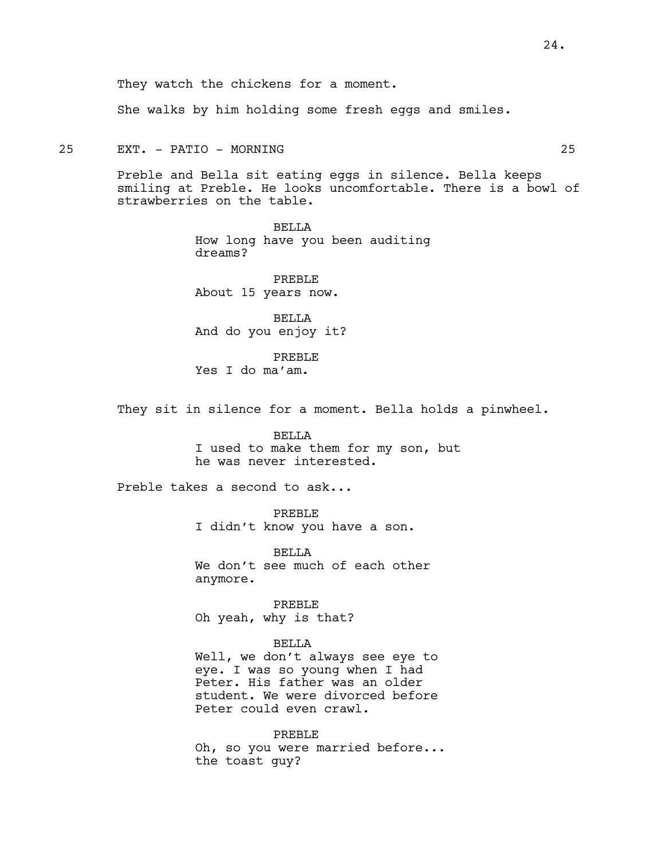They watch the chickens for a moment.

She walks by him holding some fresh eggs and smiles.

25 EXT. - PATIO - MORNING 25

Preble and Bella sit eating eggs in silence. Bella keeps smiling at Preble. He looks uncomfortable. There is a bowl of strawberries on the table.

> BELLA How long have you been auditing dreams?

PREBLE About 15 years now.

BELLA And do you enjoy it?

PREBLE Yes I do ma'am.

They sit in silence for a moment. Bella holds a pinwheel.

BELLA I used to make them for my son, but he was never interested.

Preble takes a second to ask...

PREBLE I didn't know you have a son.

**BELLA** We don't see much of each other anymore.

PREBLE Oh yeah, why is that?

#### BELLA

Well, we don't always see eye to eye. I was so young when I had Peter. His father was an older student. We were divorced before Peter could even crawl.

PREBLE Oh, so you were married before... the toast guy?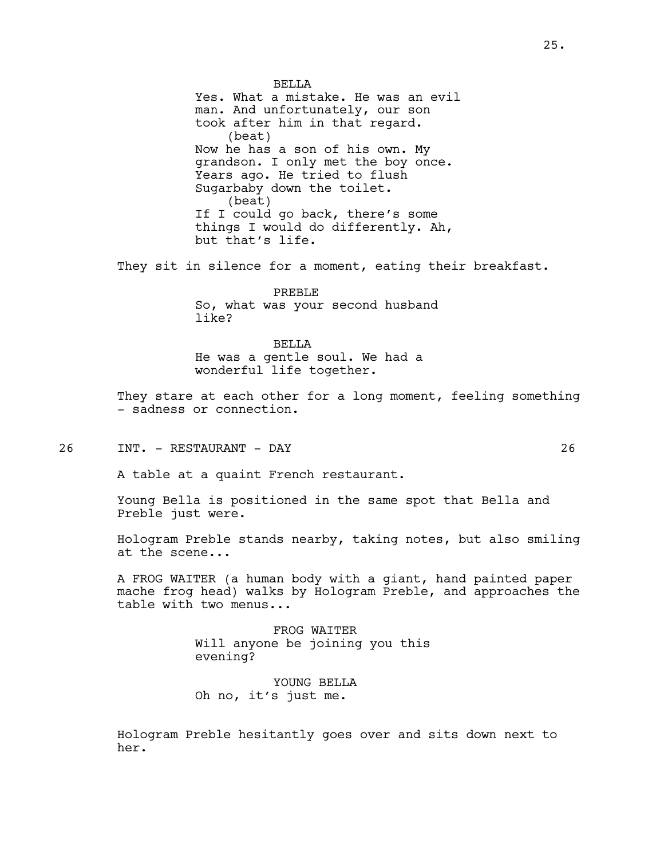**BELLA** 

Yes. What a mistake. He was an evil man. And unfortunately, our son took after him in that regard. (beat) Now he has a son of his own. My grandson. I only met the boy once. Years ago. He tried to flush Sugarbaby down the toilet. (beat) If I could go back, there's some things I would do differently. Ah, but that's life.

They sit in silence for a moment, eating their breakfast.

PREBLE So, what was your second husband like?

BELLA He was a gentle soul. We had a wonderful life together.

They stare at each other for a long moment, feeling something - sadness or connection.

26 INT. - RESTAURANT - DAY 26

A table at a quaint French restaurant.

Young Bella is positioned in the same spot that Bella and Preble just were.

Hologram Preble stands nearby, taking notes, but also smiling at the scene...

A FROG WAITER (a human body with a giant, hand painted paper mache frog head) walks by Hologram Preble, and approaches the table with two menus...

> FROG WAITER Will anyone be joining you this evening?

YOUNG BELLA Oh no, it's just me.

Hologram Preble hesitantly goes over and sits down next to her.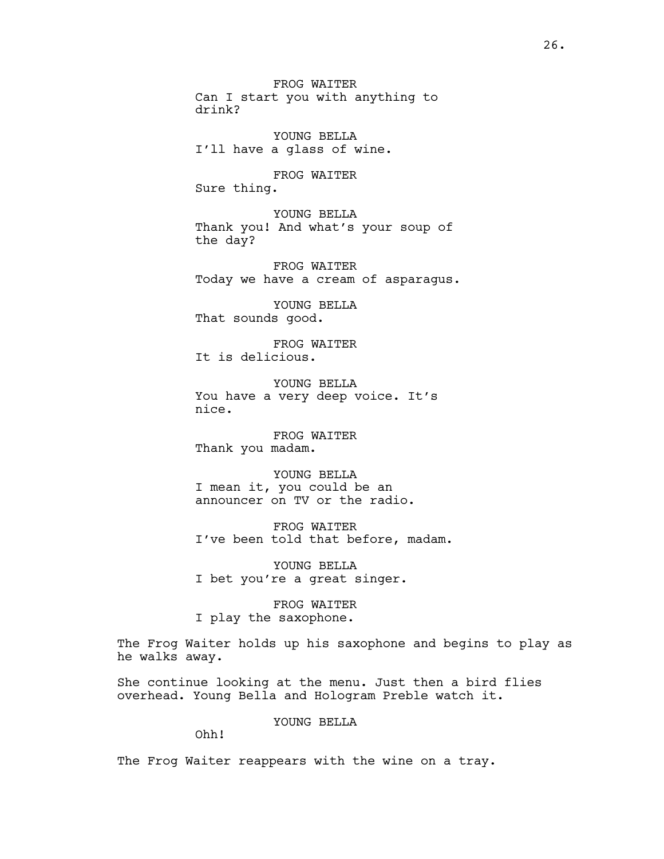FROG WAITER Can I start you with anything to drink?

YOUNG BELLA I'll have a glass of wine.

FROG WAITER Sure thing.

YOUNG BELLA Thank you! And what's your soup of the day?

FROG WAITER Today we have a cream of asparagus.

YOUNG BELLA That sounds good.

FROG WAITER It is delicious.

YOUNG BELLA You have a very deep voice. It's nice.

FROG WAITER Thank you madam.

YOUNG BELLA I mean it, you could be an announcer on TV or the radio.

FROG WAITER I've been told that before, madam.

YOUNG BELLA I bet you're a great singer.

FROG WAITER I play the saxophone.

The Frog Waiter holds up his saxophone and begins to play as he walks away.

She continue looking at the menu. Just then a bird flies overhead. Young Bella and Hologram Preble watch it.

YOUNG BELLA

Ohh!

The Frog Waiter reappears with the wine on a tray.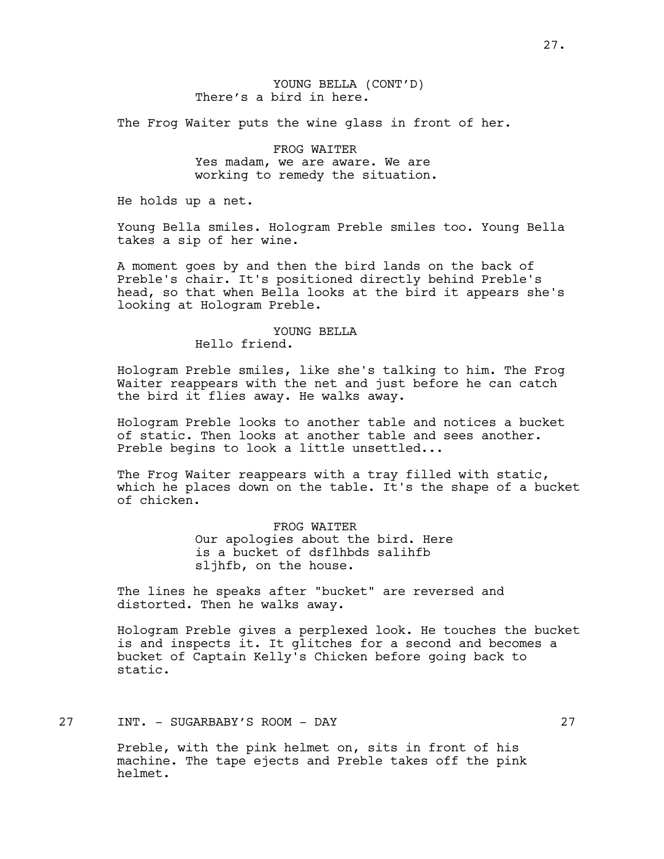The Frog Waiter puts the wine glass in front of her.

FROG WAITER Yes madam, we are aware. We are working to remedy the situation.

He holds up a net.

Young Bella smiles. Hologram Preble smiles too. Young Bella takes a sip of her wine.

A moment goes by and then the bird lands on the back of Preble's chair. It's positioned directly behind Preble's head, so that when Bella looks at the bird it appears she's looking at Hologram Preble.

## YOUNG BELLA Hello friend.

Hologram Preble smiles, like she's talking to him. The Frog Waiter reappears with the net and just before he can catch the bird it flies away. He walks away.

Hologram Preble looks to another table and notices a bucket of static. Then looks at another table and sees another. Preble begins to look a little unsettled...

The Frog Waiter reappears with a tray filled with static, which he places down on the table. It's the shape of a bucket of chicken.

> FROG WAITER Our apologies about the bird. Here is a bucket of dsflhbds salihfb sljhfb, on the house.

The lines he speaks after "bucket" are reversed and distorted. Then he walks away.

Hologram Preble gives a perplexed look. He touches the bucket is and inspects it. It glitches for a second and becomes a bucket of Captain Kelly's Chicken before going back to static.

27 INT. - SUGARBABY'S ROOM - DAY 27

Preble, with the pink helmet on, sits in front of his machine. The tape ejects and Preble takes off the pink helmet.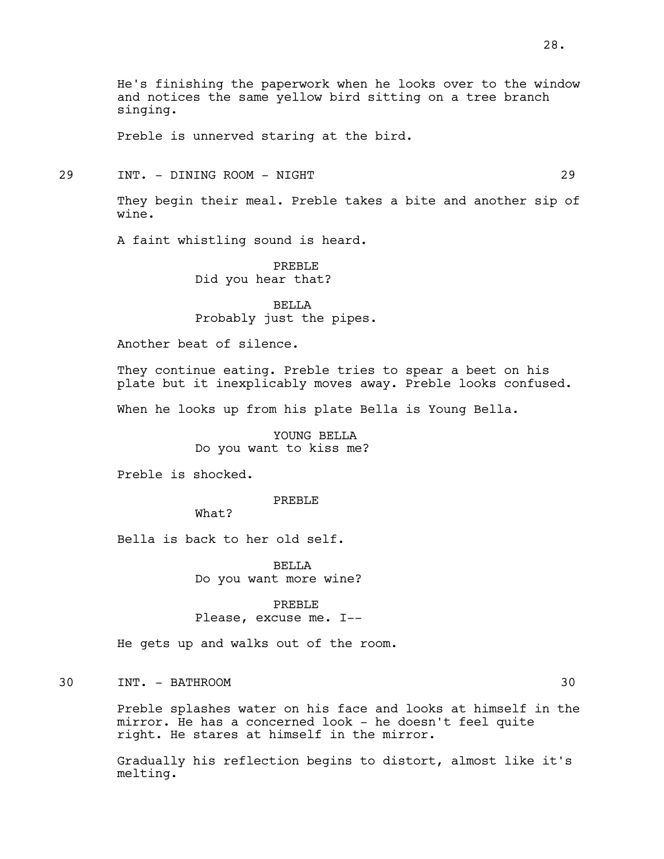Preble is unnerved staring at the bird.

# 29 INT. - DINING ROOM - NIGHT 29

They begin their meal. Preble takes a bite and another sip of wine.

A faint whistling sound is heard.

PREBLE Did you hear that?

BELLA Probably just the pipes.

Another beat of silence.

They continue eating. Preble tries to spear a beet on his plate but it inexplicably moves away. Preble looks confused.

When he looks up from his plate Bella is Young Bella.

YOUNG BELLA Do you want to kiss me?

Preble is shocked.

PREBLE

What?

Bella is back to her old self.

**BELLA** Do you want more wine?

PREBLE Please, excuse me. I--

He gets up and walks out of the room.

30 INT. - BATHROOM 30

Preble splashes water on his face and looks at himself in the mirror. He has a concerned look - he doesn't feel quite right. He stares at himself in the mirror.

Gradually his reflection begins to distort, almost like it's melting.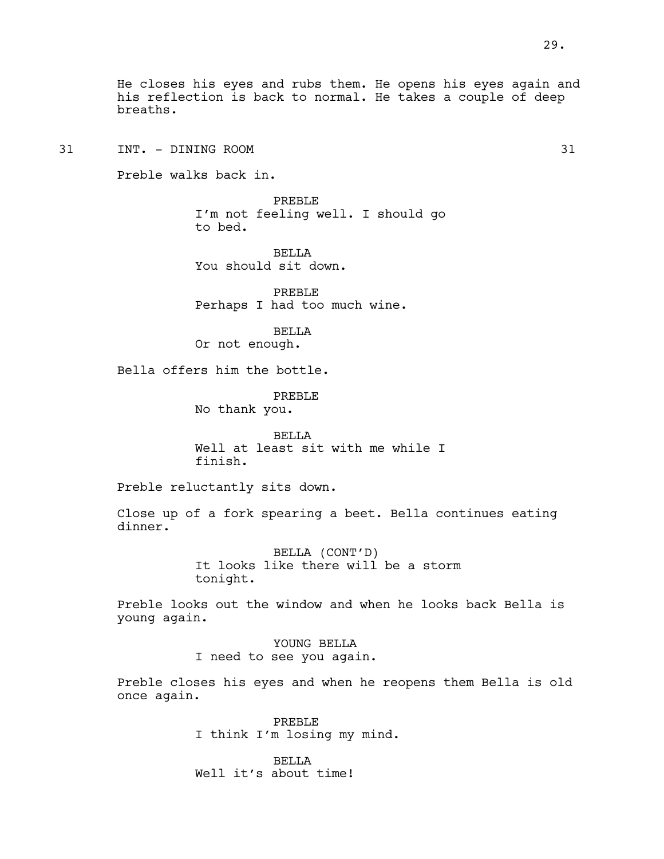31 INT. - DINING ROOM 31

Preble walks back in.

PREBLE I'm not feeling well. I should go to bed.

**BELLA** You should sit down.

PREBLE Perhaps I had too much wine.

BELLA Or not enough.

Bella offers him the bottle.

PREBLE No thank you.

BELLA Well at least sit with me while I finish.

Preble reluctantly sits down.

Close up of a fork spearing a beet. Bella continues eating dinner.

> BELLA (CONT'D) It looks like there will be a storm tonight.

Preble looks out the window and when he looks back Bella is young again.

> YOUNG BELLA I need to see you again.

Preble closes his eyes and when he reopens them Bella is old once again.

> PREBLE I think I'm losing my mind.

BELLA Well it's about time!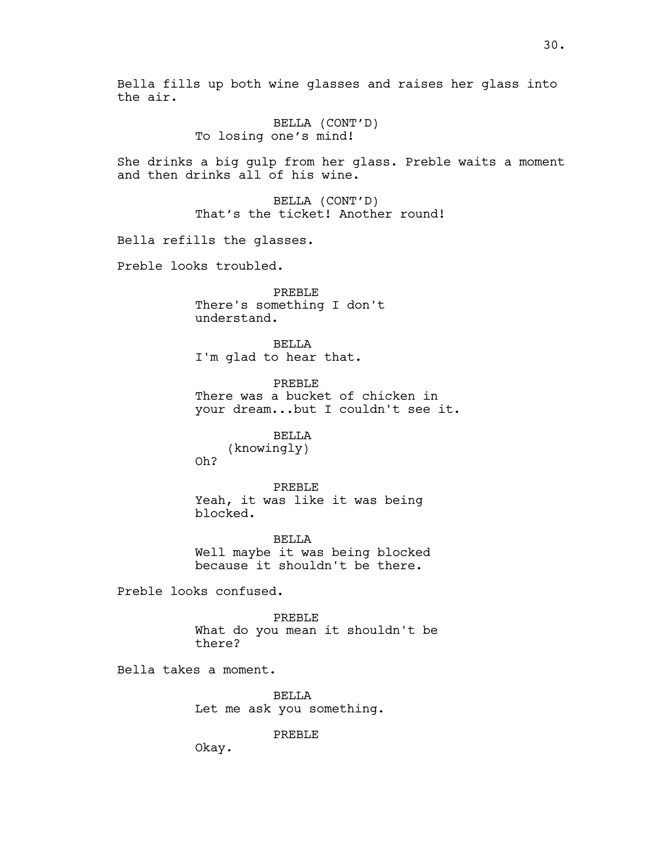Bella fills up both wine glasses and raises her glass into the air. BELLA (CONT'D) To losing one's mind! She drinks a big gulp from her glass. Preble waits a moment and then drinks all of his wine. BELLA (CONT'D) That's the ticket! Another round! Bella refills the glasses. Preble looks troubled. PREBLE There's something I don't understand. BELLA I'm glad to hear that. PREBLE There was a bucket of chicken in your dream...but I couldn't see it. BELLA (knowingly) Oh? PREBLE Yeah, it was like it was being blocked. BELLA Well maybe it was being blocked because it shouldn't be there. Preble looks confused. PREBLE What do you mean it shouldn't be there? Bella takes a moment. BELLA Let me ask you something. PREBLE Okay.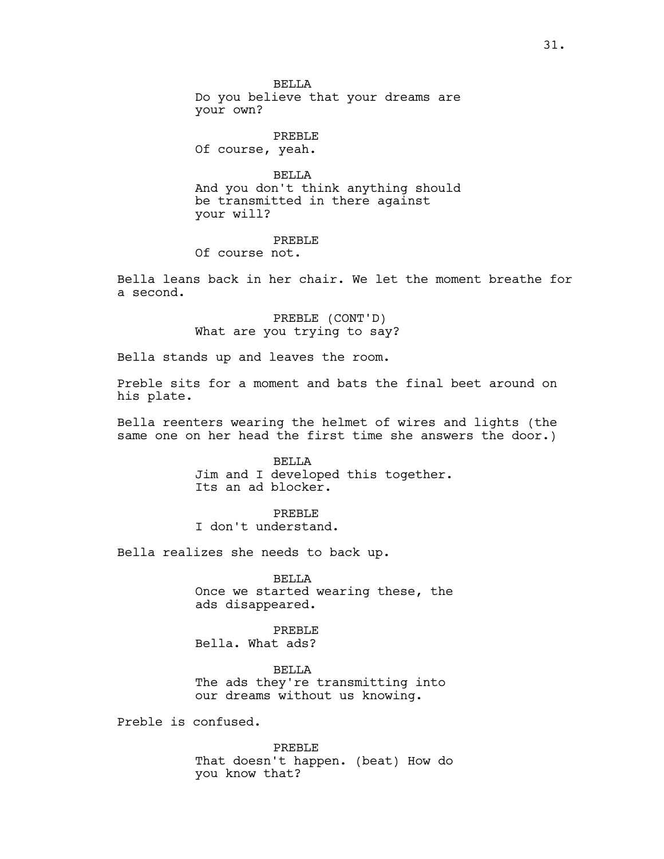**BELLA** Do you believe that your dreams are your own?

PREBLE Of course, yeah.

BELLA And you don't think anything should be transmitted in there against your will?

# PREBLE

Of course not.

Bella leans back in her chair. We let the moment breathe for a second.

> PREBLE (CONT'D) What are you trying to say?

Bella stands up and leaves the room.

Preble sits for a moment and bats the final beet around on his plate.

Bella reenters wearing the helmet of wires and lights (the same one on her head the first time she answers the door.)

> BELLA Jim and I developed this together. Its an ad blocker.

## PREBLE

I don't understand.

Bella realizes she needs to back up.

BELLA Once we started wearing these, the ads disappeared.

PREBLE Bella. What ads?

BELLA The ads they're transmitting into our dreams without us knowing.

Preble is confused.

PREBLE That doesn't happen. (beat) How do you know that?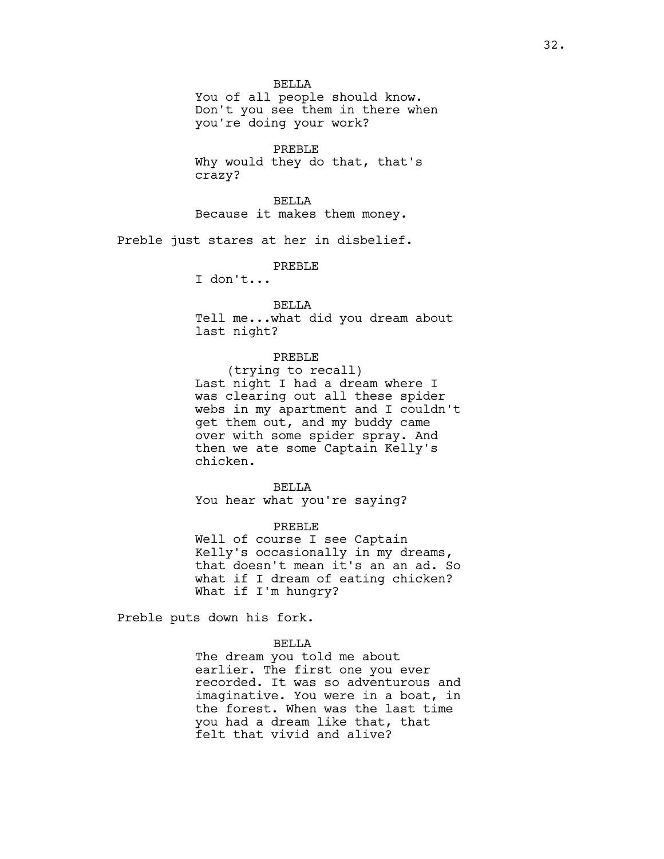BELLA

You of all people should know. Don't you see them in there when you're doing your work?

PREBLE Why would they do that, that's crazy?

BELLA Because it makes them money.

Preble just stares at her in disbelief.

PREBLE

I don't...

BELLA Tell me...what did you dream about last night?

# PREBLE

(trying to recall) Last night I had a dream where I was clearing out all these spider webs in my apartment and I couldn't get them out, and my buddy came over with some spider spray. And then we ate some Captain Kelly's chicken.

#### BELLA

You hear what you're saying?

PREBLE

Well of course I see Captain Kelly's occasionally in my dreams, that doesn't mean it's an an ad. So what if I dream of eating chicken? What if I'm hungry?

Preble puts down his fork.

#### BELLA

The dream you told me about earlier. The first one you ever recorded. It was so adventurous and imaginative. You were in a boat, in the forest. When was the last time you had a dream like that, that felt that vivid and alive?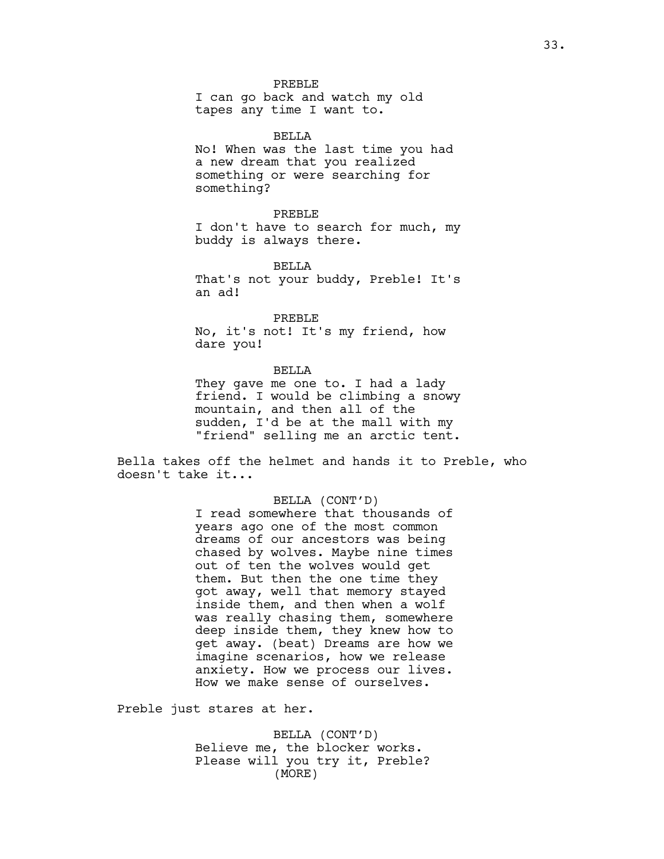#### PREBLE

I can go back and watch my old tapes any time I want to.

#### BELLA

No! When was the last time you had a new dream that you realized something or were searching for something?

#### PREBLE

I don't have to search for much, my buddy is always there.

BELLA

That's not your buddy, Preble! It's an ad!

#### PREBLE

No, it's not! It's my friend, how dare you!

## BELLA

They gave me one to. I had a lady friend. I would be climbing a snowy mountain, and then all of the sudden, I'd be at the mall with my "friend" selling me an arctic tent.

Bella takes off the helmet and hands it to Preble, who doesn't take it...

## BELLA (CONT'D)

I read somewhere that thousands of years ago one of the most common dreams of our ancestors was being chased by wolves. Maybe nine times out of ten the wolves would get them. But then the one time they got away, well that memory stayed inside them, and then when a wolf was really chasing them, somewhere deep inside them, they knew how to get away. (beat) Dreams are how we imagine scenarios, how we release anxiety. How we process our lives. How we make sense of ourselves.

Preble just stares at her.

BELLA (CONT'D) Believe me, the blocker works. Please will you try it, Preble? (MORE)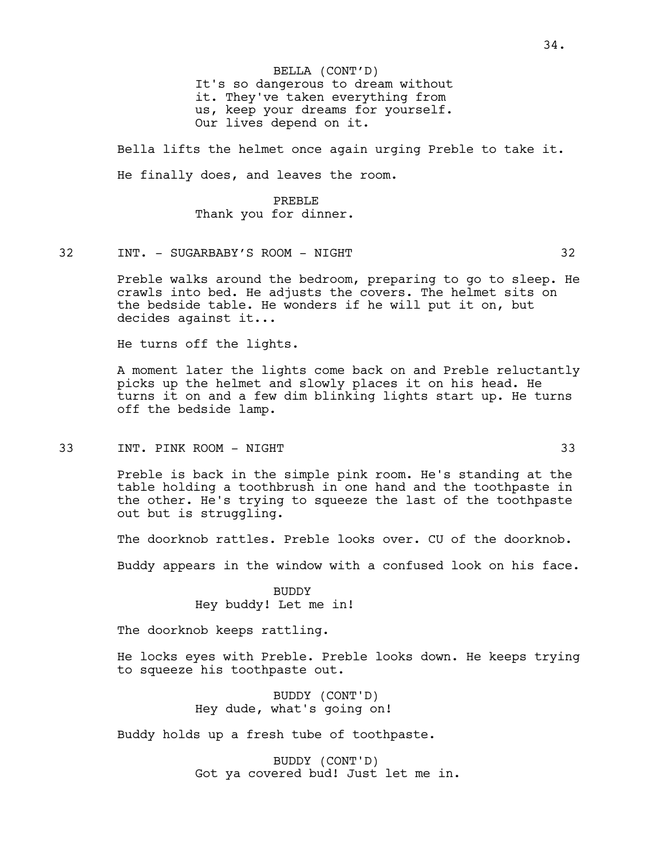It's so dangerous to dream without it. They've taken everything from us, keep your dreams for yourself. Our lives depend on it. BELLA (CONT'D)

Bella lifts the helmet once again urging Preble to take it. He finally does, and leaves the room.

# PREBLE Thank you for dinner.

32 INT. - SUGARBABY'S ROOM - NIGHT 32

Preble walks around the bedroom, preparing to go to sleep. He crawls into bed. He adjusts the covers. The helmet sits on the bedside table. He wonders if he will put it on, but decides against it...

He turns off the lights.

A moment later the lights come back on and Preble reluctantly picks up the helmet and slowly places it on his head. He turns it on and a few dim blinking lights start up. He turns off the bedside lamp.

33 INT. PINK ROOM - NIGHT 33

Preble is back in the simple pink room. He's standing at the table holding a toothbrush in one hand and the toothpaste in the other. He's trying to squeeze the last of the toothpaste out but is struggling.

The doorknob rattles. Preble looks over. CU of the doorknob.

Buddy appears in the window with a confused look on his face.

BUDDY Hey buddy! Let me in!

The doorknob keeps rattling.

He locks eyes with Preble. Preble looks down. He keeps trying to squeeze his toothpaste out.

> BUDDY (CONT'D) Hey dude, what's going on!

Buddy holds up a fresh tube of toothpaste.

BUDDY (CONT'D) Got ya covered bud! Just let me in.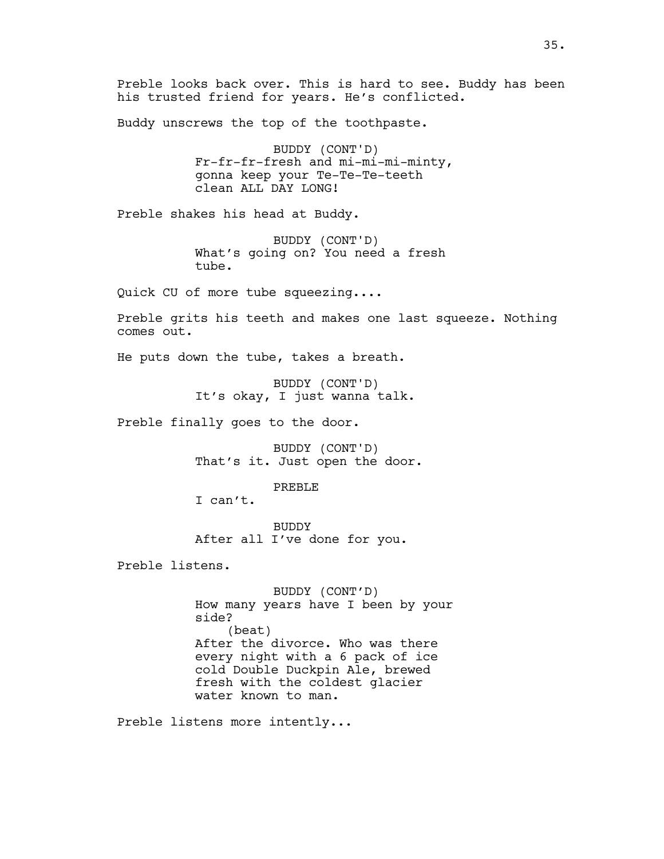Buddy unscrews the top of the toothpaste.

BUDDY (CONT'D) Fr-fr-fr-fresh and mi-mi-mi-minty, gonna keep your Te-Te-Te-teeth clean ALL DAY LONG!

Preble shakes his head at Buddy.

BUDDY (CONT'D) What's going on? You need a fresh tube.

Quick CU of more tube squeezing....

Preble grits his teeth and makes one last squeeze. Nothing comes out.

He puts down the tube, takes a breath.

BUDDY (CONT'D) It's okay, I just wanna talk.

Preble finally goes to the door.

BUDDY (CONT'D) That's it. Just open the door.

PREBLE

I can't.

BUDDY After all I've done for you.

Preble listens.

BUDDY (CONT'D) How many years have I been by your side? (beat) After the divorce. Who was there every night with a 6 pack of ice cold Double Duckpin Ale, brewed fresh with the coldest glacier water known to man.

Preble listens more intently...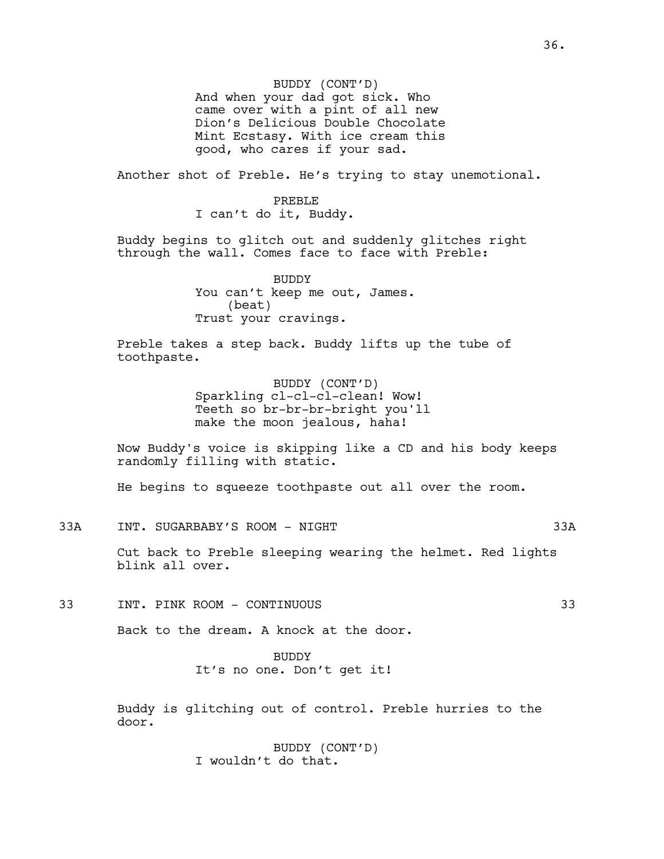BUDDY (CONT'D) And when your dad got sick. Who came over with a pint of all new Dion's Delicious Double Chocolate Mint Ecstasy. With ice cream this good, who cares if your sad.

Another shot of Preble. He's trying to stay unemotional.

PREBLE I can't do it, Buddy.

Buddy begins to glitch out and suddenly glitches right through the wall. Comes face to face with Preble:

> BUDDY You can't keep me out, James. (beat) Trust your cravings.

Preble takes a step back. Buddy lifts up the tube of toothpaste.

> BUDDY (CONT'D) Sparkling cl-cl-cl-clean! Wow! Teeth so br-br-br-bright you'll make the moon jealous, haha!

Now Buddy's voice is skipping like a CD and his body keeps randomly filling with static.

He begins to squeeze toothpaste out all over the room.

33A INT. SUGARBABY'S ROOM - NIGHT 33A

Cut back to Preble sleeping wearing the helmet. Red lights blink all over.

33 INT. PINK ROOM - CONTINUOUS 33

Back to the dream. A knock at the door.

BUDDY It's no one. Don't get it!

Buddy is glitching out of control. Preble hurries to the door.

> BUDDY (CONT'D) I wouldn't do that.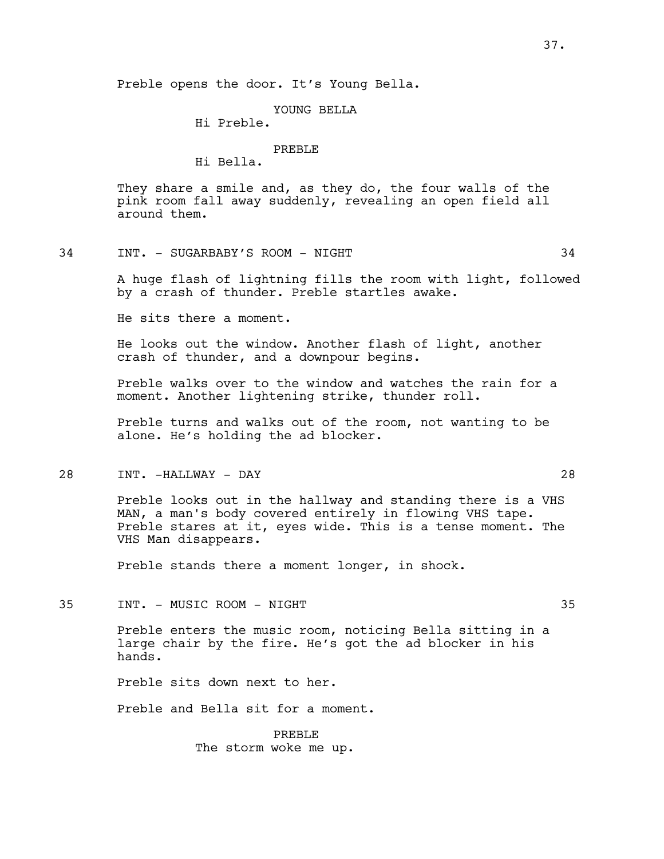Preble opens the door. It's Young Bella.

#### YOUNG BELLA

Hi Preble.

# PREBLE

Hi Bella.

They share a smile and, as they do, the four walls of the pink room fall away suddenly, revealing an open field all around them.

#### 34 INT. - SUGARBABY'S ROOM - NIGHT 34

A huge flash of lightning fills the room with light, followed by a crash of thunder. Preble startles awake.

He sits there a moment.

He looks out the window. Another flash of light, another crash of thunder, and a downpour begins.

Preble walks over to the window and watches the rain for a moment. Another lightening strike, thunder roll.

Preble turns and walks out of the room, not wanting to be alone. He's holding the ad blocker.

## 28 INT. -HALLWAY - DAY 28

Preble looks out in the hallway and standing there is a VHS MAN, a man's body covered entirely in flowing VHS tape. Preble stares at it, eyes wide. This is a tense moment. The VHS Man disappears.

Preble stands there a moment longer, in shock.

35 INT. - MUSIC ROOM - NIGHT 35

Preble enters the music room, noticing Bella sitting in a large chair by the fire. He's got the ad blocker in his hands.

Preble sits down next to her.

Preble and Bella sit for a moment.

PREBLE The storm woke me up.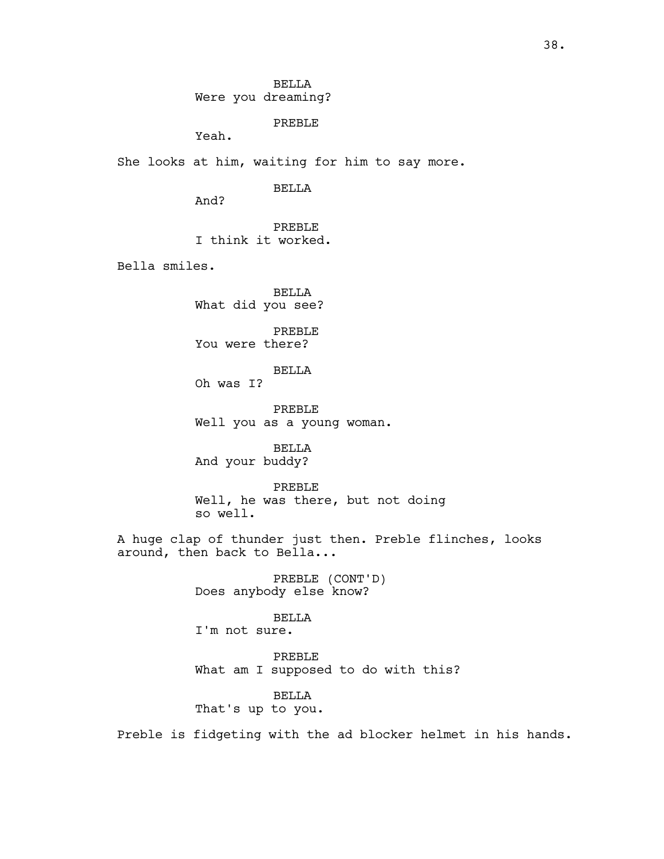BELLA Were you dreaming?

PREBLE

Yeah.

She looks at him, waiting for him to say more.

BELLA

And?

PREBLE I think it worked.

Bella smiles.

BELLA What did you see?

PREBLE You were there?

BELLA

Oh was I?

PREBLE Well you as a young woman.

BELLA And your buddy?

PREBLE Well, he was there, but not doing so well.

A huge clap of thunder just then. Preble flinches, looks around, then back to Bella...

> PREBLE (CONT'D) Does anybody else know?

BELLA I'm not sure.

PREBLE What am I supposed to do with this?

BELLA That's up to you.

Preble is fidgeting with the ad blocker helmet in his hands.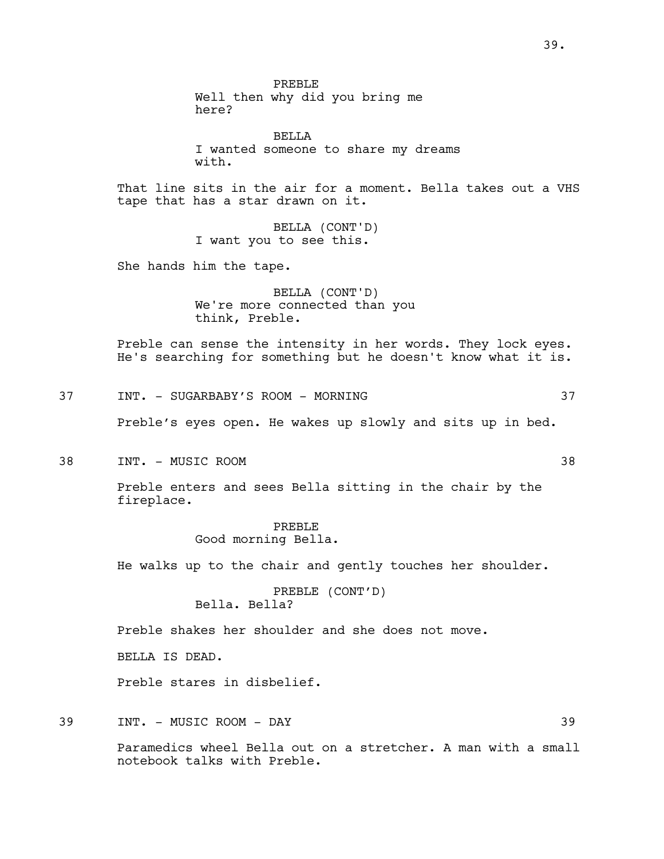PREBLE Well then why did you bring me here?

BELLA I wanted someone to share my dreams with.

That line sits in the air for a moment. Bella takes out a VHS tape that has a star drawn on it.

> BELLA (CONT'D) I want you to see this.

She hands him the tape.

BELLA (CONT'D) We're more connected than you think, Preble.

Preble can sense the intensity in her words. They lock eyes. He's searching for something but he doesn't know what it is.

37 INT. - SUGARBABY'S ROOM - MORNING 37

Preble's eyes open. He wakes up slowly and sits up in bed.

38 INT. - MUSIC ROOM 38

Preble enters and sees Bella sitting in the chair by the fireplace.

> PREBLE Good morning Bella.

He walks up to the chair and gently touches her shoulder.

PREBLE (CONT'D) Bella. Bella?

Preble shakes her shoulder and she does not move.

BELLA IS DEAD.

Preble stares in disbelief.

39 INT. - MUSIC ROOM - DAY 39

Paramedics wheel Bella out on a stretcher. A man with a small notebook talks with Preble.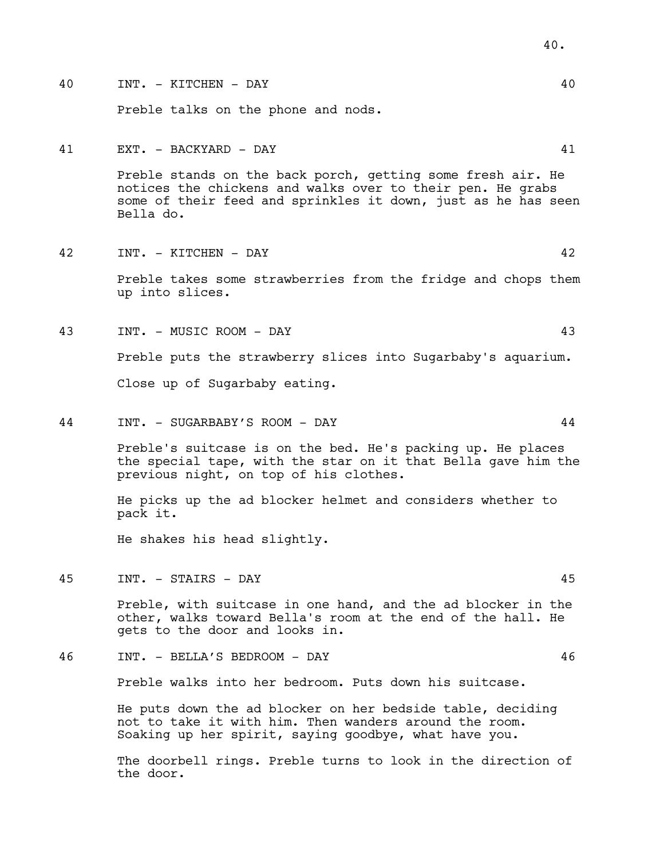- 40 INT. KITCHEN DAY 40 Preble talks on the phone and nods. 41 EXT. - BACKYARD - DAY 41 Preble stands on the back porch, getting some fresh air. He notices the chickens and walks over to their pen. He grabs some of their feed and sprinkles it down, just as he has seen Bella do. 42 INT. - KITCHEN - DAY 42 Preble takes some strawberries from the fridge and chops them up into slices. 43 INT. - MUSIC ROOM - DAY 43
	- Preble puts the strawberry slices into Sugarbaby's aquarium. Close up of Sugarbaby eating.
- 44 INT. SUGARBABY'S ROOM DAY 44

Preble's suitcase is on the bed. He's packing up. He places the special tape, with the star on it that Bella gave him the previous night, on top of his clothes.

He picks up the ad blocker helmet and considers whether to pack it.

He shakes his head slightly.

45 INT. - STAIRS - DAY 45

Preble, with suitcase in one hand, and the ad blocker in the other, walks toward Bella's room at the end of the hall. He gets to the door and looks in.

46 INT. - BELLA'S BEDROOM - DAY 46

Preble walks into her bedroom. Puts down his suitcase.

He puts down the ad blocker on her bedside table, deciding not to take it with him. Then wanders around the room. Soaking up her spirit, saying goodbye, what have you.

The doorbell rings. Preble turns to look in the direction of the door.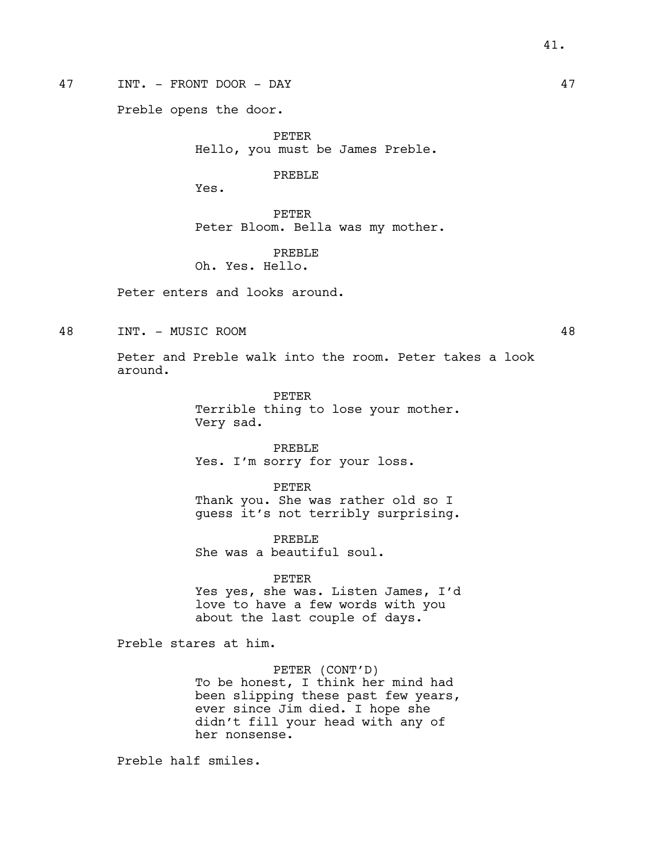47 INT. - FRONT DOOR - DAY 47

Preble opens the door.

PETER Hello, you must be James Preble.

PREBLE

Yes.

PETER Peter Bloom. Bella was my mother.

PREBLE Oh. Yes. Hello.

Peter enters and looks around.

48 INT. - MUSIC ROOM 48

Peter and Preble walk into the room. Peter takes a look around.

> PETER Terrible thing to lose your mother. Very sad.

PREBLE Yes. I'm sorry for your loss.

PETER Thank you. She was rather old so I guess it's not terribly surprising.

PREBLE She was a beautiful soul.

PETER Yes yes, she was. Listen James, I'd love to have a few words with you about the last couple of days.

Preble stares at him.

PETER (CONT'D) To be honest, I think her mind had been slipping these past few years, ever since Jim died. I hope she didn't fill your head with any of her nonsense.

Preble half smiles.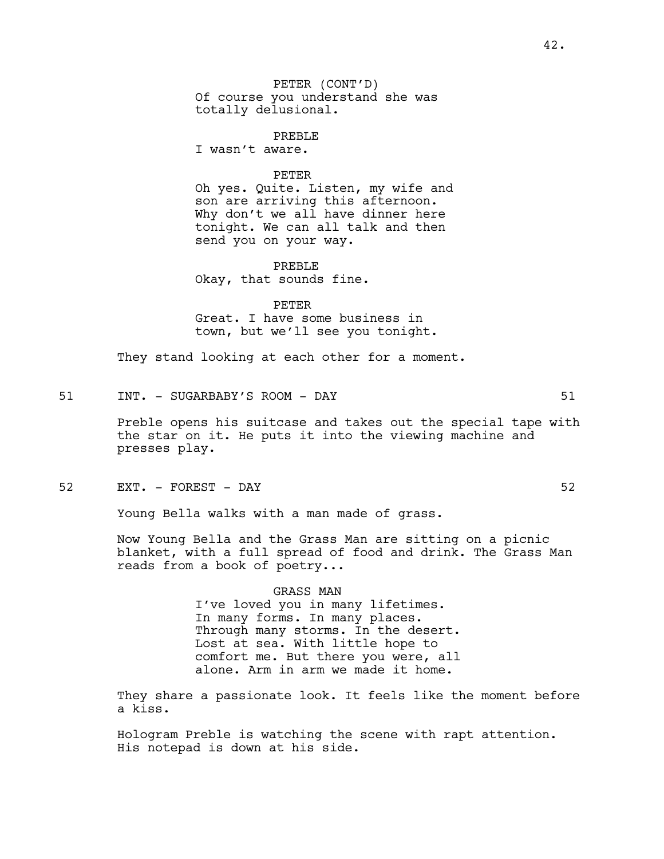PETER (CONT'D) Of course you understand she was totally delusional.

PREBLE

I wasn't aware.

#### PETER

Oh yes. Quite. Listen, my wife and son are arriving this afternoon. Why don't we all have dinner here tonight. We can all talk and then send you on your way.

PREBLE Okay, that sounds fine.

PETER Great. I have some business in town, but we'll see you tonight.

They stand looking at each other for a moment.

51 INT. - SUGARBABY'S ROOM - DAY 51

Preble opens his suitcase and takes out the special tape with the star on it. He puts it into the viewing machine and presses play.

52 EXT. – FOREST – DAY 52

Young Bella walks with a man made of grass.

Now Young Bella and the Grass Man are sitting on a picnic blanket, with a full spread of food and drink. The Grass Man reads from a book of poetry...

> GRASS MAN I've loved you in many lifetimes. In many forms. In many places. Through many storms. In the desert. Lost at sea. With little hope to comfort me. But there you were, all alone. Arm in arm we made it home.

They share a passionate look. It feels like the moment before a kiss.

Hologram Preble is watching the scene with rapt attention. His notepad is down at his side.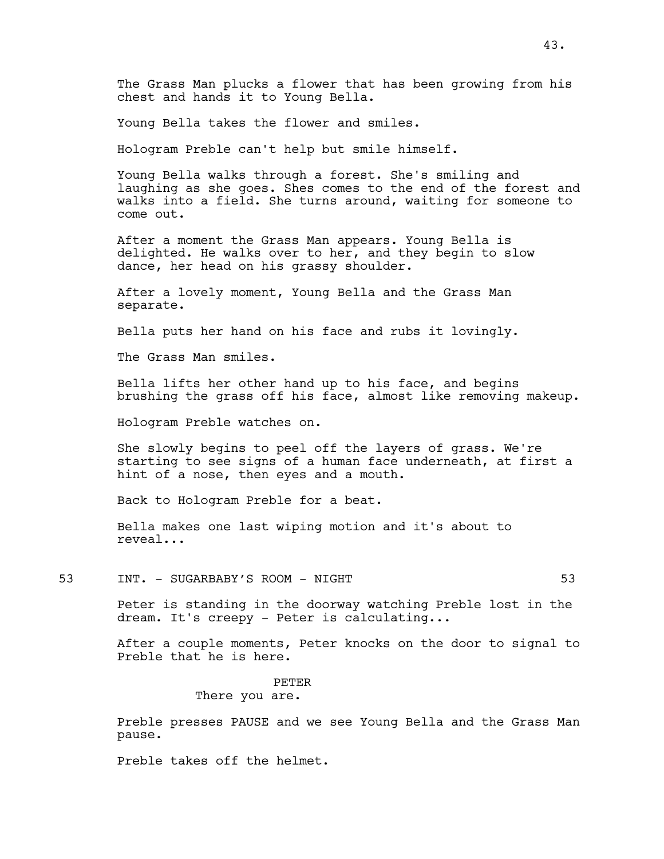Young Bella takes the flower and smiles.

Hologram Preble can't help but smile himself.

Young Bella walks through a forest. She's smiling and laughing as she goes. Shes comes to the end of the forest and walks into a field. She turns around, waiting for someone to come out.

After a moment the Grass Man appears. Young Bella is delighted. He walks over to her, and they begin to slow dance, her head on his grassy shoulder.

After a lovely moment, Young Bella and the Grass Man separate.

Bella puts her hand on his face and rubs it lovingly.

The Grass Man smiles.

Bella lifts her other hand up to his face, and begins brushing the grass off his face, almost like removing makeup.

Hologram Preble watches on.

She slowly begins to peel off the layers of grass. We're starting to see signs of a human face underneath, at first a hint of a nose, then eyes and a mouth.

Back to Hologram Preble for a beat.

Bella makes one last wiping motion and it's about to reveal...

53 INT. - SUGARBABY'S ROOM - NIGHT 53

Peter is standing in the doorway watching Preble lost in the dream. It's creepy - Peter is calculating...

After a couple moments, Peter knocks on the door to signal to Preble that he is here.

> PETER There you are.

Preble presses PAUSE and we see Young Bella and the Grass Man pause.

Preble takes off the helmet.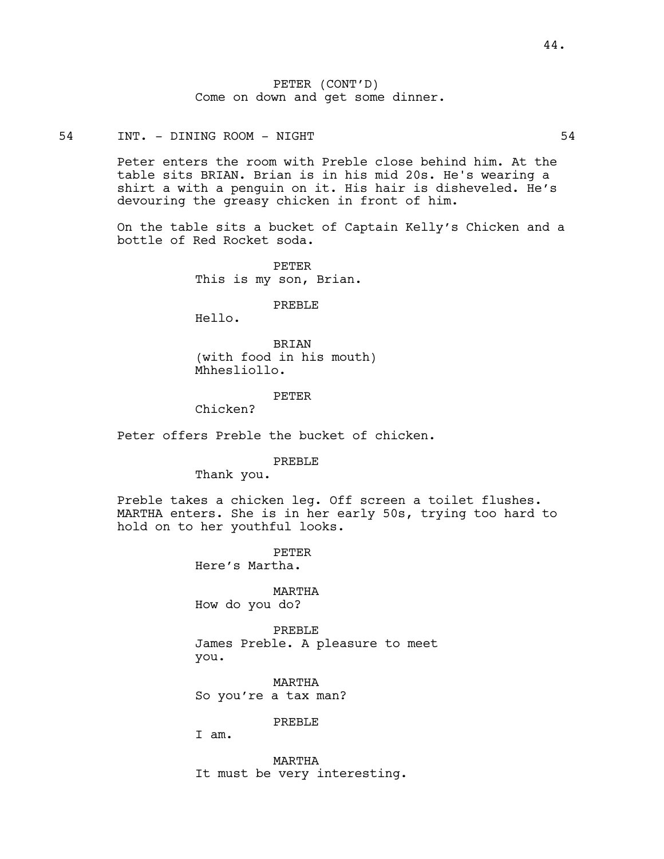PETER (CONT'D) Come on down and get some dinner.

54 INT. - DINING ROOM - NIGHT 54

Peter enters the room with Preble close behind him. At the table sits BRIAN. Brian is in his mid 20s. He's wearing a shirt a with a penguin on it. His hair is disheveled. He's devouring the greasy chicken in front of him.

On the table sits a bucket of Captain Kelly's Chicken and a bottle of Red Rocket soda.

> PETER This is my son, Brian.

> > PREBLE

Hello.

BRIAN (with food in his mouth) Mhhesliollo.

#### PETER

Chicken?

Peter offers Preble the bucket of chicken.

PREBLE

Thank you.

Preble takes a chicken leg. Off screen a toilet flushes. MARTHA enters. She is in her early 50s, trying too hard to hold on to her youthful looks.

> PETER Here's Martha.

MARTHA How do you do?

PREBLE James Preble. A pleasure to meet you.

MARTHA So you're a tax man?

PREBLE

I am.

MARTHA It must be very interesting.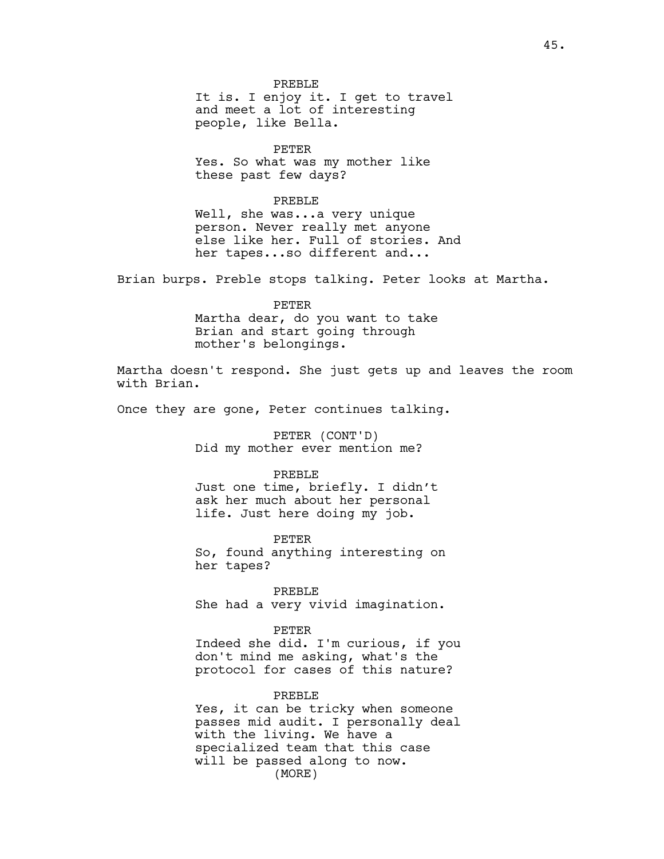It is. I enjoy it. I get to travel and meet a lot of interesting people, like Bella.

PETER Yes. So what was my mother like these past few days?

#### PREBLE

Well, she was...a very unique person. Never really met anyone else like her. Full of stories. And her tapes...so different and...

Brian burps. Preble stops talking. Peter looks at Martha.

PETER Martha dear, do you want to take Brian and start going through mother's belongings.

Martha doesn't respond. She just gets up and leaves the room with Brian.

Once they are gone, Peter continues talking.

PETER (CONT'D) Did my mother ever mention me?

#### PREBLE

Just one time, briefly. I didn't ask her much about her personal life. Just here doing my job.

PETER So, found anything interesting on her tapes?

PREBLE She had a very vivid imagination.

PETER

Indeed she did. I'm curious, if you don't mind me asking, what's the protocol for cases of this nature?

#### PREBLE

Yes, it can be tricky when someone passes mid audit. I personally deal with the living. We have a specialized team that this case will be passed along to now. (MORE)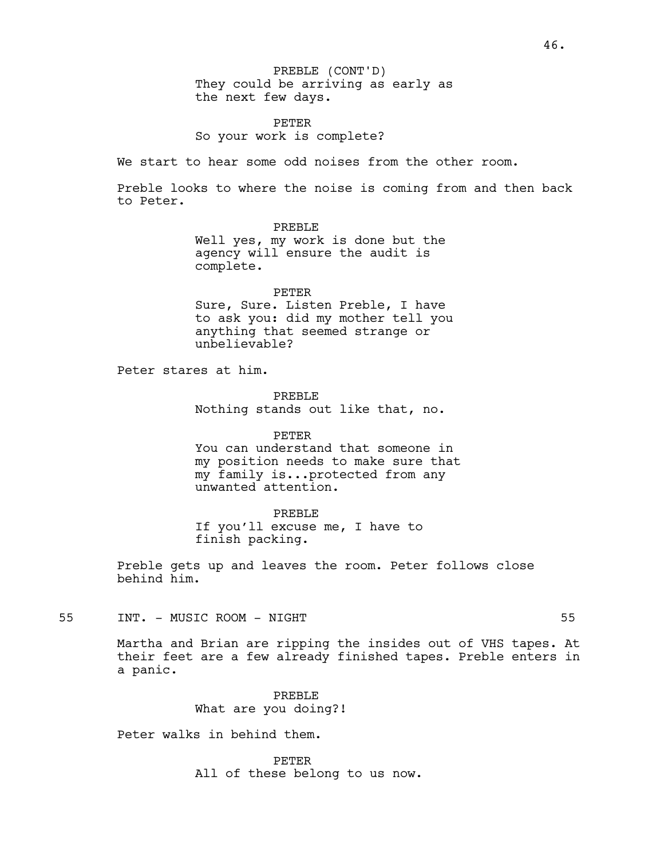They could be arriving as early as the next few days. PREBLE (CONT'D)

PETER So your work is complete?

We start to hear some odd noises from the other room.

Preble looks to where the noise is coming from and then back to Peter.

> PREBLE Well yes, my work is done but the agency will ensure the audit is complete.

PETER Sure, Sure. Listen Preble, I have to ask you: did my mother tell you anything that seemed strange or unbelievable?

Peter stares at him.

PREBLE Nothing stands out like that, no.

PETER You can understand that someone in my position needs to make sure that my family is...protected from any unwanted attention.

PREBLE If you'll excuse me, I have to finish packing.

Preble gets up and leaves the room. Peter follows close behind him.

55 INT. - MUSIC ROOM - NIGHT 55

Martha and Brian are ripping the insides out of VHS tapes. At their feet are a few already finished tapes. Preble enters in a panic.

> PREBLE What are you doing?!

Peter walks in behind them.

PETER All of these belong to us now.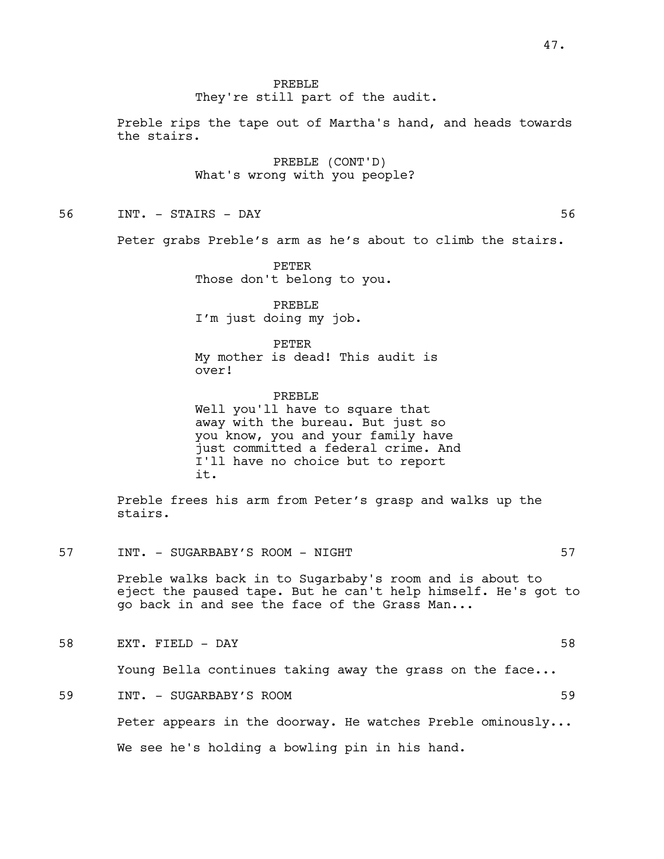#### PREBLE

They're still part of the audit.

Preble rips the tape out of Martha's hand, and heads towards the stairs.

> PREBLE (CONT'D) What's wrong with you people?

56 INT. - STAIRS - DAY 56

Peter grabs Preble's arm as he's about to climb the stairs.

PETER Those don't belong to you.

PREBLE I'm just doing my job.

PETER My mother is dead! This audit is over!

PREBLE Well you'll have to square that away with the bureau. But just so you know, you and your family have just committed a federal crime. And I'll have no choice but to report it.

Preble frees his arm from Peter's grasp and walks up the stairs.

57 INT. - SUGARBABY'S ROOM - NIGHT 57

Preble walks back in to Sugarbaby's room and is about to eject the paused tape. But he can't help himself. He's got to go back in and see the face of the Grass Man...

58 EXT. FIELD - DAY 58

Young Bella continues taking away the grass on the face...

59 INT. - SUGARBABY'S ROOM 59

Peter appears in the doorway. He watches Preble ominously...

We see he's holding a bowling pin in his hand.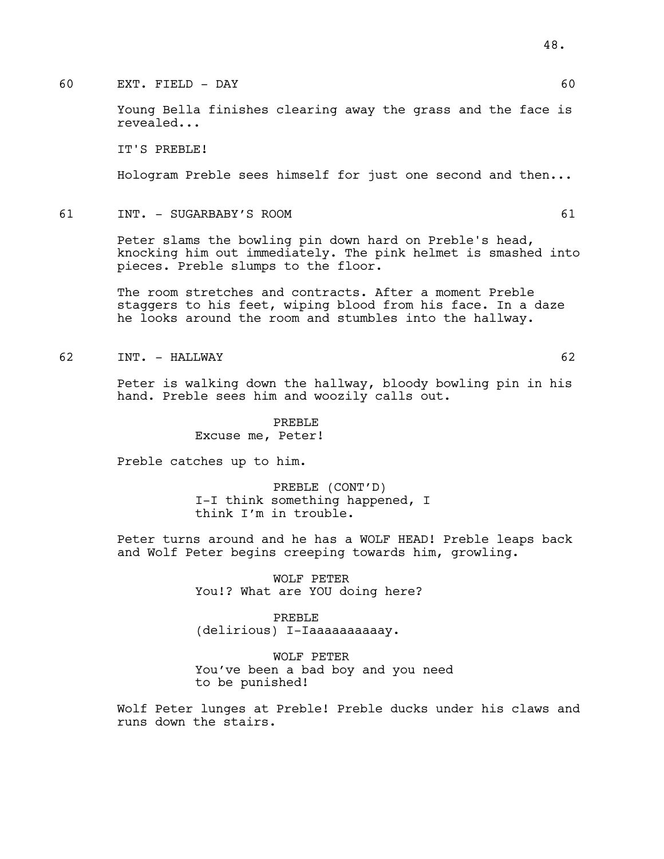# 60 EXT. FIELD - DAY 60

Young Bella finishes clearing away the grass and the face is revealed...

IT'S PREBLE!

Hologram Preble sees himself for just one second and then...

### 61 INT. - SUGARBABY'S ROOM 61

Peter slams the bowling pin down hard on Preble's head, knocking him out immediately. The pink helmet is smashed into pieces. Preble slumps to the floor.

The room stretches and contracts. After a moment Preble staggers to his feet, wiping blood from his face. In a daze he looks around the room and stumbles into the hallway.

#### 62 INT. - HALLWAY 62

Peter is walking down the hallway, bloody bowling pin in his hand. Preble sees him and woozily calls out.

PREBLE

Excuse me, Peter!

Preble catches up to him.

PREBLE (CONT'D) I-I think something happened, I think I'm in trouble.

Peter turns around and he has a WOLF HEAD! Preble leaps back and Wolf Peter begins creeping towards him, growling.

> WOLF PETER You!? What are YOU doing here?

PREBLE (delirious) I-Iaaaaaaaaaay.

WOLF PETER You've been a bad boy and you need to be punished!

Wolf Peter lunges at Preble! Preble ducks under his claws and runs down the stairs.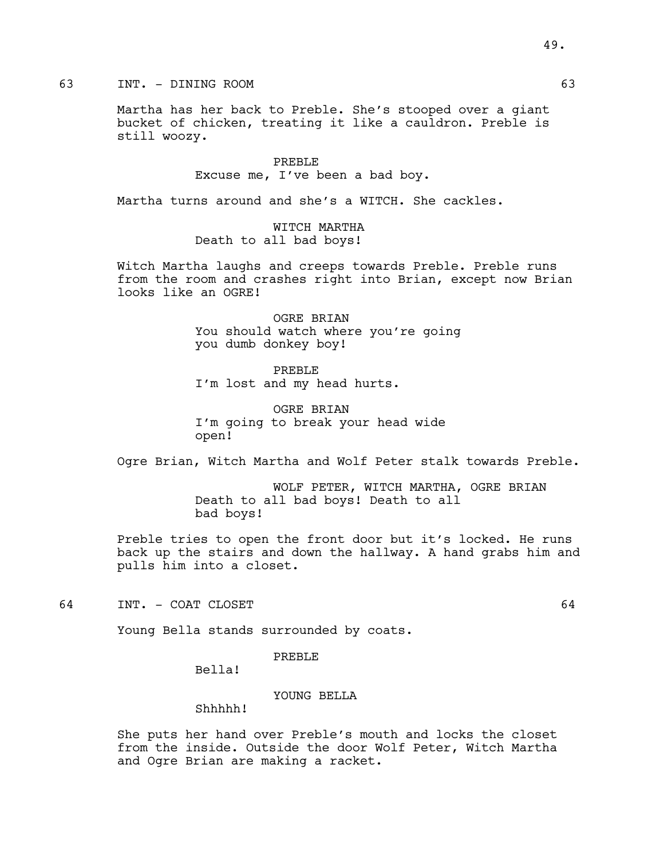# 63 INT. - DINING ROOM 63

Martha has her back to Preble. She's stooped over a giant bucket of chicken, treating it like a cauldron. Preble is still woozy.

> PREBLE Excuse me, I've been a bad boy.

Martha turns around and she's a WITCH. She cackles.

WITCH MARTHA Death to all bad boys!

Witch Martha laughs and creeps towards Preble. Preble runs from the room and crashes right into Brian, except now Brian looks like an OGRE!

> OGRE BRIAN You should watch where you're going you dumb donkey boy!

PREBLE I'm lost and my head hurts.

OGRE BRIAN I'm going to break your head wide open!

Ogre Brian, Witch Martha and Wolf Peter stalk towards Preble.

WOLF PETER, WITCH MARTHA, OGRE BRIAN Death to all bad boys! Death to all bad boys!

Preble tries to open the front door but it's locked. He runs back up the stairs and down the hallway. A hand grabs him and pulls him into a closet.

64 INT. - COAT CLOSET 64

Young Bella stands surrounded by coats.

### PREBLE

Bella!

### YOUNG BELLA

# Shhhhh!

She puts her hand over Preble's mouth and locks the closet from the inside. Outside the door Wolf Peter, Witch Martha and Ogre Brian are making a racket.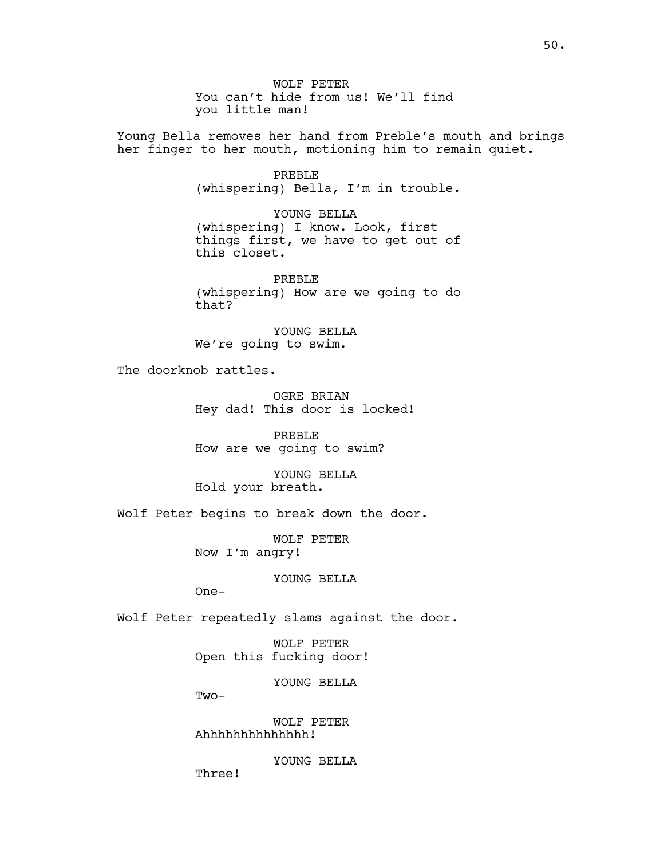WOLF PETER You can't hide from us! We'll find you little man!

Young Bella removes her hand from Preble's mouth and brings her finger to her mouth, motioning him to remain quiet.

> PREBLE (whispering) Bella, I'm in trouble.

> YOUNG BELLA (whispering) I know. Look, first things first, we have to get out of this closet.

> PREBLE (whispering) How are we going to do that?

YOUNG BELLA We're going to swim.

The doorknob rattles.

OGRE BRIAN Hey dad! This door is locked!

PREBLE How are we going to swim?

YOUNG BELLA Hold your breath.

Wolf Peter begins to break down the door.

WOLF PETER Now I'm angry!

YOUNG BELLA

One-

Wolf Peter repeatedly slams against the door.

WOLF PETER Open this fucking door!

YOUNG BELLA

Two-

WOLF PETER Ahhhhhhhhhhhhhh!

YOUNG BELLA

Three!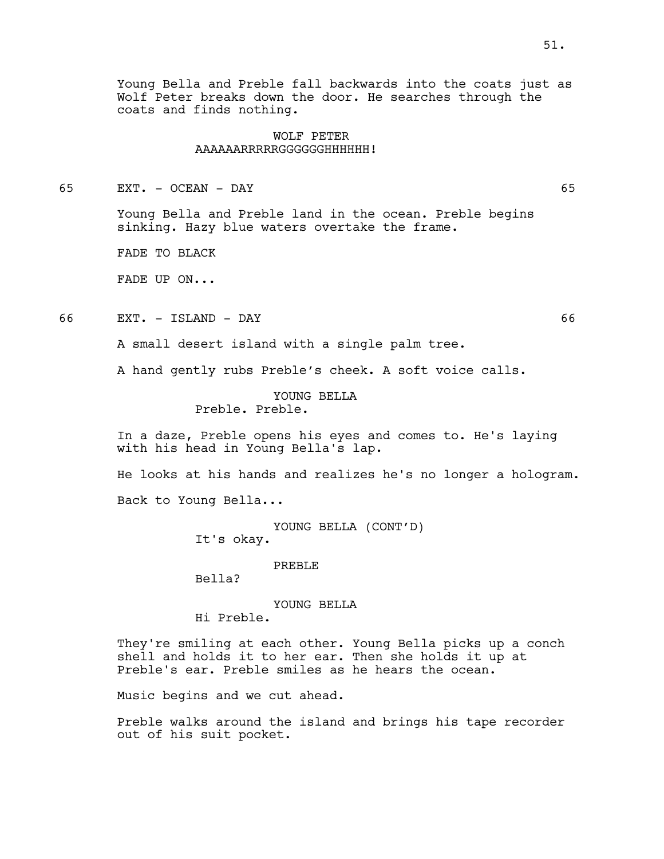Young Bella and Preble fall backwards into the coats just as Wolf Peter breaks down the door. He searches through the coats and finds nothing.

## WOLF PETER AAAAAARRRRRGGGGGGHHHHHH!

65 EXT. - OCEAN - DAY 65

Young Bella and Preble land in the ocean. Preble begins sinking. Hazy blue waters overtake the frame.

FADE TO BLACK

FADE UP ON...

66 EXT. - ISLAND - DAY 66

A small desert island with a single palm tree.

A hand gently rubs Preble's cheek. A soft voice calls.

YOUNG BELLA Preble. Preble.

In a daze, Preble opens his eyes and comes to. He's laying with his head in Young Bella's lap.

He looks at his hands and realizes he's no longer a hologram. Back to Young Bella...

> YOUNG BELLA (CONT'D) It's okay.

> > PREBLE

Bella?

YOUNG BELLA

Hi Preble.

They're smiling at each other. Young Bella picks up a conch shell and holds it to her ear. Then she holds it up at Preble's ear. Preble smiles as he hears the ocean.

Music begins and we cut ahead.

Preble walks around the island and brings his tape recorder out of his suit pocket.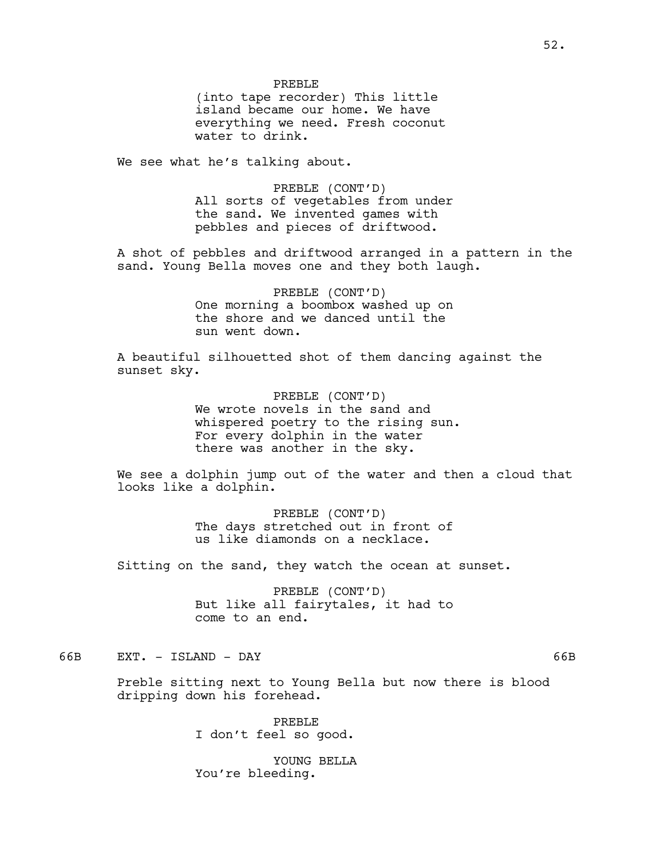We see what he's talking about.

PREBLE (CONT'D) All sorts of vegetables from under the sand. We invented games with pebbles and pieces of driftwood.

A shot of pebbles and driftwood arranged in a pattern in the sand. Young Bella moves one and they both laugh.

> PREBLE (CONT'D) One morning a boombox washed up on the shore and we danced until the sun went down.

A beautiful silhouetted shot of them dancing against the sunset sky.

> PREBLE (CONT'D) We wrote novels in the sand and whispered poetry to the rising sun. For every dolphin in the water there was another in the sky.

We see a dolphin jump out of the water and then a cloud that looks like a dolphin.

> PREBLE (CONT'D) The days stretched out in front of us like diamonds on a necklace.

Sitting on the sand, they watch the ocean at sunset.

PREBLE (CONT'D) But like all fairytales, it had to come to an end.

# 66B EXT. - ISLAND - DAY 66B

Preble sitting next to Young Bella but now there is blood dripping down his forehead.

> PREBLE I don't feel so good.

YOUNG BELLA You're bleeding.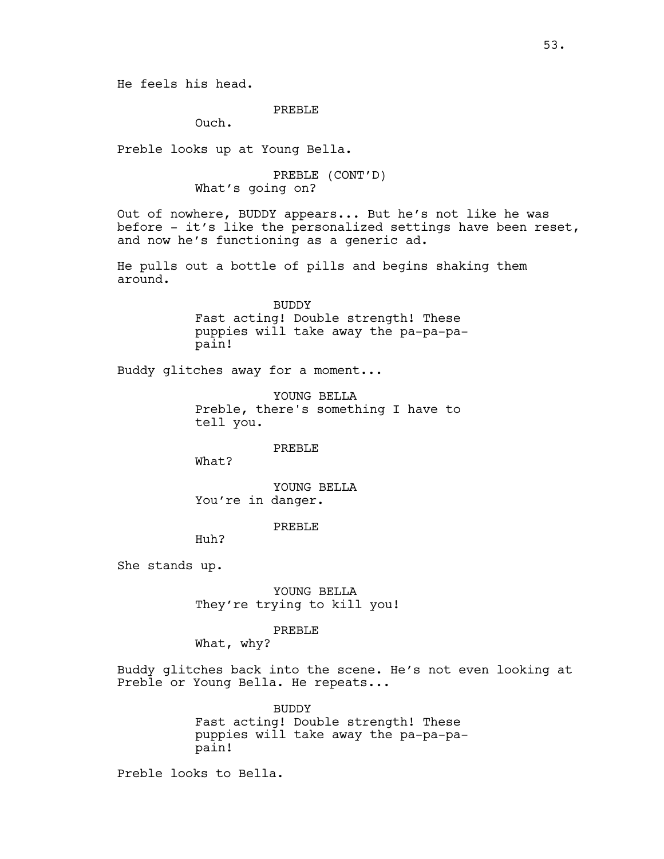He feels his head.

# PREBLE

Ouch.

Preble looks up at Young Bella.

PREBLE (CONT'D) What's going on?

Out of nowhere, BUDDY appears... But he's not like he was before - it's like the personalized settings have been reset, and now he's functioning as a generic ad.

He pulls out a bottle of pills and begins shaking them around.

> BUDDY Fast acting! Double strength! These puppies will take away the pa-pa-papain!

Buddy glitches away for a moment...

YOUNG BELLA Preble, there's something I have to tell you.

PREBLE

What?

YOUNG BELLA You're in danger.

PREBLE

Huh?

She stands up.

YOUNG BELLA They're trying to kill you!

#### PREBLE

What, why?

Buddy glitches back into the scene. He's not even looking at Preble or Young Bella. He repeats...

> BUDDY Fast acting! Double strength! These puppies will take away the pa-pa-papain!

Preble looks to Bella.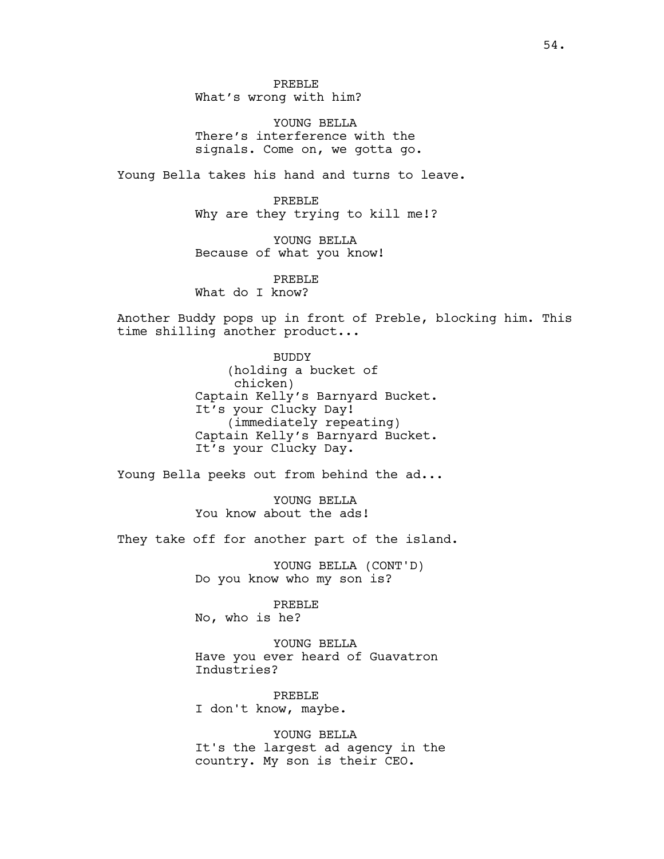PREBLE What's wrong with him?

YOUNG BELLA There's interference with the signals. Come on, we gotta go.

Young Bella takes his hand and turns to leave.

PREBLE Why are they trying to kill me!?

YOUNG BELLA Because of what you know!

PREBLE

What do I know?

Another Buddy pops up in front of Preble, blocking him. This time shilling another product...

> BUDDY (holding a bucket of chicken) Captain Kelly's Barnyard Bucket. It's your Clucky Day! (immediately repeating) Captain Kelly's Barnyard Bucket. It's your Clucky Day.

Young Bella peeks out from behind the ad...

YOUNG BELLA You know about the ads!

They take off for another part of the island.

YOUNG BELLA (CONT'D) Do you know who my son is?

PREBLE No, who is he?

YOUNG BELLA Have you ever heard of Guavatron Industries?

PREBLE I don't know, maybe.

YOUNG BELLA It's the largest ad agency in the country. My son is their CEO.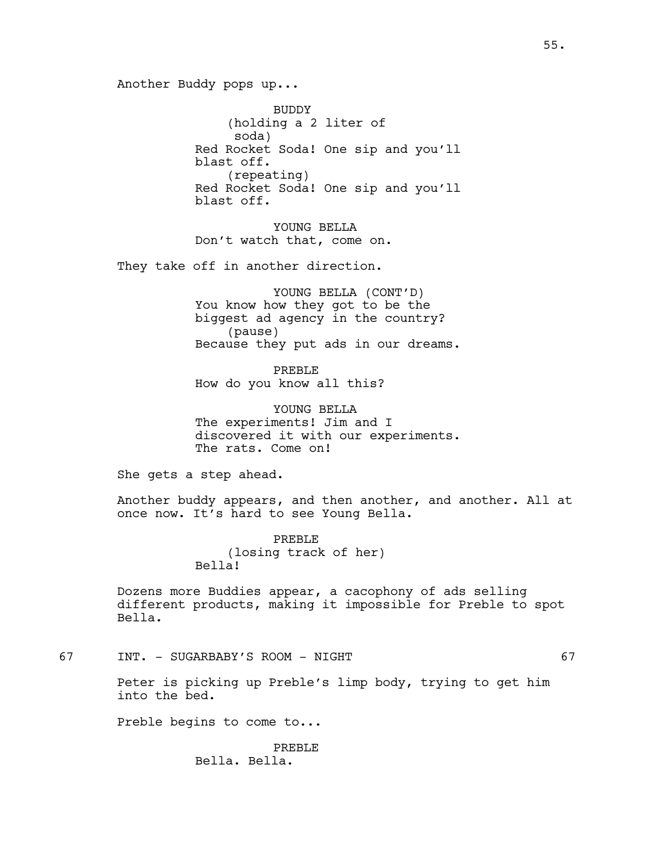Another Buddy pops up...

BUDDY (holding a 2 liter of soda) Red Rocket Soda! One sip and you'll blast off. (repeating) Red Rocket Soda! One sip and you'll blast off.

YOUNG BELLA Don't watch that, come on.

They take off in another direction.

YOUNG BELLA (CONT'D) You know how they got to be the biggest ad agency in the country? (pause) Because they put ads in our dreams.

PREBLE How do you know all this?

YOUNG BELLA The experiments! Jim and I discovered it with our experiments. The rats. Come on!

She gets a step ahead.

Another buddy appears, and then another, and another. All at once now. It's hard to see Young Bella.

> PREBLE (losing track of her) Bella!

Dozens more Buddies appear, a cacophony of ads selling different products, making it impossible for Preble to spot Bella.

67 INT. - SUGARBABY'S ROOM - NIGHT 67

Peter is picking up Preble's limp body, trying to get him into the bed.

Preble begins to come to...

PREBLE Bella. Bella.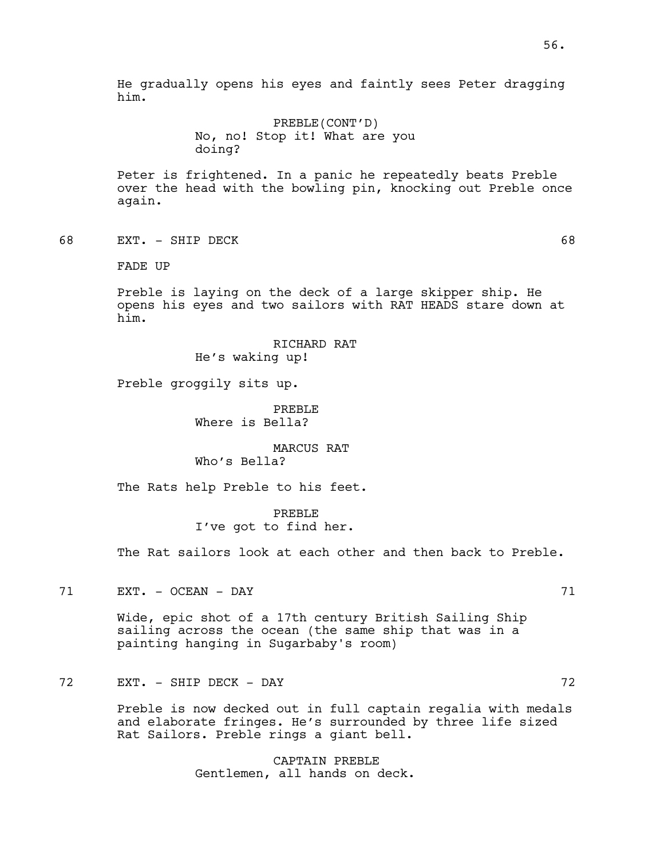He gradually opens his eyes and faintly sees Peter dragging him.

> PREBLE(CONT'D) No, no! Stop it! What are you doing?

Peter is frightened. In a panic he repeatedly beats Preble over the head with the bowling pin, knocking out Preble once again.

68 EXT. - SHIP DECK 68

FADE UP

Preble is laying on the deck of a large skipper ship. He opens his eyes and two sailors with RAT HEADS stare down at him.

> RICHARD RAT He's waking up!

Preble groggily sits up.

PREBLE Where is Bella?

MARCUS RAT Who's Bella?

The Rats help Preble to his feet.

PREBLE I've got to find her.

The Rat sailors look at each other and then back to Preble.

71 EXT. - OCEAN - DAY 71

Wide, epic shot of a 17th century British Sailing Ship sailing across the ocean (the same ship that was in a painting hanging in Sugarbaby's room)

72 EXT. - SHIP DECK - DAY 72

Preble is now decked out in full captain regalia with medals and elaborate fringes. He's surrounded by three life sized Rat Sailors. Preble rings a giant bell.

> CAPTAIN PREBLE Gentlemen, all hands on deck.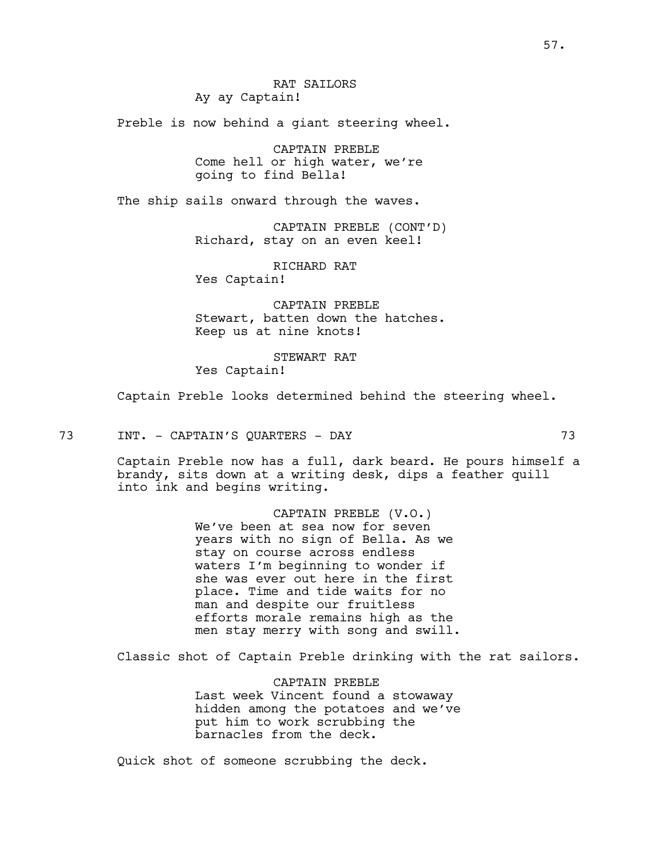Preble is now behind a giant steering wheel.

CAPTAIN PREBLE Come hell or high water, we're going to find Bella!

The ship sails onward through the waves.

CAPTAIN PREBLE (CONT'D) Richard, stay on an even keel!

RICHARD RAT

Yes Captain!

CAPTAIN PREBLE Stewart, batten down the hatches. Keep us at nine knots!

STEWART RAT Yes Captain!

Captain Preble looks determined behind the steering wheel.

73 INT. - CAPTAIN'S QUARTERS - DAY 73

Captain Preble now has a full, dark beard. He pours himself a brandy, sits down at a writing desk, dips a feather quill into ink and begins writing.

> CAPTAIN PREBLE (V.O.) We've been at sea now for seven years with no sign of Bella. As we stay on course across endless waters I'm beginning to wonder if she was ever out here in the first place. Time and tide waits for no man and despite our fruitless efforts morale remains high as the men stay merry with song and swill.

Classic shot of Captain Preble drinking with the rat sailors.

CAPTAIN PREBLE Last week Vincent found a stowaway hidden among the potatoes and we've put him to work scrubbing the barnacles from the deck.

Quick shot of someone scrubbing the deck.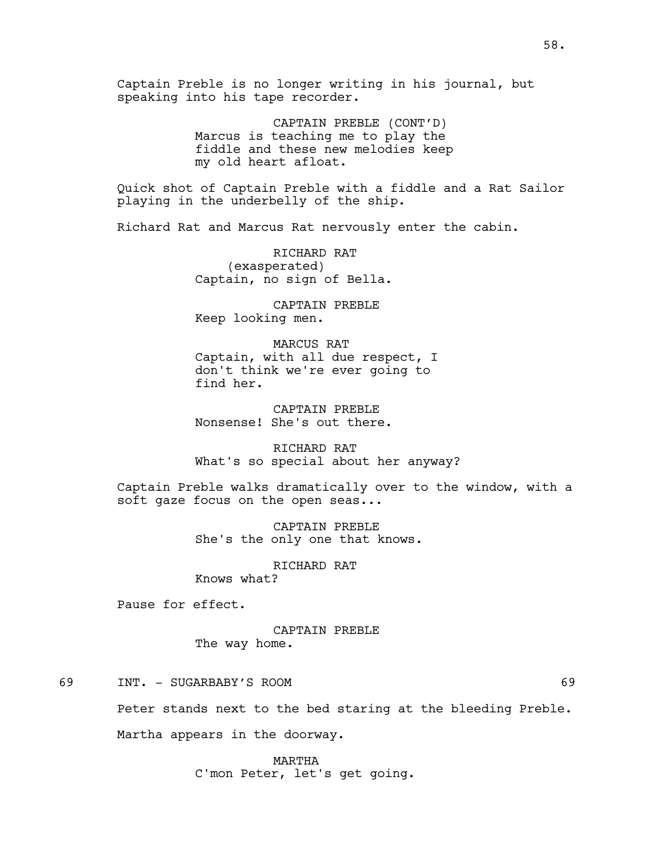Captain Preble is no longer writing in his journal, but speaking into his tape recorder.

> CAPTAIN PREBLE (CONT'D) Marcus is teaching me to play the fiddle and these new melodies keep my old heart afloat.

Quick shot of Captain Preble with a fiddle and a Rat Sailor playing in the underbelly of the ship.

Richard Rat and Marcus Rat nervously enter the cabin.

RICHARD RAT (exasperated) Captain, no sign of Bella.

CAPTAIN PREBLE Keep looking men.

MARCUS RAT Captain, with all due respect, I don't think we're ever going to find her.

CAPTAIN PREBLE Nonsense! She's out there.

RICHARD RAT What's so special about her anyway?

Captain Preble walks dramatically over to the window, with a soft gaze focus on the open seas...

> CAPTAIN PREBLE She's the only one that knows.

> > RICHARD RAT

Knows what?

Pause for effect.

CAPTAIN PREBLE The way home.

69 INT. - SUGARBABY'S ROOM 69

Peter stands next to the bed staring at the bleeding Preble.

Martha appears in the doorway.

MARTHA C'mon Peter, let's get going.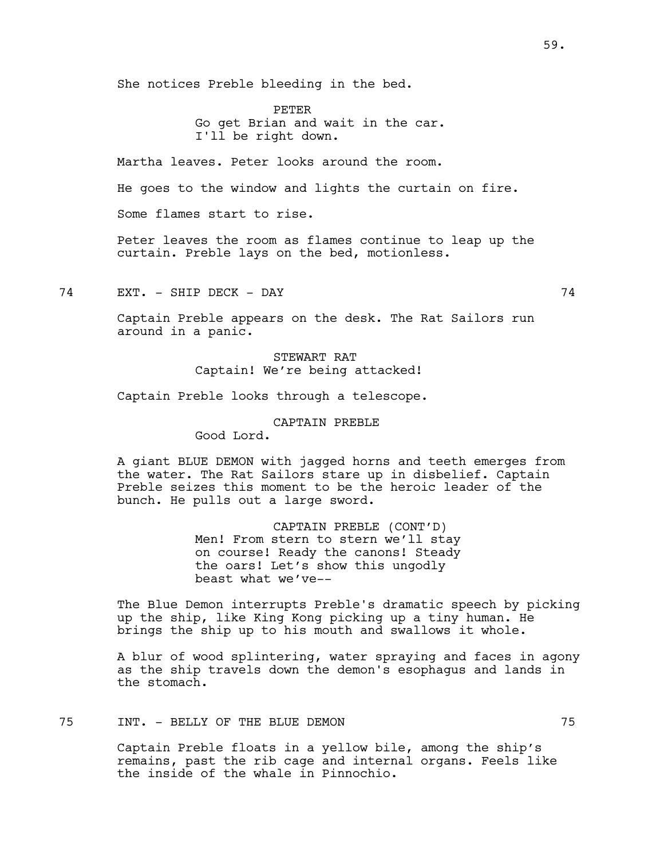She notices Preble bleeding in the bed.

PETER Go get Brian and wait in the car. I'll be right down.

Martha leaves. Peter looks around the room.

He goes to the window and lights the curtain on fire.

Some flames start to rise.

Peter leaves the room as flames continue to leap up the curtain. Preble lays on the bed, motionless.

74 EXT. - SHIP DECK - DAY 74

Captain Preble appears on the desk. The Rat Sailors run around in a panic.

# STEWART RAT Captain! We're being attacked!

Captain Preble looks through a telescope.

#### CAPTAIN PREBLE

Good Lord.

A giant BLUE DEMON with jagged horns and teeth emerges from the water. The Rat Sailors stare up in disbelief. Captain Preble seizes this moment to be the heroic leader of the bunch. He pulls out a large sword.

> CAPTAIN PREBLE (CONT'D) Men! From stern to stern we'll stay on course! Ready the canons! Steady the oars! Let's show this ungodly beast what we've--

The Blue Demon interrupts Preble's dramatic speech by picking up the ship, like King Kong picking up a tiny human. He brings the ship up to his mouth and swallows it whole.

A blur of wood splintering, water spraying and faces in agony as the ship travels down the demon's esophagus and lands in the stomach.

# 75 INT. - BELLY OF THE BLUE DEMON 75

Captain Preble floats in a yellow bile, among the ship's remains, past the rib cage and internal organs. Feels like the inside of the whale in Pinnochio.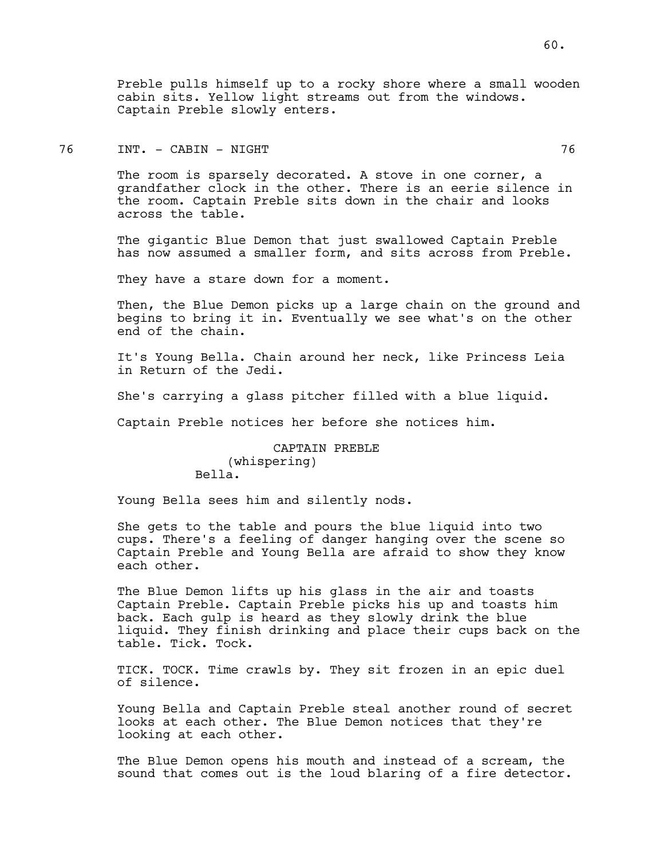Preble pulls himself up to a rocky shore where a small wooden cabin sits. Yellow light streams out from the windows. Captain Preble slowly enters.

# 76 INT. - CABIN - NIGHT 76

The room is sparsely decorated. A stove in one corner, a grandfather clock in the other. There is an eerie silence in the room. Captain Preble sits down in the chair and looks across the table.

The gigantic Blue Demon that just swallowed Captain Preble has now assumed a smaller form, and sits across from Preble.

They have a stare down for a moment.

Then, the Blue Demon picks up a large chain on the ground and begins to bring it in. Eventually we see what's on the other end of the chain.

It's Young Bella. Chain around her neck, like Princess Leia in Return of the Jedi.

She's carrying a glass pitcher filled with a blue liquid.

Captain Preble notices her before she notices him.

CAPTAIN PREBLE (whispering) Bella.

Young Bella sees him and silently nods.

She gets to the table and pours the blue liquid into two cups. There's a feeling of danger hanging over the scene so Captain Preble and Young Bella are afraid to show they know each other.

The Blue Demon lifts up his glass in the air and toasts Captain Preble. Captain Preble picks his up and toasts him back. Each gulp is heard as they slowly drink the blue liquid. They finish drinking and place their cups back on the table. Tick. Tock.

TICK. TOCK. Time crawls by. They sit frozen in an epic duel of silence.

Young Bella and Captain Preble steal another round of secret looks at each other. The Blue Demon notices that they're looking at each other.

The Blue Demon opens his mouth and instead of a scream, the sound that comes out is the loud blaring of a fire detector.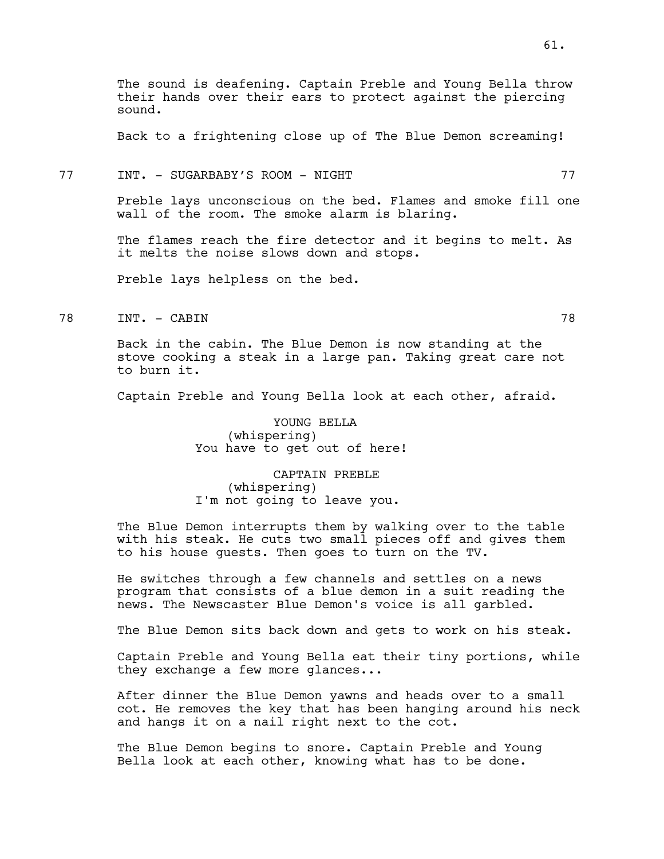The sound is deafening. Captain Preble and Young Bella throw their hands over their ears to protect against the piercing sound.

Back to a frightening close up of The Blue Demon screaming!

#### 77 INT. - SUGARBABY'S ROOM - NIGHT 77

Preble lays unconscious on the bed. Flames and smoke fill one wall of the room. The smoke alarm is blaring.

The flames reach the fire detector and it begins to melt. As it melts the noise slows down and stops.

Preble lays helpless on the bed.

78 INT. - CABIN 78

Back in the cabin. The Blue Demon is now standing at the stove cooking a steak in a large pan. Taking great care not to burn it.

Captain Preble and Young Bella look at each other, afraid.

YOUNG BELLA (whispering) You have to get out of here!

CAPTAIN PREBLE (whispering) I'm not going to leave you.

The Blue Demon interrupts them by walking over to the table with his steak. He cuts two small pieces off and gives them to his house guests. Then goes to turn on the TV.

He switches through a few channels and settles on a news program that consists of a blue demon in a suit reading the news. The Newscaster Blue Demon's voice is all garbled.

The Blue Demon sits back down and gets to work on his steak.

Captain Preble and Young Bella eat their tiny portions, while they exchange a few more glances...

After dinner the Blue Demon yawns and heads over to a small cot. He removes the key that has been hanging around his neck and hangs it on a nail right next to the cot.

The Blue Demon begins to snore. Captain Preble and Young Bella look at each other, knowing what has to be done.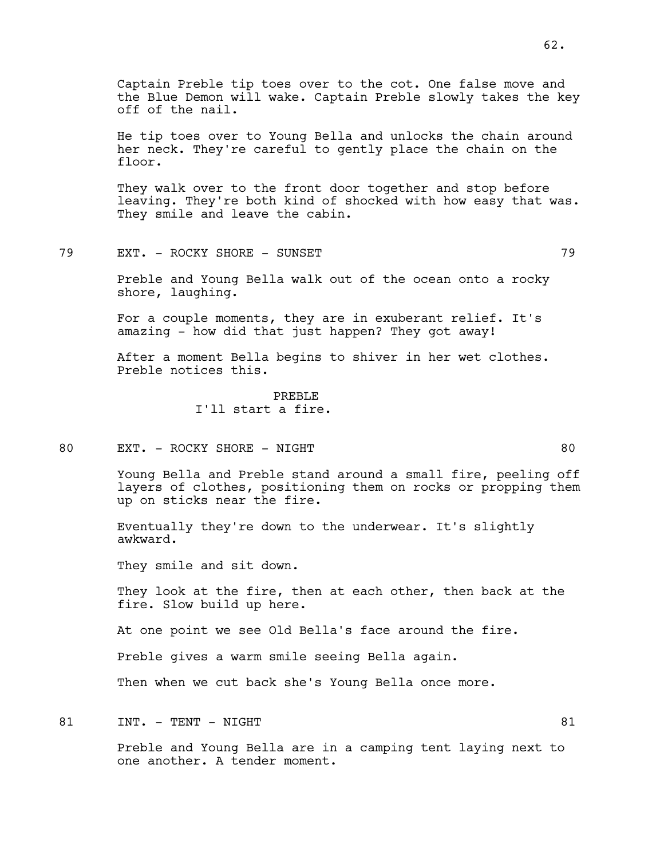Captain Preble tip toes over to the cot. One false move and the Blue Demon will wake. Captain Preble slowly takes the key off of the nail.

He tip toes over to Young Bella and unlocks the chain around her neck. They're careful to gently place the chain on the floor.

They walk over to the front door together and stop before leaving. They're both kind of shocked with how easy that was. They smile and leave the cabin.

79 EXT. - ROCKY SHORE - SUNSET 79

Preble and Young Bella walk out of the ocean onto a rocky shore, laughing.

For a couple moments, they are in exuberant relief. It's amazing - how did that just happen? They got away!

After a moment Bella begins to shiver in her wet clothes. Preble notices this.

> PREBLE I'll start a fire.

80 EXT. - ROCKY SHORE - NIGHT 80

Young Bella and Preble stand around a small fire, peeling off layers of clothes, positioning them on rocks or propping them up on sticks near the fire.

Eventually they're down to the underwear. It's slightly awkward.

They smile and sit down.

They look at the fire, then at each other, then back at the fire. Slow build up here.

At one point we see Old Bella's face around the fire.

Preble gives a warm smile seeing Bella again.

Then when we cut back she's Young Bella once more.

81 INT. – TENT – NIGHT BOOK IN STRAIN ASSEMBLY AT A STRAIN AND STRAINING STRAINING STRAINING STRAINING STRAINING STRAINING STRAINING STRAINING STRAINING STRAINING STRAINING STRAINING STRAINING STRAINING STRAINING STRAINING

Preble and Young Bella are in a camping tent laying next to one another. A tender moment.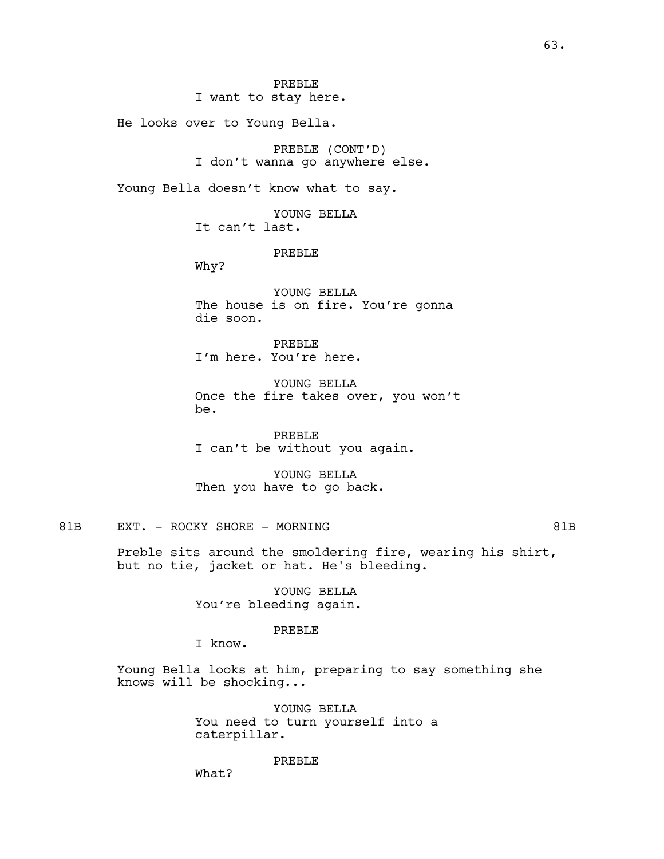I want to stay here.

He looks over to Young Bella.

PREBLE (CONT'D) I don't wanna go anywhere else.

Young Bella doesn't know what to say.

YOUNG BELLA It can't last.

PREBLE

Why?

YOUNG BELLA The house is on fire. You're gonna die soon.

PREBLE I'm here. You're here.

YOUNG BELLA Once the fire takes over, you won't be.

PREBLE I can't be without you again.

YOUNG BELLA Then you have to go back.

# 81B EXT. - ROCKY SHORE - MORNING 81B

Preble sits around the smoldering fire, wearing his shirt, but no tie, jacket or hat. He's bleeding.

> YOUNG BELLA You're bleeding again.

#### PREBLE

I know.

Young Bella looks at him, preparing to say something she knows will be shocking...

> YOUNG BELLA You need to turn yourself into a caterpillar.

> > PREBLE

What?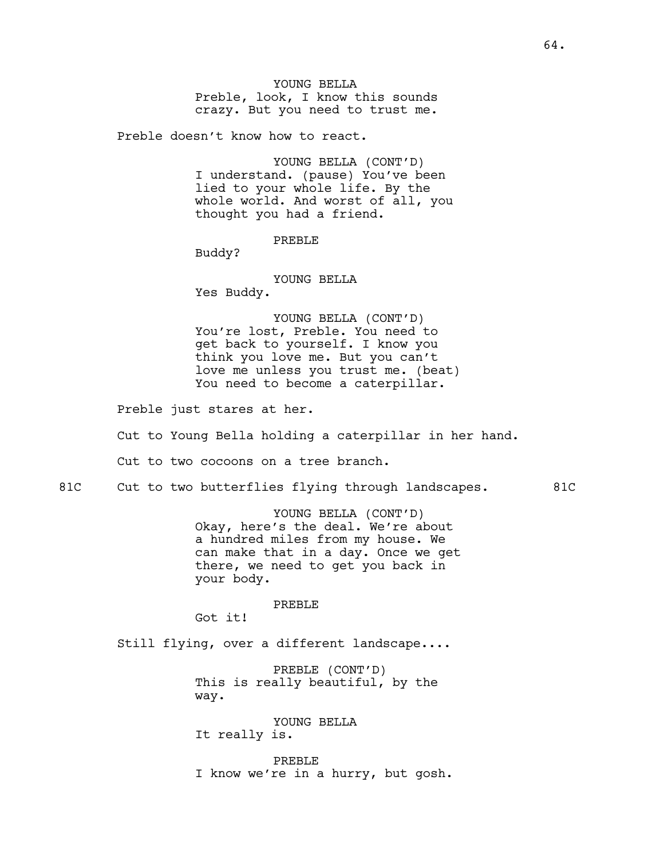Preble doesn't know how to react.

YOUNG BELLA (CONT'D) I understand. (pause) You've been lied to your whole life. By the whole world. And worst of all, you thought you had a friend.

PREBLE

Buddy?

YOUNG BELLA Yes Buddy.

YOUNG BELLA (CONT'D) You're lost, Preble. You need to get back to yourself. I know you think you love me. But you can't love me unless you trust me. (beat) You need to become a caterpillar.

Preble just stares at her.

Cut to Young Bella holding a caterpillar in her hand.

Cut to two cocoons on a tree branch.

81C Cut to two butterflies flying through landscapes. 81C

YOUNG BELLA (CONT'D) Okay, here's the deal. We're about a hundred miles from my house. We can make that in a day. Once we get there, we need to get you back in your body.

PREBLE

Got it!

Still flying, over a different landscape....

PREBLE (CONT'D) This is really beautiful, by the way.

YOUNG BELLA It really is.

PREBLE I know we're in a hurry, but gosh.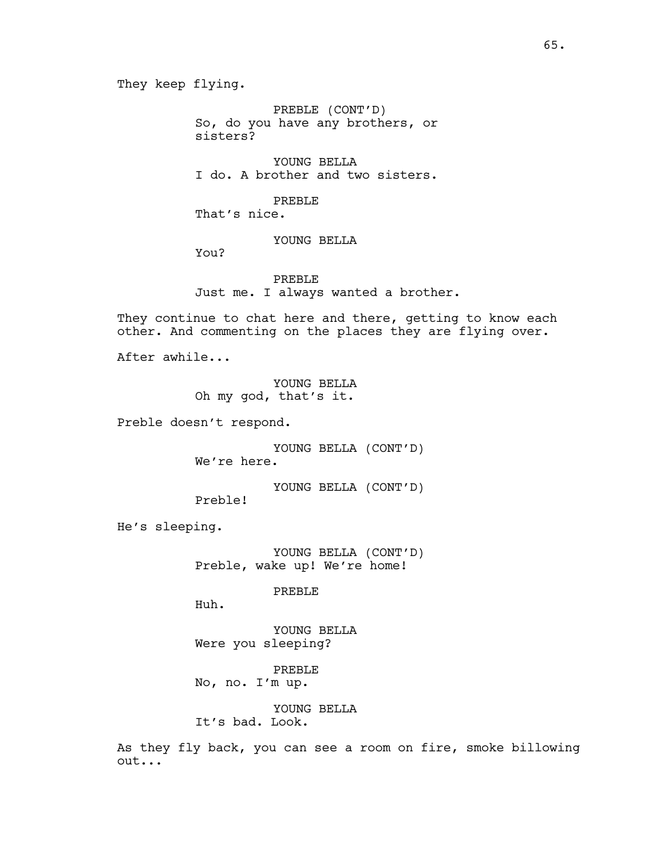PREBLE (CONT'D) So, do you have any brothers, or sisters?

YOUNG BELLA I do. A brother and two sisters.

PREBLE That's nice.

YOUNG BELLA

You?

PREBLE Just me. I always wanted a brother.

They continue to chat here and there, getting to know each other. And commenting on the places they are flying over.

After awhile...

YOUNG BELLA Oh my god, that's it.

Preble doesn't respond.

YOUNG BELLA (CONT'D) We're here.

YOUNG BELLA (CONT'D)

He's sleeping.

YOUNG BELLA (CONT'D) Preble, wake up! We're home!

PREBLE

Huh.

Preble!

YOUNG BELLA Were you sleeping?

PREBLE No, no. I'm up.

YOUNG BELLA It's bad. Look.

As they fly back, you can see a room on fire, smoke billowing out...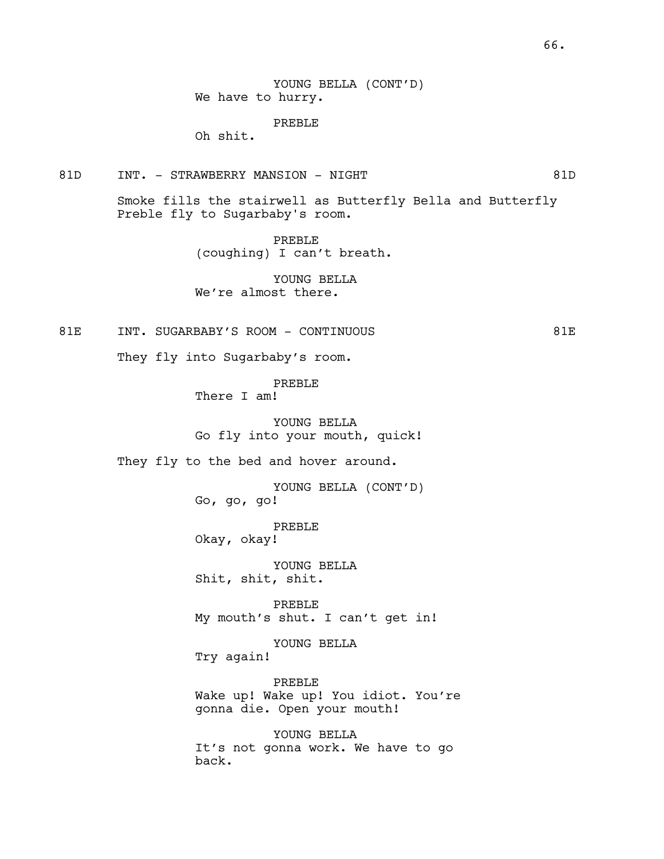YOUNG BELLA (CONT'D) We have to hurry.

PREBLE

Oh shit.

81D INT. - STRAWBERRY MANSION - NIGHT 81D

Smoke fills the stairwell as Butterfly Bella and Butterfly Preble fly to Sugarbaby's room.

> PREBLE (coughing) I can't breath.

YOUNG BELLA We're almost there.

81E INT. SUGARBABY'S ROOM - CONTINUOUS 81E

They fly into Sugarbaby's room.

PREBLE

There I am!

YOUNG BELLA Go fly into your mouth, quick!

They fly to the bed and hover around.

YOUNG BELLA (CONT'D) Go, go, go!

PREBLE Okay, okay!

YOUNG BELLA Shit, shit, shit.

PREBLE My mouth's shut. I can't get in!

YOUNG BELLA Try again!

PREBLE Wake up! Wake up! You idiot. You're gonna die. Open your mouth!

YOUNG BELLA It's not gonna work. We have to go back.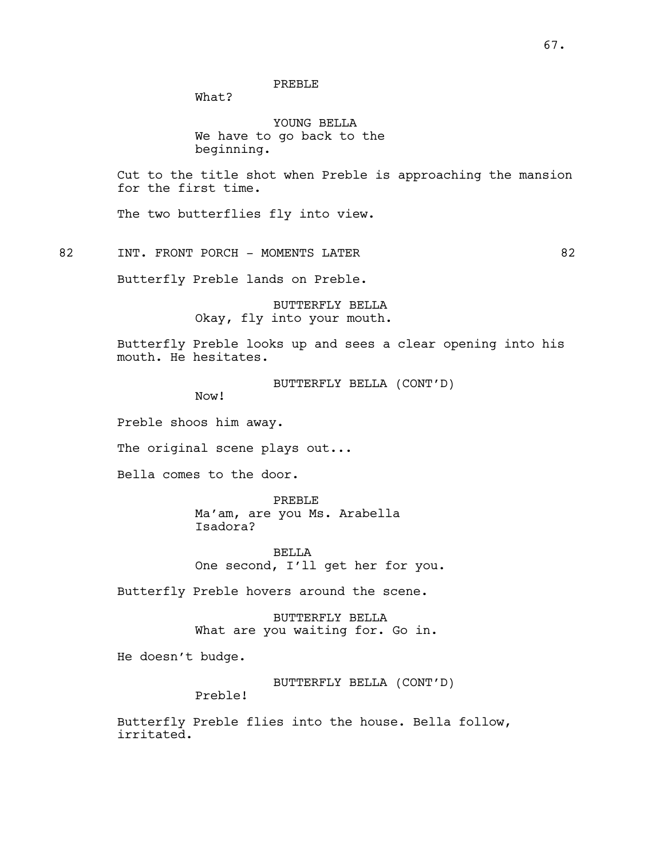## PREBLE

What?

YOUNG BELLA We have to go back to the beginning.

Cut to the title shot when Preble is approaching the mansion for the first time.

The two butterflies fly into view.

82 INT. FRONT PORCH - MOMENTS LATER 62

Butterfly Preble lands on Preble.

BUTTERFLY BELLA Okay, fly into your mouth.

Butterfly Preble looks up and sees a clear opening into his mouth. He hesitates.

BUTTERFLY BELLA (CONT'D)

Now!

Preble shoos him away.

The original scene plays out...

Bella comes to the door.

PREBLE Ma'am, are you Ms. Arabella Isadora?

BELLA One second, I'll get her for you.

Butterfly Preble hovers around the scene.

BUTTERFLY BELLA What are you waiting for. Go in.

He doesn't budge.

BUTTERFLY BELLA (CONT'D)

Preble!

Butterfly Preble flies into the house. Bella follow, irritated.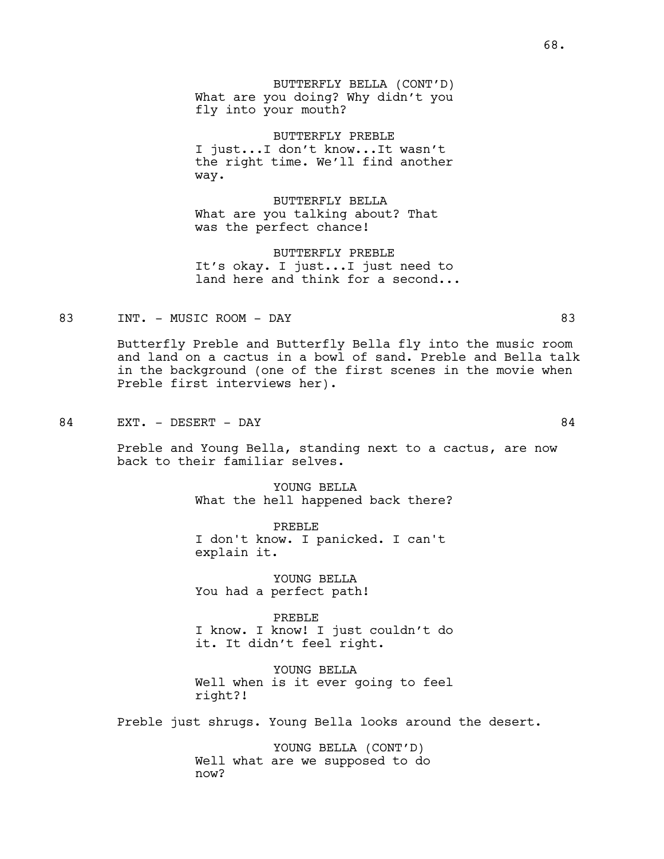BUTTERFLY BELLA (CONT'D) What are you doing? Why didn't you fly into your mouth?

BUTTERFLY PREBLE I just...I don't know...It wasn't the right time. We'll find another way.

BUTTERFLY BELLA What are you talking about? That was the perfect chance!

BUTTERFLY PREBLE It's okay. I just...I just need to land here and think for a second...

83 INT. – MUSIC ROOM – DAY 83

Butterfly Preble and Butterfly Bella fly into the music room and land on a cactus in a bowl of sand. Preble and Bella talk in the background (one of the first scenes in the movie when Preble first interviews her).

84 EXT. – DESERT – DAY 84

Preble and Young Bella, standing next to a cactus, are now back to their familiar selves.

> YOUNG BELLA What the hell happened back there?

PREBLE I don't know. I panicked. I can't explain it.

YOUNG BELLA You had a perfect path!

PREBLE I know. I know! I just couldn't do it. It didn't feel right.

YOUNG BELLA Well when is it ever going to feel right?!

Preble just shrugs. Young Bella looks around the desert.

YOUNG BELLA (CONT'D) Well what are we supposed to do now?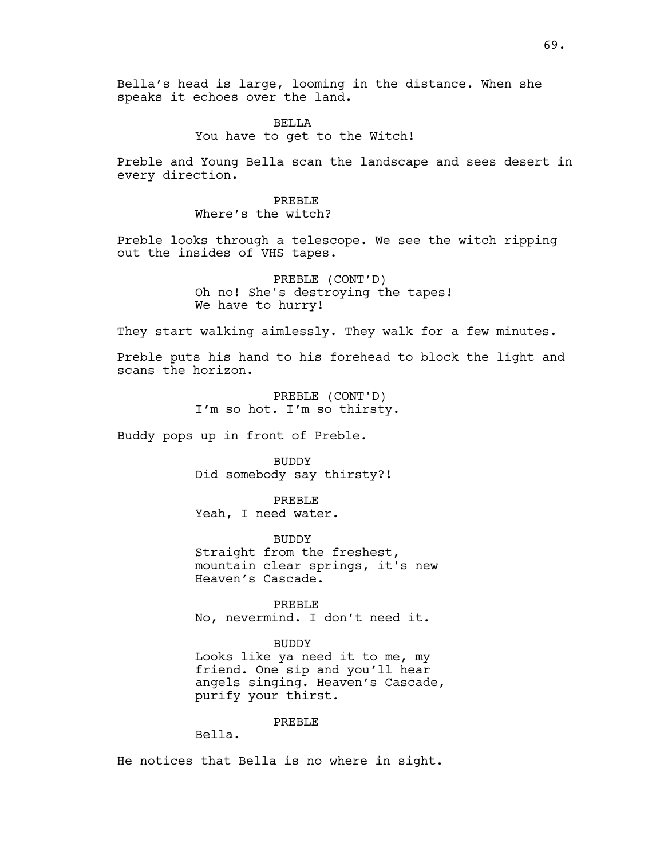Bella's head is large, looming in the distance. When she speaks it echoes over the land.

# **BELLA** You have to get to the Witch!

Preble and Young Bella scan the landscape and sees desert in every direction.

> PREBLE Where's the witch?

Preble looks through a telescope. We see the witch ripping out the insides of VHS tapes.

> PREBLE (CONT'D) Oh no! She's destroying the tapes! We have to hurry!

They start walking aimlessly. They walk for a few minutes.

Preble puts his hand to his forehead to block the light and scans the horizon.

> PREBLE (CONT'D) I'm so hot. I'm so thirsty.

Buddy pops up in front of Preble.

BUDDY Did somebody say thirsty?!

PREBLE Yeah, I need water.

BUDDY Straight from the freshest, mountain clear springs, it's new Heaven's Cascade.

PREBLE No, nevermind. I don't need it.

#### BUDDY

Looks like ya need it to me, my friend. One sip and you'll hear angels singing. Heaven's Cascade, purify your thirst.

# PREBLE

Bella.

He notices that Bella is no where in sight.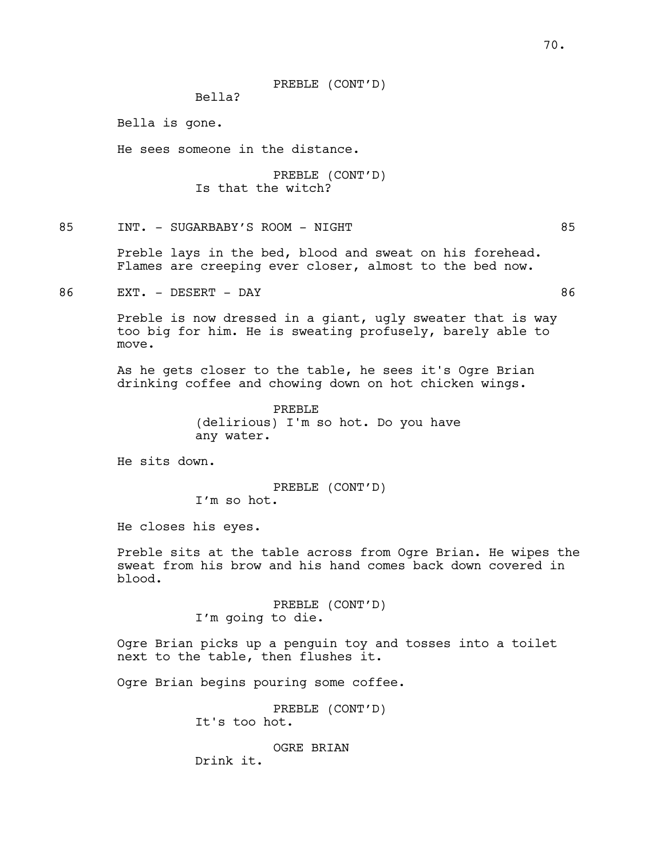#### PREBLE (CONT'D)

Bella?

Bella is gone.

He sees someone in the distance.

PREBLE (CONT'D) Is that the witch?

85 INT. - SUGARBABY'S ROOM - NIGHT 85

Preble lays in the bed, blood and sweat on his forehead. Flames are creeping ever closer, almost to the bed now.

86 EXT. – DESERT – DAY 86

Preble is now dressed in a giant, ugly sweater that is way too big for him. He is sweating profusely, barely able to move.

As he gets closer to the table, he sees it's Ogre Brian drinking coffee and chowing down on hot chicken wings.

> PREBLE (delirious) I'm so hot. Do you have any water.

He sits down.

PREBLE (CONT'D) I'm so hot.

He closes his eyes.

Preble sits at the table across from Ogre Brian. He wipes the sweat from his brow and his hand comes back down covered in blood.

> PREBLE (CONT'D) I'm going to die.

Ogre Brian picks up a penguin toy and tosses into a toilet next to the table, then flushes it.

Ogre Brian begins pouring some coffee.

PREBLE (CONT'D) It's too hot.

OGRE BRIAN

Drink it.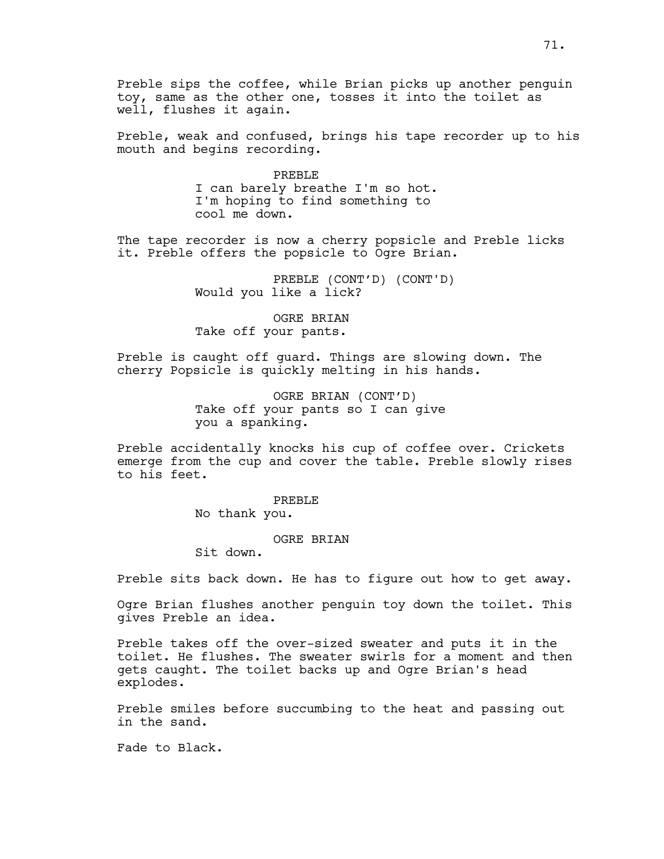Preble sips the coffee, while Brian picks up another penguin toy, same as the other one, tosses it into the toilet as well, flushes it again.

Preble, weak and confused, brings his tape recorder up to his mouth and begins recording.

> PREBLE I can barely breathe I'm so hot. I'm hoping to find something to cool me down.

The tape recorder is now a cherry popsicle and Preble licks it. Preble offers the popsicle to Ogre Brian.

> PREBLE (CONT'D) (CONT'D) Would you like a lick?

OGRE BRIAN Take off your pants.

Preble is caught off guard. Things are slowing down. The cherry Popsicle is quickly melting in his hands.

> OGRE BRIAN (CONT'D) Take off your pants so I can give you a spanking.

Preble accidentally knocks his cup of coffee over. Crickets emerge from the cup and cover the table. Preble slowly rises to his feet.

> PREBLE No thank you.

> > OGRE BRIAN

Sit down.

Preble sits back down. He has to figure out how to get away.

Ogre Brian flushes another penguin toy down the toilet. This gives Preble an idea.

Preble takes off the over-sized sweater and puts it in the toilet. He flushes. The sweater swirls for a moment and then gets caught. The toilet backs up and Ogre Brian's head explodes.

Preble smiles before succumbing to the heat and passing out in the sand.

Fade to Black.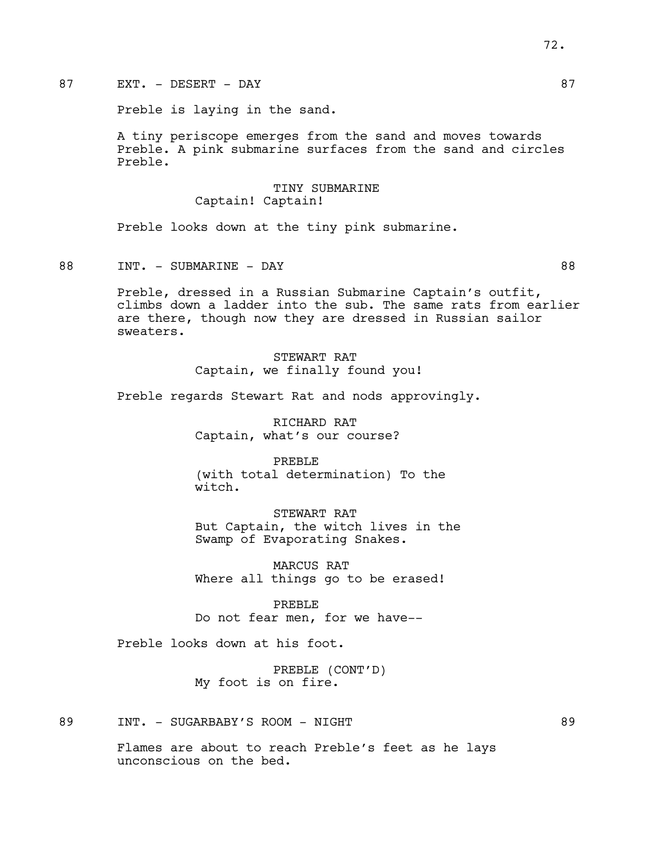Preble is laying in the sand.

A tiny periscope emerges from the sand and moves towards Preble. A pink submarine surfaces from the sand and circles Preble.

## TINY SUBMARINE Captain! Captain!

Preble looks down at the tiny pink submarine.

88 INT. – SUBMARINE – DAY 88

Preble, dressed in a Russian Submarine Captain's outfit, climbs down a ladder into the sub. The same rats from earlier are there, though now they are dressed in Russian sailor sweaters.

> STEWART RAT Captain, we finally found you!

Preble regards Stewart Rat and nods approvingly.

RICHARD RAT Captain, what's our course?

PREBLE (with total determination) To the witch.

STEWART RAT But Captain, the witch lives in the Swamp of Evaporating Snakes.

MARCUS RAT Where all things go to be erased!

PREBLE Do not fear men, for we have--

Preble looks down at his foot.

PREBLE (CONT'D) My foot is on fire.

89 INT. - SUGARBABY'S ROOM - NIGHT 89

Flames are about to reach Preble's feet as he lays unconscious on the bed.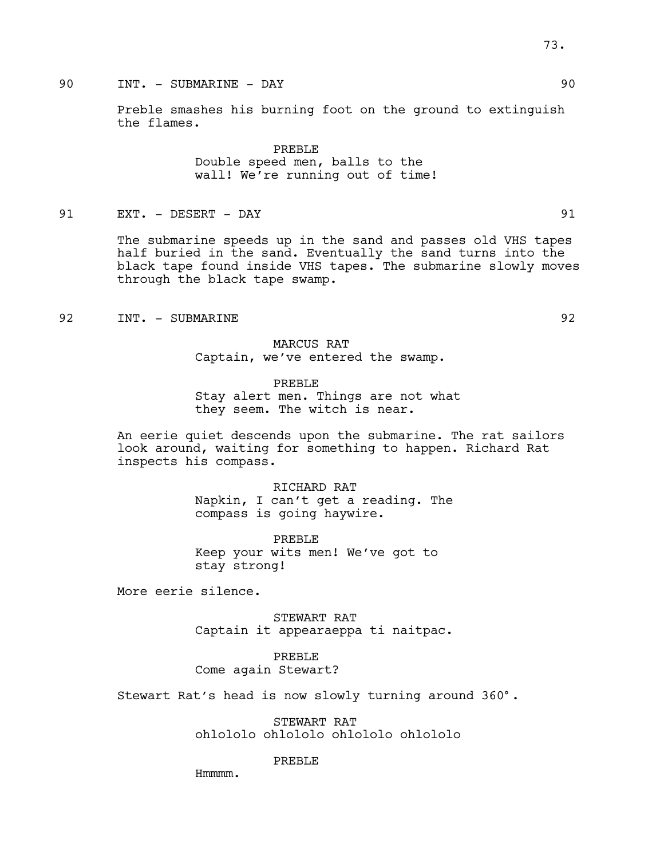# 90 INT. - SUBMARINE - DAY 90

Preble smashes his burning foot on the ground to extinguish the flames.

> PREBLE Double speed men, balls to the wall! We're running out of time!

91 EXT. - DESERT - DAY 91

The submarine speeds up in the sand and passes old VHS tapes half buried in the sand. Eventually the sand turns into the black tape found inside VHS tapes. The submarine slowly moves through the black tape swamp.

92 INT. - SUBMARINE 92

MARCUS RAT Captain, we've entered the swamp.

PREBLE Stay alert men. Things are not what they seem. The witch is near.

An eerie quiet descends upon the submarine. The rat sailors look around, waiting for something to happen. Richard Rat inspects his compass.

> RICHARD RAT Napkin, I can't get a reading. The compass is going haywire.

PREBLE Keep your wits men! We've got to stay strong!

More eerie silence.

STEWART RAT Captain it appearaeppa ti naitpac.

### PREBLE

Come again Stewart?

Stewart Rat's head is now slowly turning around 360°.

STEWART RAT ohlololo ohlololo ohlololo ohlololo

PREBLE

Hmmmm.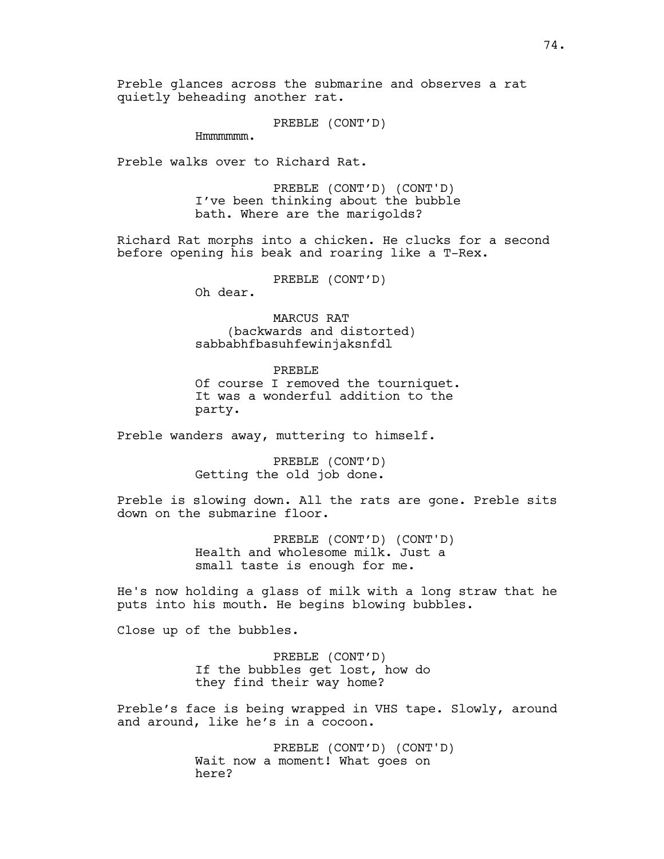Preble glances across the submarine and observes a rat quietly beheading another rat.

PREBLE (CONT'D)

Hmmmmmm.

Preble walks over to Richard Rat.

PREBLE (CONT'D) (CONT'D) I've been thinking about the bubble bath. Where are the marigolds?

Richard Rat morphs into a chicken. He clucks for a second before opening his beak and roaring like a T-Rex.

PREBLE (CONT'D)

Oh dear.

MARCUS RAT (backwards and distorted) sabbabhfbasuhfewinjaksnfdl

PREBLE Of course I removed the tourniquet. It was a wonderful addition to the party.

Preble wanders away, muttering to himself.

PREBLE (CONT'D) Getting the old job done.

Preble is slowing down. All the rats are gone. Preble sits down on the submarine floor.

> PREBLE (CONT'D) (CONT'D) Health and wholesome milk. Just a small taste is enough for me.

He's now holding a glass of milk with a long straw that he puts into his mouth. He begins blowing bubbles.

Close up of the bubbles.

PREBLE (CONT'D) If the bubbles get lost, how do they find their way home?

Preble's face is being wrapped in VHS tape. Slowly, around and around, like he's in a cocoon.

> PREBLE (CONT'D) (CONT'D) Wait now a moment! What goes on here?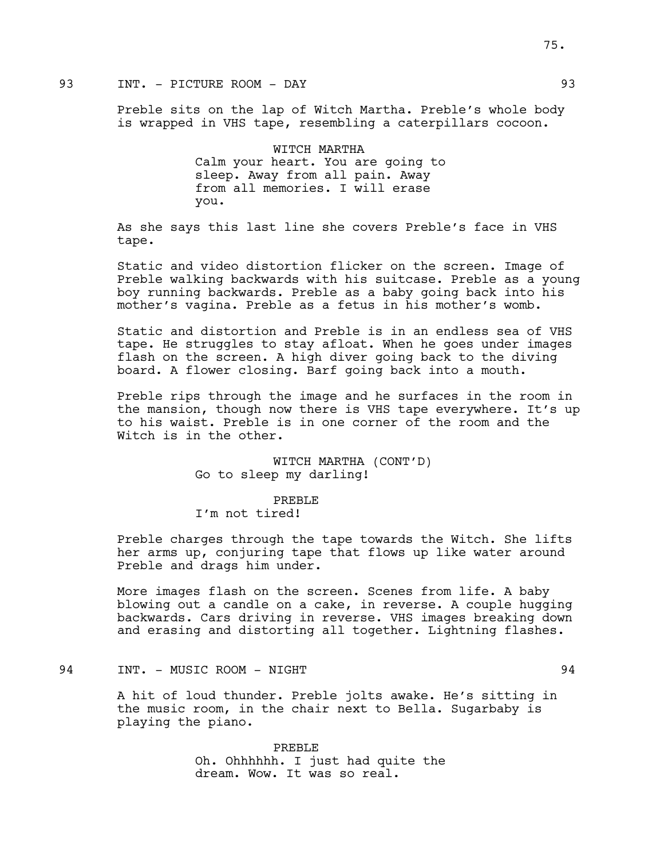# 93 INT. - PICTURE ROOM - DAY 93

Preble sits on the lap of Witch Martha. Preble's whole body is wrapped in VHS tape, resembling a caterpillars cocoon.

> WITCH MARTHA Calm your heart. You are going to sleep. Away from all pain. Away from all memories. I will erase you.

As she says this last line she covers Preble's face in VHS tape.

Static and video distortion flicker on the screen. Image of Preble walking backwards with his suitcase. Preble as a young boy running backwards. Preble as a baby going back into his mother's vagina. Preble as a fetus in his mother's womb.

Static and distortion and Preble is in an endless sea of VHS tape. He struggles to stay afloat. When he goes under images flash on the screen. A high diver going back to the diving board. A flower closing. Barf going back into a mouth.

Preble rips through the image and he surfaces in the room in the mansion, though now there is VHS tape everywhere. It's up to his waist. Preble is in one corner of the room and the Witch is in the other.

> WITCH MARTHA (CONT'D) Go to sleep my darling!

PREBLE I'm not tired!

Preble charges through the tape towards the Witch. She lifts her arms up, conjuring tape that flows up like water around Preble and drags him under.

More images flash on the screen. Scenes from life. A baby blowing out a candle on a cake, in reverse. A couple hugging backwards. Cars driving in reverse. VHS images breaking down and erasing and distorting all together. Lightning flashes.

# 94 INT. - MUSIC ROOM - NIGHT 94

A hit of loud thunder. Preble jolts awake. He's sitting in the music room, in the chair next to Bella. Sugarbaby is playing the piano.

> PREBLE Oh. Ohhhhhh. I just had quite the dream. Wow. It was so real.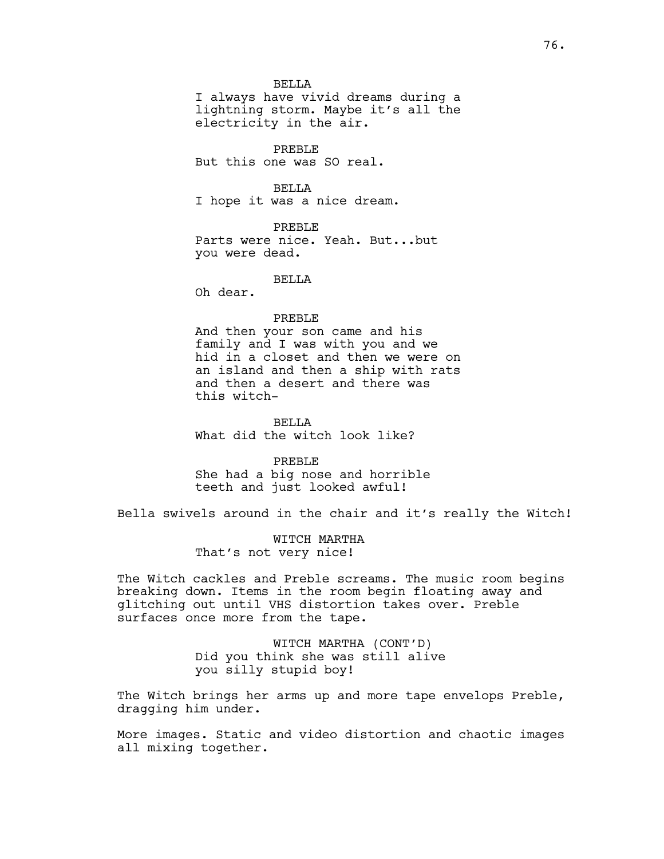**BELLA** 

I always have vivid dreams during a lightning storm. Maybe it's all the electricity in the air.

PREBLE But this one was SO real.

**BELLA** I hope it was a nice dream.

PREBLE Parts were nice. Yeah. But...but you were dead.

**BELLA** 

Oh dear.

#### PREBLE

And then your son came and his family and I was with you and we hid in a closet and then we were on an island and then a ship with rats and then a desert and there was this witch-

**BELLA** What did the witch look like?

PREBLE

She had a big nose and horrible teeth and just looked awful!

Bella swivels around in the chair and it's really the Witch!

WITCH MARTHA That's not very nice!

The Witch cackles and Preble screams. The music room begins breaking down. Items in the room begin floating away and glitching out until VHS distortion takes over. Preble surfaces once more from the tape.

> WITCH MARTHA (CONT'D) Did you think she was still alive you silly stupid boy!

The Witch brings her arms up and more tape envelops Preble, dragging him under.

More images. Static and video distortion and chaotic images all mixing together.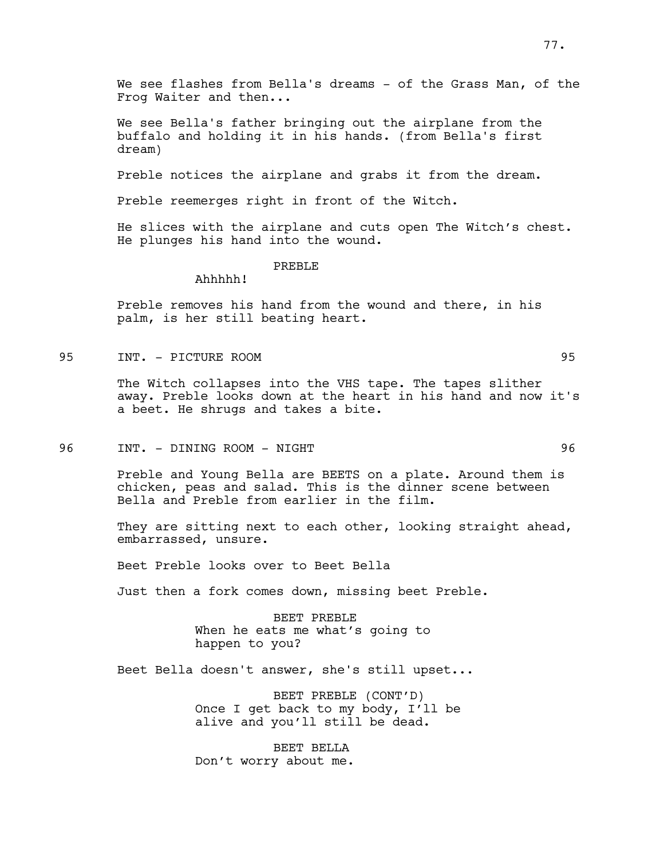We see flashes from Bella's dreams - of the Grass Man, of the Frog Waiter and then...

We see Bella's father bringing out the airplane from the buffalo and holding it in his hands. (from Bella's first dream)

Preble notices the airplane and grabs it from the dream.

Preble reemerges right in front of the Witch.

He slices with the airplane and cuts open The Witch's chest. He plunges his hand into the wound.

#### PREBLE

Ahhhhh!

Preble removes his hand from the wound and there, in his palm, is her still beating heart.

95 INT. - PICTURE ROOM 95

The Witch collapses into the VHS tape. The tapes slither away. Preble looks down at the heart in his hand and now it's a beet. He shrugs and takes a bite.

96 INT. - DINING ROOM - NIGHT 96

Preble and Young Bella are BEETS on a plate. Around them is chicken, peas and salad. This is the dinner scene between Bella and Preble from earlier in the film.

They are sitting next to each other, looking straight ahead, embarrassed, unsure.

Beet Preble looks over to Beet Bella

Just then a fork comes down, missing beet Preble.

BEET PREBLE When he eats me what's going to happen to you?

Beet Bella doesn't answer, she's still upset...

BEET PREBLE (CONT'D) Once I get back to my body, I'll be alive and you'll still be dead.

BEET BELLA Don't worry about me.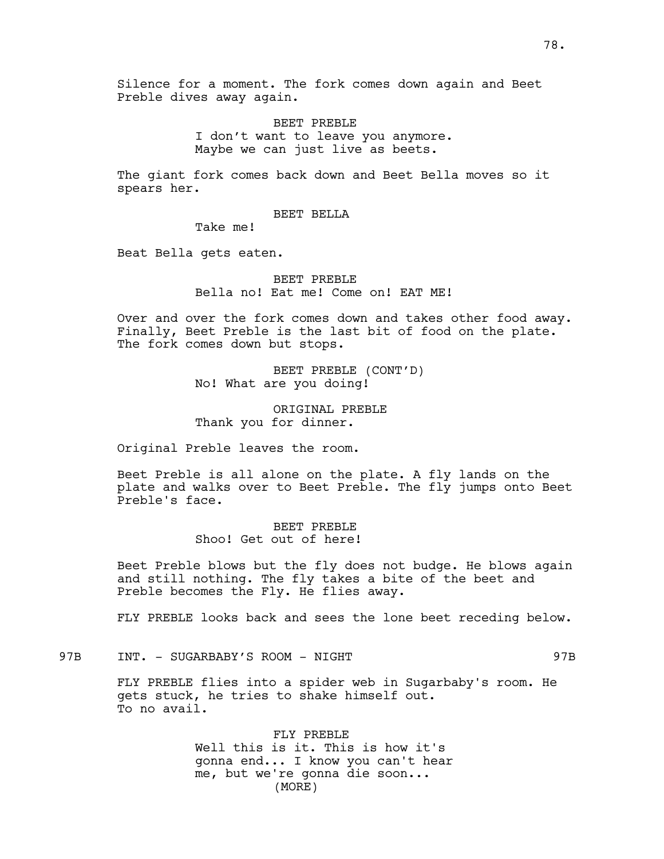BEET PREBLE I don't want to leave you anymore. Maybe we can just live as beets.

The giant fork comes back down and Beet Bella moves so it spears her.

### BEET BELLA

Take me!

Beat Bella gets eaten.

BEET PREBLE Bella no! Eat me! Come on! EAT ME!

Over and over the fork comes down and takes other food away. Finally, Beet Preble is the last bit of food on the plate. The fork comes down but stops.

> BEET PREBLE (CONT'D) No! What are you doing!

ORIGINAL PREBLE Thank you for dinner.

Original Preble leaves the room.

Beet Preble is all alone on the plate. A fly lands on the plate and walks over to Beet Preble. The fly jumps onto Beet Preble's face.

> BEET PREBLE Shoo! Get out of here!

Beet Preble blows but the fly does not budge. He blows again and still nothing. The fly takes a bite of the beet and Preble becomes the Fly. He flies away.

FLY PREBLE looks back and sees the lone beet receding below.

97B INT. - SUGARBABY'S ROOM - NIGHT

FLY PREBLE flies into a spider web in Sugarbaby's room. He gets stuck, he tries to shake himself out. To no avail.

> FLY PREBLE Well this is it. This is how it's gonna end... I know you can't hear me, but we're gonna die soon... (MORE)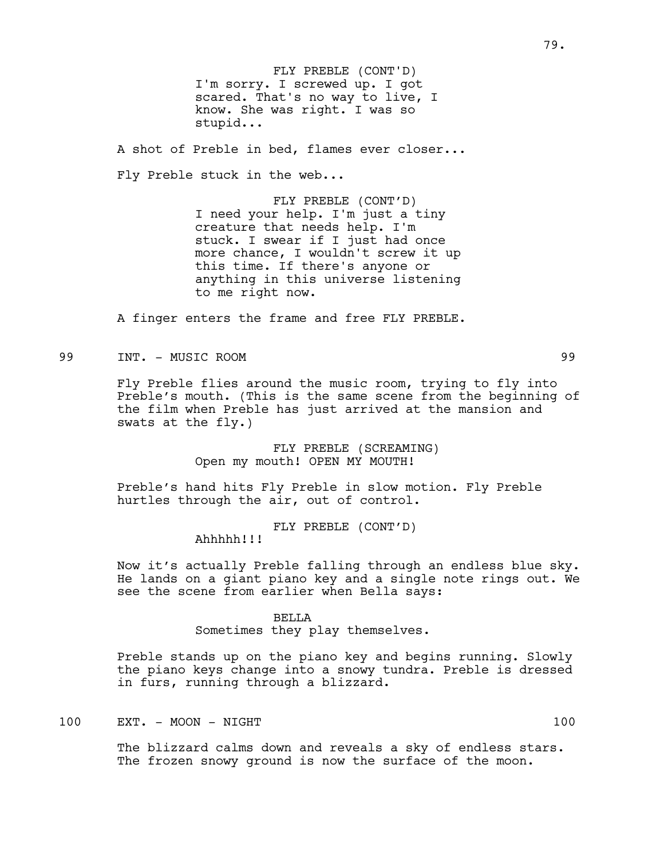I'm sorry. I screwed up. I got scared. That's no way to live, I know. She was right. I was so stupid... FLY PREBLE (CONT'D)

A shot of Preble in bed, flames ever closer...

Fly Preble stuck in the web...

FLY PREBLE (CONT'D) I need your help. I'm just a tiny creature that needs help. I'm stuck. I swear if I just had once more chance, I wouldn't screw it up this time. If there's anyone or anything in this universe listening to me right now.

A finger enters the frame and free FLY PREBLE.

## 99 INT. - MUSIC ROOM 99

Fly Preble flies around the music room, trying to fly into Preble's mouth. (This is the same scene from the beginning of the film when Preble has just arrived at the mansion and swats at the fly.)

> FLY PREBLE (SCREAMING) Open my mouth! OPEN MY MOUTH!

Preble's hand hits Fly Preble in slow motion. Fly Preble hurtles through the air, out of control.

FLY PREBLE (CONT'D)

Ahhhhh!!!

Now it's actually Preble falling through an endless blue sky. He lands on a giant piano key and a single note rings out. We see the scene from earlier when Bella says:

### BELLA

Sometimes they play themselves.

Preble stands up on the piano key and begins running. Slowly the piano keys change into a snowy tundra. Preble is dressed in furs, running through a blizzard.

### 100 EXT. - MOON - NIGHT 100

The blizzard calms down and reveals a sky of endless stars. The frozen snowy ground is now the surface of the moon.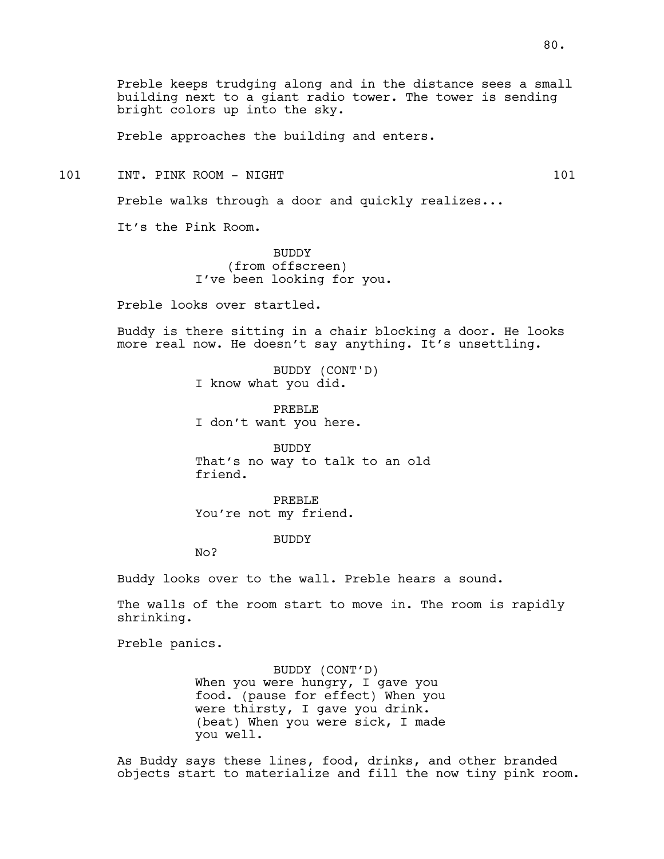Preble keeps trudging along and in the distance sees a small building next to a giant radio tower. The tower is sending bright colors up into the sky.

Preble approaches the building and enters.

101 INT. PINK ROOM - NIGHT 101 101

Preble walks through a door and quickly realizes...

It's the Pink Room.

BUDDY (from offscreen) I've been looking for you.

Preble looks over startled.

Buddy is there sitting in a chair blocking a door. He looks more real now. He doesn't say anything. It's unsettling.

> BUDDY (CONT'D) I know what you did.

PREBLE I don't want you here.

BUDDY That's no way to talk to an old friend.

PREBLE You're not my friend.

BUDDY

No?

Buddy looks over to the wall. Preble hears a sound.

The walls of the room start to move in. The room is rapidly shrinking.

Preble panics.

BUDDY (CONT'D) When you were hungry, I gave you food. (pause for effect) When you were thirsty, I gave you drink. (beat) When you were sick, I made you well.

As Buddy says these lines, food, drinks, and other branded objects start to materialize and fill the now tiny pink room.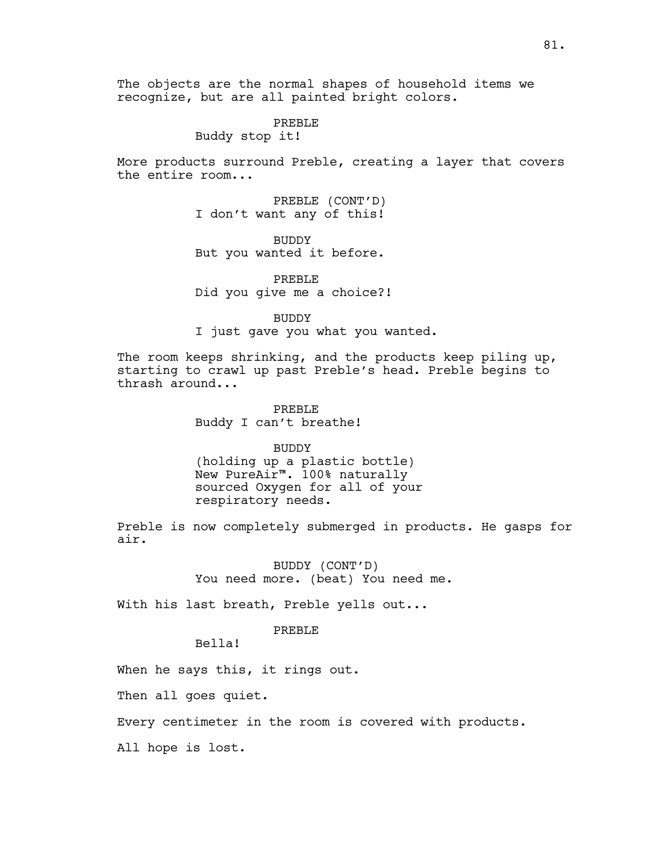The objects are the normal shapes of household items we recognize, but are all painted bright colors.

> PREBLE Buddy stop it!

More products surround Preble, creating a layer that covers the entire room...

> PREBLE (CONT'D) I don't want any of this!

> BUDDY But you wanted it before.

PREBLE Did you give me a choice?!

BUDDY

I just gave you what you wanted.

The room keeps shrinking, and the products keep piling up, starting to crawl up past Preble's head. Preble begins to thrash around...

> PREBLE Buddy I can't breathe!

BUDDY (holding up a plastic bottle) New PureAir™. 100% naturally sourced Oxygen for all of your respiratory needs.

Preble is now completely submerged in products. He gasps for air.

> BUDDY (CONT'D) You need more. (beat) You need me.

With his last breath, Preble yells out...

PREBLE

Bella!

When he says this, it rings out.

Then all goes quiet.

Every centimeter in the room is covered with products.

All hope is lost.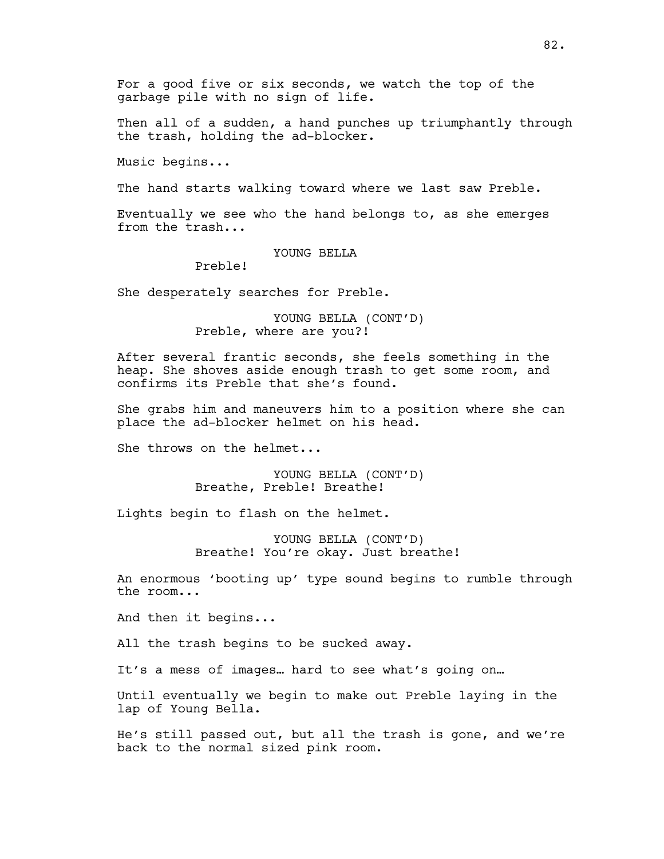For a good five or six seconds, we watch the top of the garbage pile with no sign of life.

Then all of a sudden, a hand punches up triumphantly through the trash, holding the ad-blocker.

Music begins...

The hand starts walking toward where we last saw Preble.

Eventually we see who the hand belongs to, as she emerges from the trash...

YOUNG BELLA

Preble!

She desperately searches for Preble.

YOUNG BELLA (CONT'D) Preble, where are you?!

After several frantic seconds, she feels something in the heap. She shoves aside enough trash to get some room, and confirms its Preble that she's found.

She grabs him and maneuvers him to a position where she can place the ad-blocker helmet on his head.

She throws on the helmet...

YOUNG BELLA (CONT'D) Breathe, Preble! Breathe!

Lights begin to flash on the helmet.

YOUNG BELLA (CONT'D) Breathe! You're okay. Just breathe!

An enormous 'booting up' type sound begins to rumble through the room...

And then it begins...

All the trash begins to be sucked away.

It's a mess of images… hard to see what's going on…

Until eventually we begin to make out Preble laying in the lap of Young Bella.

He's still passed out, but all the trash is gone, and we're back to the normal sized pink room.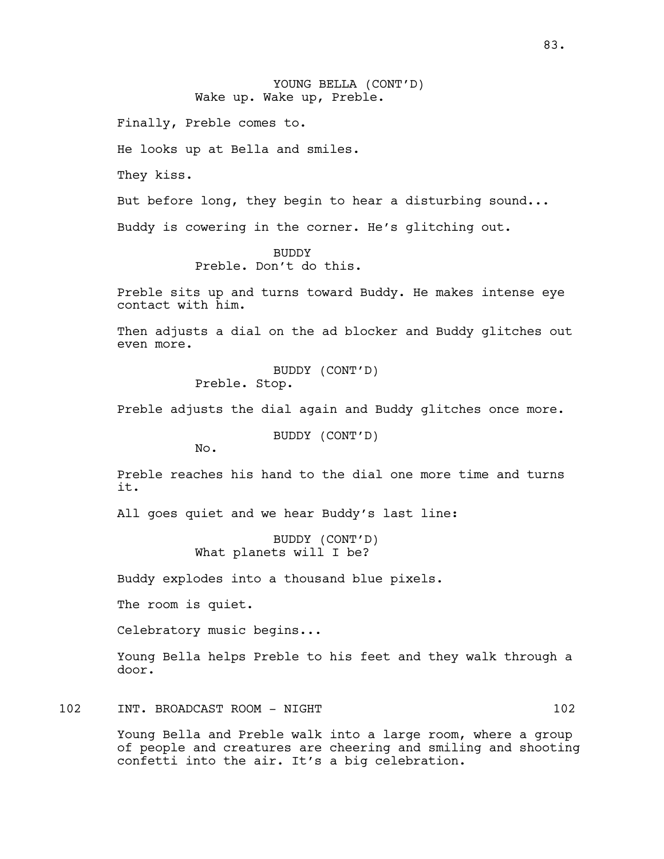# YOUNG BELLA (CONT'D) Wake up. Wake up, Preble.

Finally, Preble comes to.

He looks up at Bella and smiles.

They kiss.

But before long, they begin to hear a disturbing sound...

Buddy is cowering in the corner. He's glitching out.

BUDDY Preble. Don't do this.

Preble sits up and turns toward Buddy. He makes intense eye contact with him.

Then adjusts a dial on the ad blocker and Buddy glitches out even more.

> BUDDY (CONT'D) Preble. Stop.

Preble adjusts the dial again and Buddy glitches once more.

BUDDY (CONT'D)

No.

Preble reaches his hand to the dial one more time and turns it.

All goes quiet and we hear Buddy's last line:

BUDDY (CONT'D) What planets will I be?

Buddy explodes into a thousand blue pixels.

The room is quiet.

Celebratory music begins...

Young Bella helps Preble to his feet and they walk through a door.

102 INT. BROADCAST ROOM - NIGHT 102

Young Bella and Preble walk into a large room, where a group of people and creatures are cheering and smiling and shooting confetti into the air. It's a big celebration.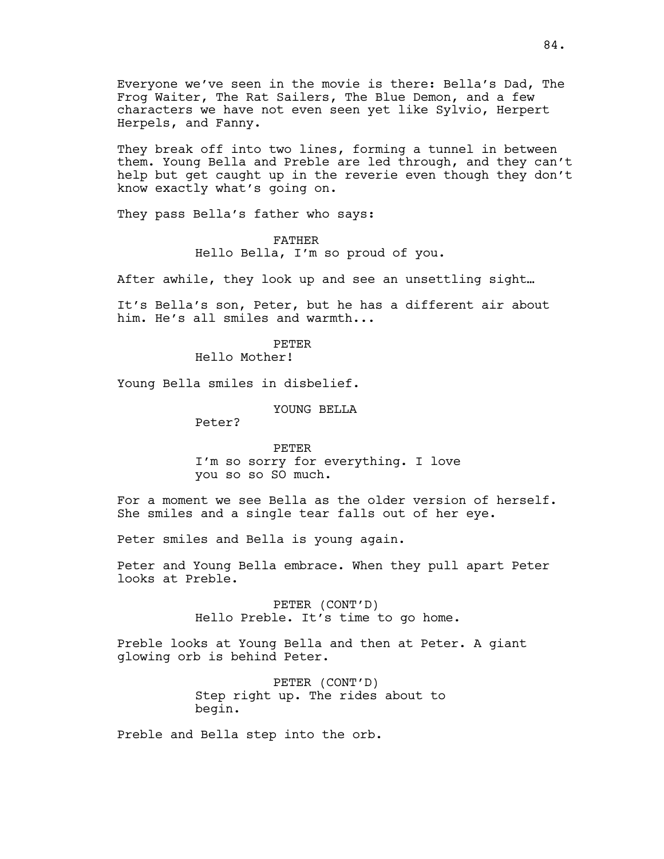Everyone we've seen in the movie is there: Bella's Dad, The Frog Waiter, The Rat Sailers, The Blue Demon, and a few characters we have not even seen yet like Sylvio, Herpert Herpels, and Fanny.

They break off into two lines, forming a tunnel in between them. Young Bella and Preble are led through, and they can't help but get caught up in the reverie even though they don't know exactly what's going on.

They pass Bella's father who says:

FATHER Hello Bella, I'm so proud of you.

After awhile, they look up and see an unsettling sight…

It's Bella's son, Peter, but he has a different air about him. He's all smiles and warmth...

> PETER Hello Mother!

Young Bella smiles in disbelief.

YOUNG BELLA

Peter?

PETER I'm so sorry for everything. I love you so so SO much.

For a moment we see Bella as the older version of herself. She smiles and a single tear falls out of her eye.

Peter smiles and Bella is young again.

Peter and Young Bella embrace. When they pull apart Peter looks at Preble.

> PETER (CONT'D) Hello Preble. It's time to go home.

Preble looks at Young Bella and then at Peter. A giant glowing orb is behind Peter.

> PETER (CONT'D) Step right up. The rides about to begin.

Preble and Bella step into the orb.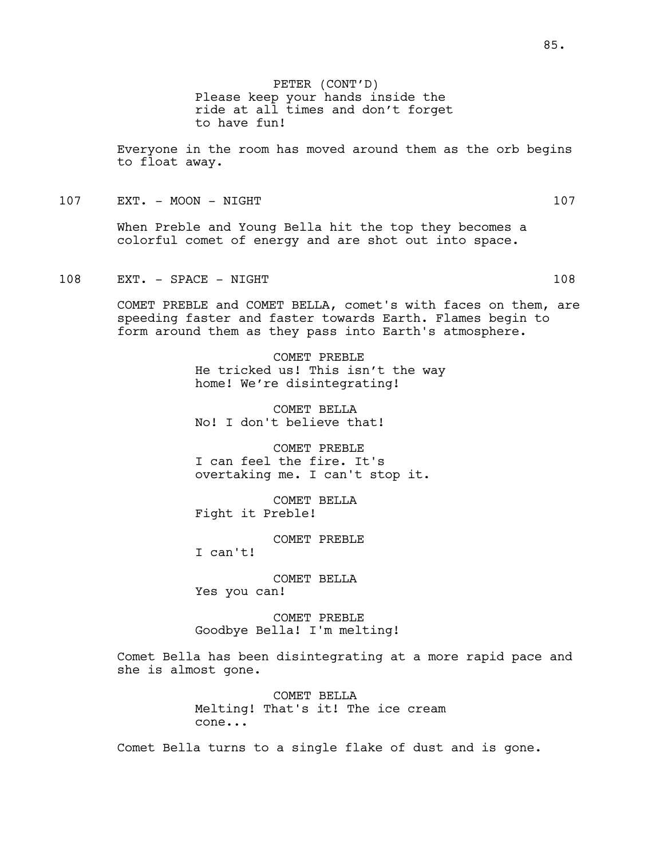Everyone in the room has moved around them as the orb begins to float away.

107 EXT. - MOON - NIGHT 107

When Preble and Young Bella hit the top they becomes a colorful comet of energy and are shot out into space.

108 EXT. - SPACE - NIGHT 108

COMET PREBLE and COMET BELLA, comet's with faces on them, are speeding faster and faster towards Earth. Flames begin to form around them as they pass into Earth's atmosphere.

> COMET PREBLE He tricked us! This isn't the way home! We're disintegrating!

COMET BELLA No! I don't believe that!

COMET PREBLE I can feel the fire. It's overtaking me. I can't stop it.

COMET BELLA Fight it Preble!

COMET PREBLE

I can't!

COMET BELLA Yes you can!

COMET PREBLE Goodbye Bella! I'm melting!

Comet Bella has been disintegrating at a more rapid pace and she is almost gone.

> COMET BELLA Melting! That's it! The ice cream cone...

Comet Bella turns to a single flake of dust and is gone.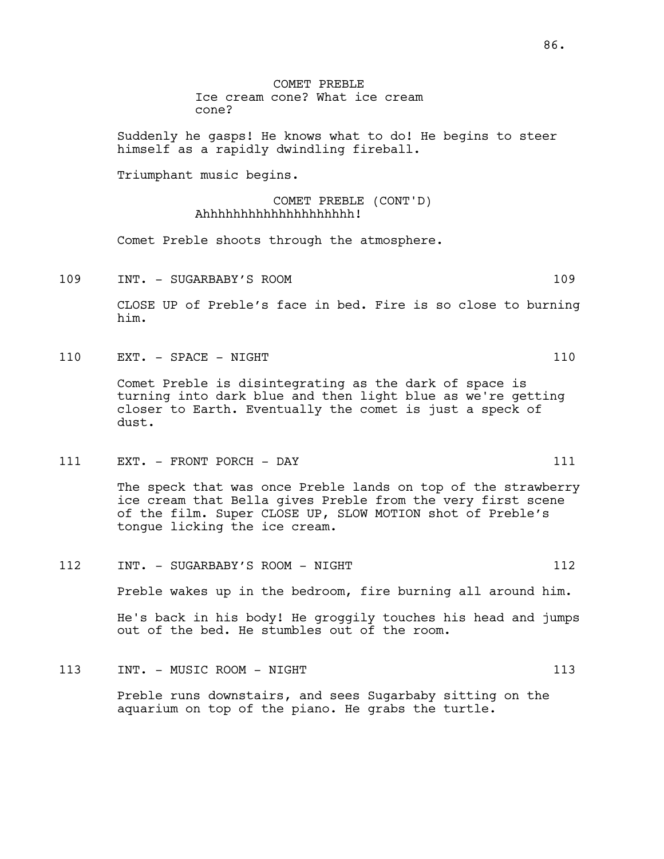COMET PREBLE Ice cream cone? What ice cream cone?

Suddenly he gasps! He knows what to do! He begins to steer himself as a rapidly dwindling fireball.

Triumphant music begins.

### COMET PREBLE (CONT'D) Ahhhhhhhhhhhhhhhhhhhh!

Comet Preble shoots through the atmosphere.

109 INT. - SUGARBABY'S ROOM 109

CLOSE UP of Preble's face in bed. Fire is so close to burning him.

110 EXT. – SPACE – NIGHT 110 and 110

Comet Preble is disintegrating as the dark of space is turning into dark blue and then light blue as we're getting closer to Earth. Eventually the comet is just a speck of dust.

111 EXT. - FRONT PORCH - DAY 111

The speck that was once Preble lands on top of the strawberry ice cream that Bella gives Preble from the very first scene of the film. Super CLOSE UP, SLOW MOTION shot of Preble's tongue licking the ice cream.

- 112 INT. SUGARBABY'S ROOM NIGHT 112 Preble wakes up in the bedroom, fire burning all around him. He's back in his body! He groggily touches his head and jumps out of the bed. He stumbles out of the room.
	- Preble runs downstairs, and sees Sugarbaby sitting on the aquarium on top of the piano. He grabs the turtle.

113 INT. - MUSIC ROOM - NIGHT 113 113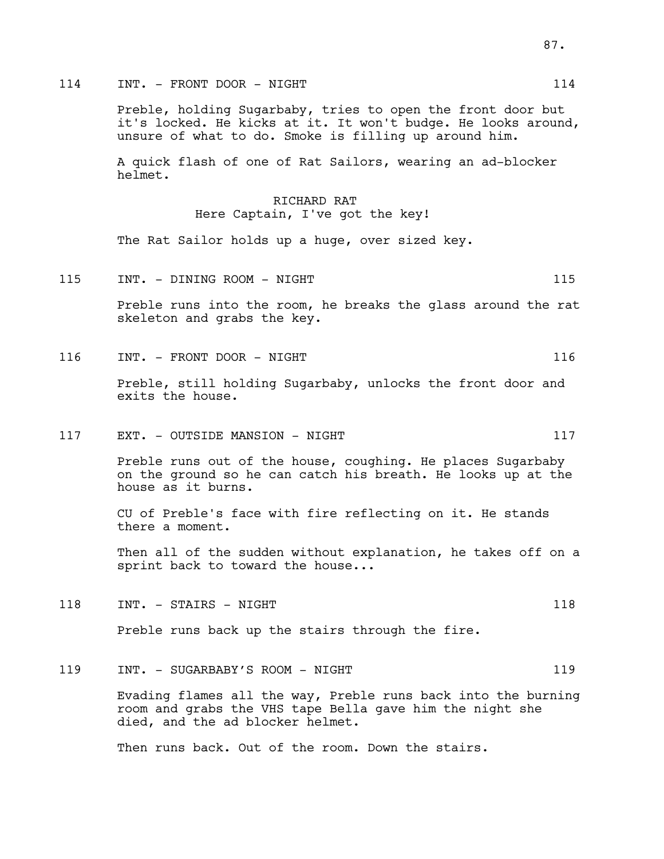## 114 INT. - FRONT DOOR - NIGHT 114 114

Preble, holding Sugarbaby, tries to open the front door but it's locked. He kicks at it. It won't budge. He looks around, unsure of what to do. Smoke is filling up around him.

A quick flash of one of Rat Sailors, wearing an ad-blocker helmet.

## RICHARD RAT Here Captain, I've got the key!

The Rat Sailor holds up a huge, over sized key.

115 INT. - DINING ROOM - NIGHT 115

Preble runs into the room, he breaks the glass around the rat skeleton and grabs the key.

116 INT. - FRONT DOOR - NIGHT 116 116

Preble, still holding Sugarbaby, unlocks the front door and exits the house.

117 EXT. – OUTSIDE MANSION – NIGHT 117

Preble runs out of the house, coughing. He places Sugarbaby on the ground so he can catch his breath. He looks up at the house as it burns.

CU of Preble's face with fire reflecting on it. He stands there a moment.

Then all of the sudden without explanation, he takes off on a sprint back to toward the house...

118 INT. - STAIRS - NIGHT 118

Preble runs back up the stairs through the fire.

119 INT. - SUGARBABY'S ROOM - NIGHT 119

Evading flames all the way, Preble runs back into the burning room and grabs the VHS tape Bella gave him the night she died, and the ad blocker helmet.

Then runs back. Out of the room. Down the stairs.